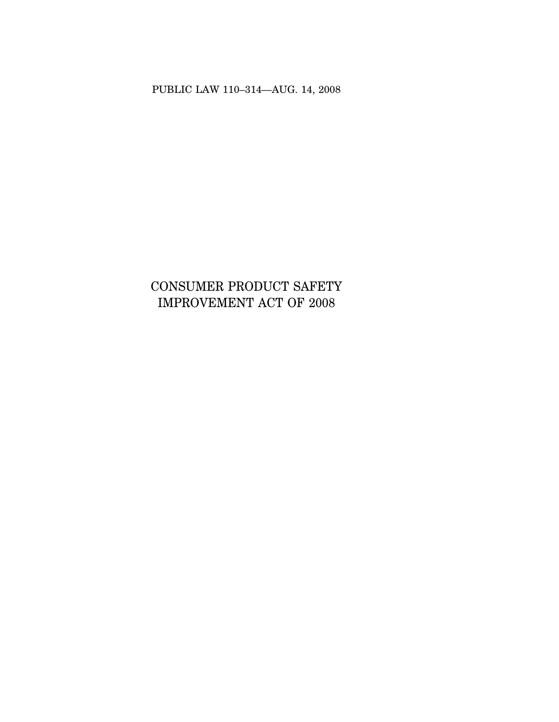PUBLIC LAW 110–314—AUG. 14, 2008

# CONSUMER PRODUCT SAFETY IMPROVEMENT ACT OF 2008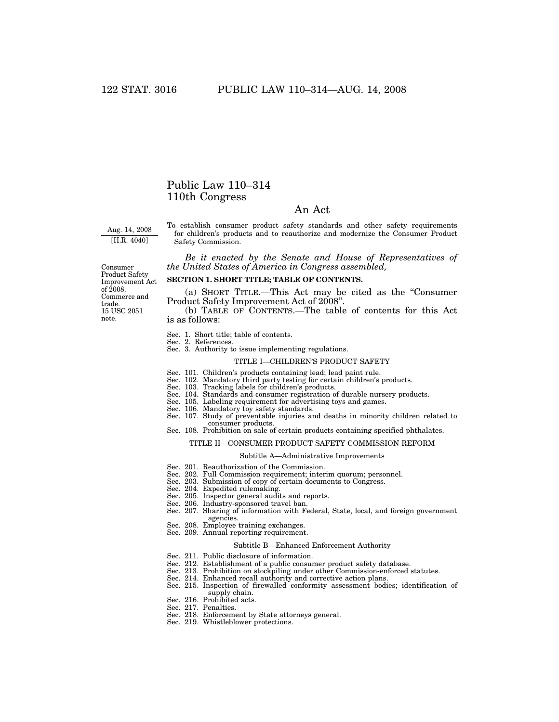# Public Law 110–314 110th Congress

# An Act

Aug. 14, 2008 [H.R. 4040]

To establish consumer product safety standards and other safety requirements for children's products and to reauthorize and modernize the Consumer Product Safety Commission.

*Be it enacted by the Senate and House of Representatives of the United States of America in Congress assembled,* 

Consumer Product Safety Improvement Act of 2008. Commerce and trade. 15 USC 2051 note.

# **SECTION 1. SHORT TITLE; TABLE OF CONTENTS.**

(a) SHORT TITLE.—This Act may be cited as the ''Consumer Product Safety Improvement Act of 2008".

(b) TABLE OF CONTENTS.—The table of contents for this Act is as follows:

- Sec. 1. Short title; table of contents.
- 
- Sec. 2. References. Sec. 3. Authority to issue implementing regulations.

#### TITLE I—CHILDREN'S PRODUCT SAFETY

- Sec. 101. Children's products containing lead; lead paint rule. Sec. 102. Mandatory third party testing for certain children's products.
- 
- Sec. 103. Tracking labels for children's products.
- Sec. 104. Standards and consumer registration of durable nursery products.
- Sec. 105. Labeling requirement for advertising toys and games. Sec. 106. Mandatory toy safety standards.
- Sec. 107. Study of preventable injuries and deaths in minority children related to consumer products.
- Sec. 108. Prohibition on sale of certain products containing specified phthalates.

#### TITLE II—CONSUMER PRODUCT SAFETY COMMISSION REFORM

#### Subtitle A—Administrative Improvements

- Sec. 201. Reauthorization of the Commission.
- Sec. 202. Full Commission requirement; interim quorum; personnel.
- Sec. 203. Submission of copy of certain documents to Congress.
- Sec. 204. Expedited rulemaking.
- Sec. 205. Inspector general audits and reports.
- Sec. 206. Industry-sponsored travel ban.
- Sec. 207. Sharing of information with Federal, State, local, and foreign government agencies.
- Sec. 208. Employee training exchanges.
- Sec. 209. Annual reporting requirement.

#### Subtitle B—Enhanced Enforcement Authority

- Sec. 211. Public disclosure of information.
- Sec. 212. Establishment of a public consumer product safety database.
- Sec. 213. Prohibition on stockpiling under other Commission-enforced statutes.
- Sec. 214. Enhanced recall authority and corrective action plans.
- Sec. 215. Inspection of firewalled conformity assessment bodies; identification of supply chain.
- Sec. 216. Prohibited acts.
- Sec. 217. Penalties.
- Sec. 218. Enforcement by State attorneys general.
- Sec. 219. Whistleblower protections.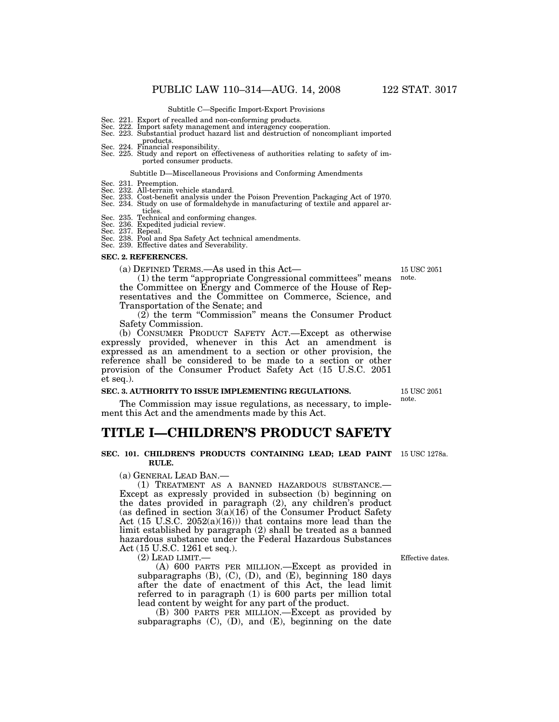#### Subtitle C—Specific Import-Export Provisions

- Sec. 221. Export of recalled and non-conforming products.
- Sec. 222. Import safety management and interagency cooperation.
- Sec. 223. Substantial product hazard list and destruction of noncompliant imported products. Sec. 224. Financial responsibility.
- 
- Sec. 225. Study and report on effectiveness of authorities relating to safety of imported consumer products.

#### Subtitle D—Miscellaneous Provisions and Conforming Amendments

- Sec. 231. Preemption.
- 
- Sec. 232. All-terrain vehicle standard. Sec. 233. Cost-benefit analysis under the Poison Prevention Packaging Act of 1970.
- Sec. 234. Study on use of formaldehyde in manufacturing of textile and apparel articles.
- Sec. 235. Technical and conforming changes.
- Sec. 236. Expedited judicial review.
- 
- Sec. 237. Repeal. Sec. 238. Pool and Spa Safety Act technical amendments. Sec. 239. Effective dates and Severability.
- 

# **SEC. 2. REFERENCES.**

(a) DEFINED TERMS.—As used in this Act—

(1) the term ''appropriate Congressional committees'' means the Committee on Energy and Commerce of the House of Representatives and the Committee on Commerce, Science, and

Transportation of the Senate; and  $(2)$  the term "Commission" means the Consumer Product Safety Commission.

(b) CONSUMER PRODUCT SAFETY ACT.—Except as otherwise expressly provided, whenever in this Act an amendment is expressed as an amendment to a section or other provision, the reference shall be considered to be made to a section or other provision of the Consumer Product Safety Act (15 U.S.C. 2051 et seq.).

#### **SEC. 3. AUTHORITY TO ISSUE IMPLEMENTING REGULATIONS.**

The Commission may issue regulations, as necessary, to implement this Act and the amendments made by this Act.

# **TITLE I—CHILDREN'S PRODUCT SAFETY**

#### **SEC. 101. CHILDREN'S PRODUCTS CONTAINING LEAD; LEAD PAINT**  15 USC 1278a. **RULE.**

(a) GENERAL LEAD BAN.—

(1) TREATMENT AS A BANNED HAZARDOUS SUBSTANCE.— Except as expressly provided in subsection (b) beginning on the dates provided in paragraph (2), any children's product (as defined in section  $3(a)(16)$  of the Consumer Product Safety Act (15 U.S.C. 2052(a)(16))) that contains more lead than the limit established by paragraph (2) shall be treated as a banned hazardous substance under the Federal Hazardous Substances Act (15 U.S.C. 1261 et seq.).

 $(2)$  LEAD LIMIT.

(A) 600 PARTS PER MILLION.—Except as provided in subparagraphs (B), (C), (D), and (E), beginning 180 days after the date of enactment of this Act, the lead limit referred to in paragraph (1) is 600 parts per million total lead content by weight for any part of the product.

(B) 300 PARTS PER MILLION.—Except as provided by subparagraphs  $(C)$ ,  $(D)$ , and  $(E)$ , beginning on the date

15 USC 2051 note.

Effective dates.

15 USC 2051 note.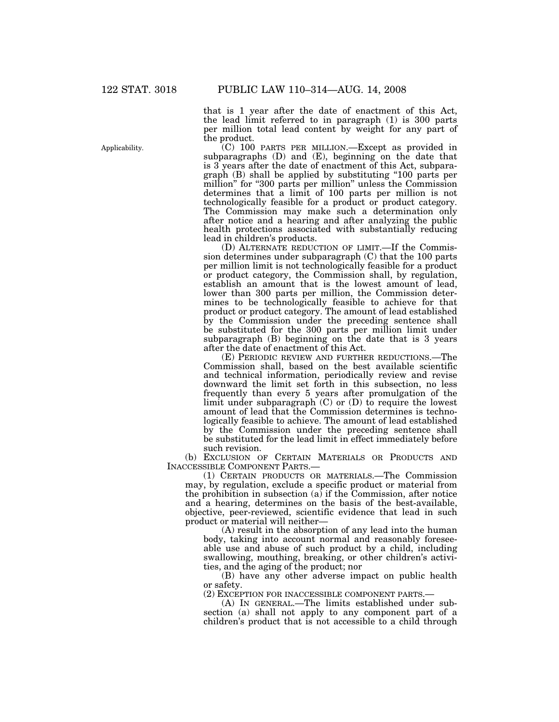Applicability.

that is 1 year after the date of enactment of this Act, the lead limit referred to in paragraph (1) is 300 parts per million total lead content by weight for any part of the product.

(C) 100 PARTS PER MILLION.—Except as provided in subparagraphs  $(D)$  and  $(E)$ , beginning on the date that is 3 years after the date of enactment of this Act, subparagraph (B) shall be applied by substituting ''100 parts per million" for "300 parts per million" unless the Commission determines that a limit of 100 parts per million is not technologically feasible for a product or product category. The Commission may make such a determination only after notice and a hearing and after analyzing the public health protections associated with substantially reducing lead in children's products.

(D) ALTERNATE REDUCTION OF LIMIT.—If the Commission determines under subparagraph (C) that the 100 parts per million limit is not technologically feasible for a product or product category, the Commission shall, by regulation, establish an amount that is the lowest amount of lead, lower than 300 parts per million, the Commission determines to be technologically feasible to achieve for that product or product category. The amount of lead established by the Commission under the preceding sentence shall be substituted for the 300 parts per million limit under subparagraph (B) beginning on the date that is 3 years after the date of enactment of this Act.

(E) PERIODIC REVIEW AND FURTHER REDUCTIONS.—The Commission shall, based on the best available scientific and technical information, periodically review and revise downward the limit set forth in this subsection, no less frequently than every 5 years after promulgation of the limit under subparagraph (C) or (D) to require the lowest amount of lead that the Commission determines is technologically feasible to achieve. The amount of lead established by the Commission under the preceding sentence shall be substituted for the lead limit in effect immediately before such revision.

(b) EXCLUSION OF CERTAIN MATERIALS OR PRODUCTS AND INACCESSIBLE COMPONENT PARTS.—

(1) CERTAIN PRODUCTS OR MATERIALS.—The Commission may, by regulation, exclude a specific product or material from the prohibition in subsection  $(a)$  if the Commission, after notice and a hearing, determines on the basis of the best-available, objective, peer-reviewed, scientific evidence that lead in such product or material will neither—

(A) result in the absorption of any lead into the human body, taking into account normal and reasonably foreseeable use and abuse of such product by a child, including swallowing, mouthing, breaking, or other children's activities, and the aging of the product; nor

(B) have any other adverse impact on public health or safety.

(2) EXCEPTION FOR INACCESSIBLE COMPONENT PARTS.—

(A) IN GENERAL.—The limits established under subsection (a) shall not apply to any component part of a children's product that is not accessible to a child through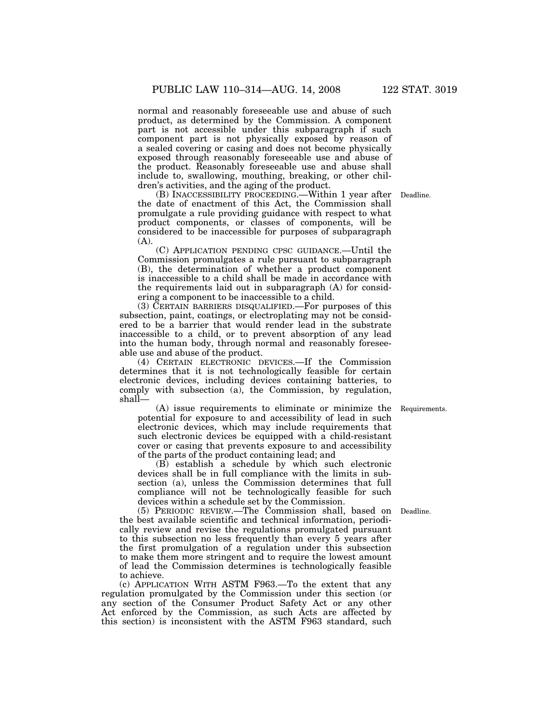normal and reasonably foreseeable use and abuse of such product, as determined by the Commission. A component part is not accessible under this subparagraph if such component part is not physically exposed by reason of a sealed covering or casing and does not become physically exposed through reasonably foreseeable use and abuse of the product. Reasonably foreseeable use and abuse shall include to, swallowing, mouthing, breaking, or other children's activities, and the aging of the product.

(B) INACCESSIBILITY PROCEEDING.—Within 1 year after Deadline. the date of enactment of this Act, the Commission shall promulgate a rule providing guidance with respect to what product components, or classes of components, will be considered to be inaccessible for purposes of subparagraph (A).

(C) APPLICATION PENDING CPSC GUIDANCE.—Until the Commission promulgates a rule pursuant to subparagraph (B), the determination of whether a product component is inaccessible to a child shall be made in accordance with the requirements laid out in subparagraph (A) for considering a component to be inaccessible to a child.

(3) CERTAIN BARRIERS DISQUALIFIED.—For purposes of this subsection, paint, coatings, or electroplating may not be considered to be a barrier that would render lead in the substrate inaccessible to a child, or to prevent absorption of any lead into the human body, through normal and reasonably foreseeable use and abuse of the product.

(4) CERTAIN ELECTRONIC DEVICES.—If the Commission determines that it is not technologically feasible for certain electronic devices, including devices containing batteries, to comply with subsection (a), the Commission, by regulation, shall—

(A) issue requirements to eliminate or minimize the potential for exposure to and accessibility of lead in such electronic devices, which may include requirements that such electronic devices be equipped with a child-resistant cover or casing that prevents exposure to and accessibility of the parts of the product containing lead; and

(B) establish a schedule by which such electronic devices shall be in full compliance with the limits in subsection (a), unless the Commission determines that full compliance will not be technologically feasible for such devices within a schedule set by the Commission.

(5) PERIODIC REVIEW.—The Commission shall, based on Deadline. the best available scientific and technical information, periodically review and revise the regulations promulgated pursuant to this subsection no less frequently than every 5 years after the first promulgation of a regulation under this subsection to make them more stringent and to require the lowest amount of lead the Commission determines is technologically feasible to achieve.

(c) APPLICATION WITH ASTM F963.—To the extent that any regulation promulgated by the Commission under this section (or any section of the Consumer Product Safety Act or any other Act enforced by the Commission, as such Acts are affected by this section) is inconsistent with the ASTM F963 standard, such

Requirements.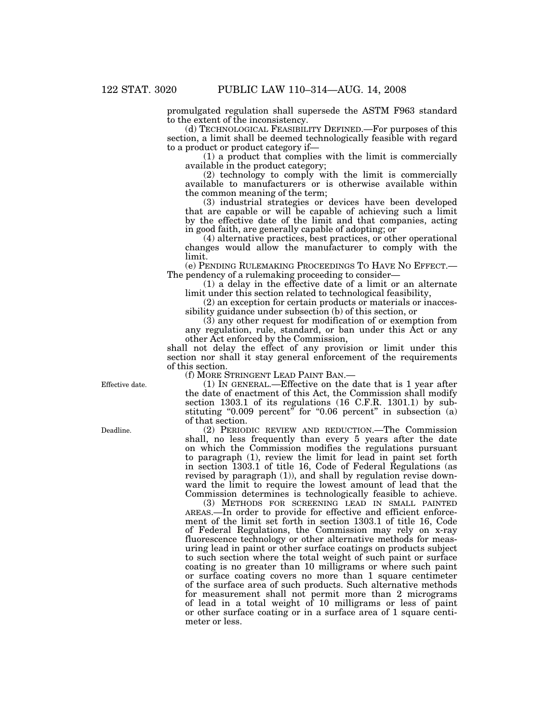promulgated regulation shall supersede the ASTM F963 standard to the extent of the inconsistency.

(d) TECHNOLOGICAL FEASIBILITY DEFINED.—For purposes of this section, a limit shall be deemed technologically feasible with regard to a product or product category if—

(1) a product that complies with the limit is commercially available in the product category;

(2) technology to comply with the limit is commercially available to manufacturers or is otherwise available within the common meaning of the term;

(3) industrial strategies or devices have been developed that are capable or will be capable of achieving such a limit by the effective date of the limit and that companies, acting in good faith, are generally capable of adopting; or

(4) alternative practices, best practices, or other operational changes would allow the manufacturer to comply with the limit.

(e) PENDING RULEMAKING PROCEEDINGS TO HAVE NO EFFECT.— The pendency of a rulemaking proceeding to consider—

(1) a delay in the effective date of a limit or an alternate limit under this section related to technological feasibility,

(2) an exception for certain products or materials or inaccessibility guidance under subsection (b) of this section, or

(3) any other request for modification of or exemption from any regulation, rule, standard, or ban under this Act or any other Act enforced by the Commission,

shall not delay the effect of any provision or limit under this section nor shall it stay general enforcement of the requirements of this section.

(f) MORE STRINGENT LEAD PAINT BAN.—

(1) IN GENERAL.—Effective on the date that is 1 year after the date of enactment of this Act, the Commission shall modify section 1303.1 of its regulations (16 C.F.R. 1301.1) by substituting "0.009 percent" for "0.06 percent" in subsection  $(a)$ of that section.

(2) PERIODIC REVIEW AND REDUCTION.—The Commission shall, no less frequently than every 5 years after the date on which the Commission modifies the regulations pursuant to paragraph (1), review the limit for lead in paint set forth in section 1303.1 of title 16, Code of Federal Regulations (as revised by paragraph (1)), and shall by regulation revise downward the limit to require the lowest amount of lead that the Commission determines is technologically feasible to achieve.

(3) METHODS FOR SCREENING LEAD IN SMALL PAINTED AREAS.—In order to provide for effective and efficient enforcement of the limit set forth in section 1303.1 of title 16, Code of Federal Regulations, the Commission may rely on x-ray fluorescence technology or other alternative methods for measuring lead in paint or other surface coatings on products subject to such section where the total weight of such paint or surface coating is no greater than 10 milligrams or where such paint or surface coating covers no more than 1 square centimeter of the surface area of such products. Such alternative methods for measurement shall not permit more than 2 micrograms of lead in a total weight of 10 milligrams or less of paint or other surface coating or in a surface area of 1 square centimeter or less.

Effective date.

Deadline.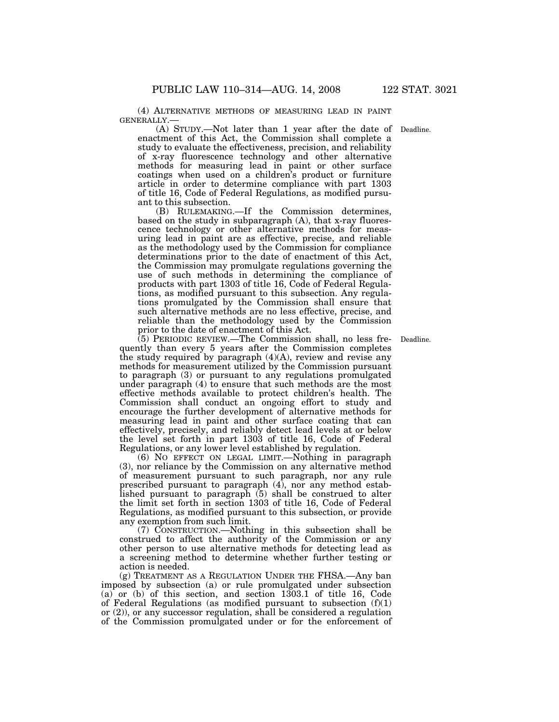(4) ALTERNATIVE METHODS OF MEASURING LEAD IN PAINT

GENERALLY.— (A) STUDY.—Not later than 1 year after the date of Deadline. enactment of this Act, the Commission shall complete a study to evaluate the effectiveness, precision, and reliability of x-ray fluorescence technology and other alternative methods for measuring lead in paint or other surface coatings when used on a children's product or furniture article in order to determine compliance with part 1303 of title 16, Code of Federal Regulations, as modified pursuant to this subsection.

(B) RULEMAKING.—If the Commission determines, based on the study in subparagraph (A), that x-ray fluorescence technology or other alternative methods for measuring lead in paint are as effective, precise, and reliable as the methodology used by the Commission for compliance determinations prior to the date of enactment of this Act, the Commission may promulgate regulations governing the use of such methods in determining the compliance of products with part 1303 of title 16, Code of Federal Regulations, as modified pursuant to this subsection. Any regulations promulgated by the Commission shall ensure that such alternative methods are no less effective, precise, and reliable than the methodology used by the Commission prior to the date of enactment of this Act.

(5) PERIODIC REVIEW.—The Commission shall, no less fre-Deadline. quently than every 5 years after the Commission completes the study required by paragraph (4)(A), review and revise any methods for measurement utilized by the Commission pursuant to paragraph (3) or pursuant to any regulations promulgated under paragraph (4) to ensure that such methods are the most effective methods available to protect children's health. The Commission shall conduct an ongoing effort to study and encourage the further development of alternative methods for measuring lead in paint and other surface coating that can effectively, precisely, and reliably detect lead levels at or below the level set forth in part 1303 of title 16, Code of Federal Regulations, or any lower level established by regulation.

(6) NO EFFECT ON LEGAL LIMIT.—Nothing in paragraph (3), nor reliance by the Commission on any alternative method of measurement pursuant to such paragraph, nor any rule prescribed pursuant to paragraph (4), nor any method established pursuant to paragraph (5) shall be construed to alter the limit set forth in section 1303 of title 16, Code of Federal Regulations, as modified pursuant to this subsection, or provide any exemption from such limit.

(7) CONSTRUCTION.—Nothing in this subsection shall be construed to affect the authority of the Commission or any other person to use alternative methods for detecting lead as a screening method to determine whether further testing or action is needed.

(g) TREATMENT AS A REGULATION UNDER THE FHSA.—Any ban imposed by subsection (a) or rule promulgated under subsection (a) or (b) of this section, and section 1303.1 of title 16, Code of Federal Regulations (as modified pursuant to subsection  $(f)(1)$ or (2)), or any successor regulation, shall be considered a regulation of the Commission promulgated under or for the enforcement of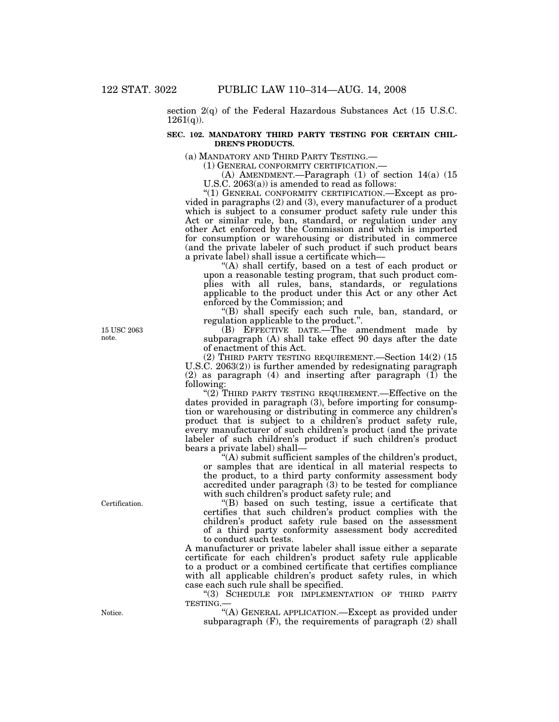section 2(q) of the Federal Hazardous Substances Act (15 U.S.C.  $1261(q)$ ).

## **SEC. 102. MANDATORY THIRD PARTY TESTING FOR CERTAIN CHIL-DREN'S PRODUCTS.**

(a) MANDATORY AND THIRD PARTY TESTING.—<br>
(1) GENERAL CONFORMITY CERTIFICATION.—<br>
(A) AMENDMENT.—Paragraph (1) of section 14(a) (15 U.S.C. 2063(a)) is amended to read as follows:

"(1) GENERAL CONFORMITY CERTIFICATION.—Except as pro-

vided in paragraphs (2) and (3), every manufacturer of a product which is subject to a consumer product safety rule under this Act or similar rule, ban, standard, or regulation under any other Act enforced by the Commission and which is imported for consumption or warehousing or distributed in commerce (and the private labeler of such product if such product bears a private label) shall issue a certificate which—

"(A) shall certify, based on a test of each product or upon a reasonable testing program, that such product complies with all rules, bans, standards, or regulations applicable to the product under this Act or any other Act enforced by the Commission; and

''(B) shall specify each such rule, ban, standard, or regulation applicable to the product.''.

(B) EFFECTIVE DATE.—The amendment made by subparagraph (A) shall take effect 90 days after the date of enactment of this Act.

(2) THIRD PARTY TESTING REQUIREMENT.—Section 14(2) (15 U.S.C. 2063(2)) is further amended by redesignating paragraph (2) as paragraph (4) and inserting after paragraph  $(1)$  the following:

"(2) THIRD PARTY TESTING REQUIREMENT.—Effective on the dates provided in paragraph (3), before importing for consumption or warehousing or distributing in commerce any children's product that is subject to a children's product safety rule, every manufacturer of such children's product (and the private labeler of such children's product if such children's product bears a private label) shall—

 $f(A)$  submit sufficient samples of the children's product, or samples that are identical in all material respects to the product, to a third party conformity assessment body accredited under paragraph (3) to be tested for compliance with such children's product safety rule; and

''(B) based on such testing, issue a certificate that certifies that such children's product complies with the children's product safety rule based on the assessment of a third party conformity assessment body accredited to conduct such tests.

A manufacturer or private labeler shall issue either a separate certificate for each children's product safety rule applicable to a product or a combined certificate that certifies compliance with all applicable children's product safety rules, in which case each such rule shall be specified.

''(3) SCHEDULE FOR IMPLEMENTATION OF THIRD PARTY TESTING.—

''(A) GENERAL APPLICATION.—Except as provided under subparagraph (F), the requirements of paragraph (2) shall

15 USC 2063 note.

Certification.

Notice.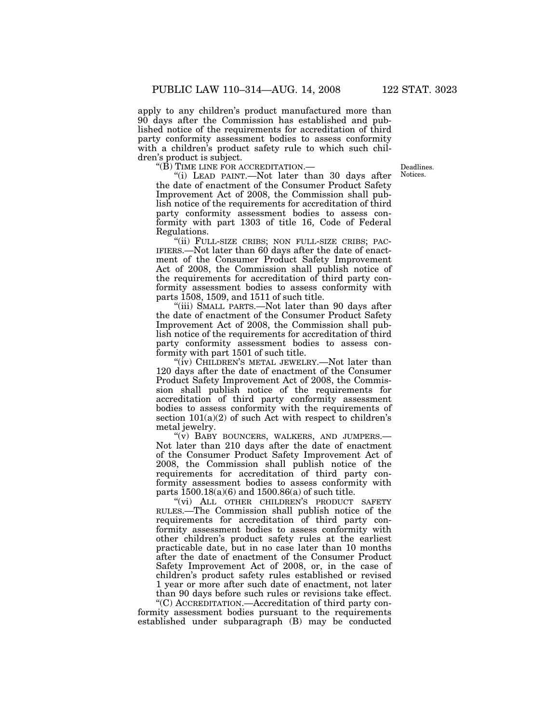apply to any children's product manufactured more than 90 days after the Commission has established and published notice of the requirements for accreditation of third party conformity assessment bodies to assess conformity with a children's product safety rule to which such children's product is subject.

 $\rm ^{4}(\bar{B})$  TIME LINE FOR ACCREDITATION.—

Deadlines. Notices.

''(i) LEAD PAINT.—Not later than 30 days after the date of enactment of the Consumer Product Safety Improvement Act of 2008, the Commission shall publish notice of the requirements for accreditation of third party conformity assessment bodies to assess conformity with part 1303 of title 16, Code of Federal Regulations.

"(ii) FULL-SIZE CRIBS; NON FULL-SIZE CRIBS; PAC-IFIERS.—Not later than 60 days after the date of enactment of the Consumer Product Safety Improvement Act of 2008, the Commission shall publish notice of the requirements for accreditation of third party conformity assessment bodies to assess conformity with parts 1508, 1509, and 1511 of such title.

''(iii) SMALL PARTS.—Not later than 90 days after the date of enactment of the Consumer Product Safety Improvement Act of 2008, the Commission shall publish notice of the requirements for accreditation of third party conformity assessment bodies to assess conformity with part 1501 of such title.

"(iv) CHILDREN'S METAL JEWELRY.—Not later than 120 days after the date of enactment of the Consumer Product Safety Improvement Act of 2008, the Commission shall publish notice of the requirements for accreditation of third party conformity assessment bodies to assess conformity with the requirements of section  $101(a)(2)$  of such Act with respect to children's metal jewelry.

"(v) BABY BOUNCERS, WALKERS, AND JUMPERS.-Not later than 210 days after the date of enactment of the Consumer Product Safety Improvement Act of 2008, the Commission shall publish notice of the requirements for accreditation of third party conformity assessment bodies to assess conformity with parts  $1500.18(a)(6)$  and  $1500.86(a)$  of such title.

"(vi) ALL OTHER CHILDREN'S PRODUCT SAFETY RULES.—The Commission shall publish notice of the requirements for accreditation of third party conformity assessment bodies to assess conformity with other children's product safety rules at the earliest practicable date, but in no case later than 10 months after the date of enactment of the Consumer Product Safety Improvement Act of 2008, or, in the case of children's product safety rules established or revised 1 year or more after such date of enactment, not later than 90 days before such rules or revisions take effect.

''(C) ACCREDITATION.—Accreditation of third party conformity assessment bodies pursuant to the requirements established under subparagraph (B) may be conducted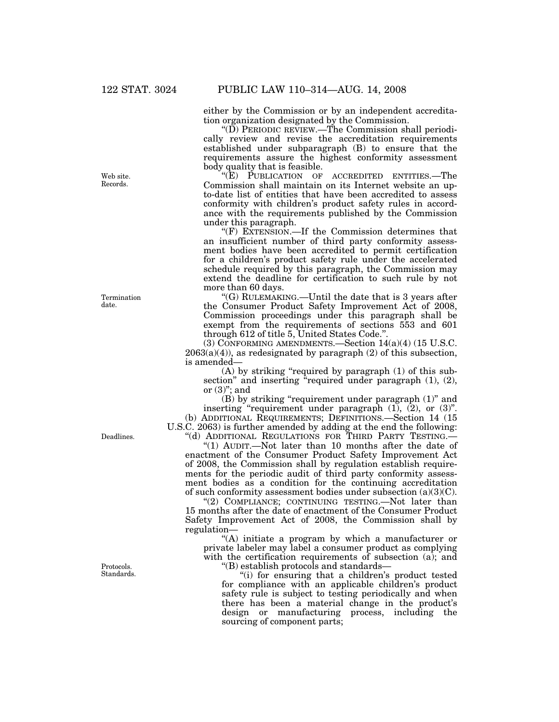either by the Commission or by an independent accreditation organization designated by the Commission.

" $(D)$  PERIODIC REVIEW.—The Commission shall periodically review and revise the accreditation requirements established under subparagraph (B) to ensure that the requirements assure the highest conformity assessment body quality that is feasible.

''(E) PUBLICATION OF ACCREDITED ENTITIES.—The Commission shall maintain on its Internet website an upto-date list of entities that have been accredited to assess conformity with children's product safety rules in accordance with the requirements published by the Commission under this paragraph.

" $(F)$  EXTENSION.—If the Commission determines that an insufficient number of third party conformity assessment bodies have been accredited to permit certification for a children's product safety rule under the accelerated schedule required by this paragraph, the Commission may extend the deadline for certification to such rule by not more than 60 days.

''(G) RULEMAKING.—Until the date that is 3 years after the Consumer Product Safety Improvement Act of 2008, Commission proceedings under this paragraph shall be exempt from the requirements of sections 553 and 601 through 612 of title 5, United States Code.''.

(3) CONFORMING AMENDMENTS.—Section 14(a)(4) (15 U.S.C.  $2063(a)(4)$ , as redesignated by paragraph  $(2)$  of this subsection, is amended—

(A) by striking ''required by paragraph (1) of this subsection" and inserting "required under paragraph (1), (2), or  $(3)$ "; and

(B) by striking ''requirement under paragraph (1)'' and inserting "requirement under paragraph  $(1)$ ,  $(2)$ , or  $(3)$ ". (b) ADDITIONAL REQUIREMENTS; DEFINITIONS.—Section 14 (15

U.S.C. 2063) is further amended by adding at the end the following: "(d) ADDITIONAL REGULATIONS FOR THIRD PARTY TESTING.

''(1) AUDIT.—Not later than 10 months after the date of enactment of the Consumer Product Safety Improvement Act of 2008, the Commission shall by regulation establish requirements for the periodic audit of third party conformity assessment bodies as a condition for the continuing accreditation of such conformity assessment bodies under subsection  $(a)(3)(C)$ .

"(2) COMPLIANCE; CONTINUING TESTING.—Not later than 15 months after the date of enactment of the Consumer Product Safety Improvement Act of 2008, the Commission shall by regulation—

''(A) initiate a program by which a manufacturer or private labeler may label a consumer product as complying with the certification requirements of subsection (a); and

''(B) establish protocols and standards—

"(i) for ensuring that a children's product tested for compliance with an applicable children's product safety rule is subject to testing periodically and when there has been a material change in the product's design or manufacturing process, including the sourcing of component parts;

Web site. Records.

Termination date.

Deadlines.

Protocols. Standards.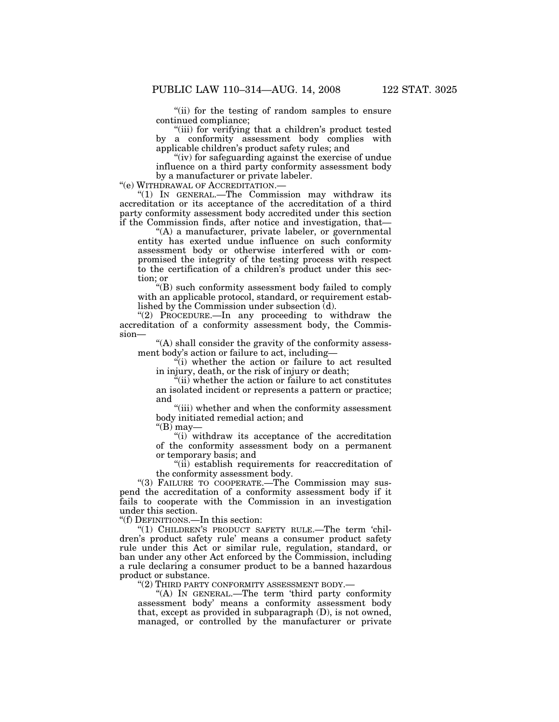''(ii) for the testing of random samples to ensure continued compliance;

"(iii) for verifying that a children's product tested by a conformity assessment body complies with applicable children's product safety rules; and

''(iv) for safeguarding against the exercise of undue influence on a third party conformity assessment body by a manufacturer or private labeler.

''(e) WITHDRAWAL OF ACCREDITATION.—

''(1) IN GENERAL.—The Commission may withdraw its accreditation or its acceptance of the accreditation of a third party conformity assessment body accredited under this section if the Commission finds, after notice and investigation, that—

 $H(A)$  a manufacturer, private labeler, or governmental entity has exerted undue influence on such conformity assessment body or otherwise interfered with or compromised the integrity of the testing process with respect to the certification of a children's product under this section; or

''(B) such conformity assessment body failed to comply with an applicable protocol, standard, or requirement established by the Commission under subsection (d).

"(2) PROCEDURE.—In any proceeding to withdraw the accreditation of a conformity assessment body, the Commission—

''(A) shall consider the gravity of the conformity assessment body's action or failure to act, including—

 $\ddot{v}(i)$  whether the action or failure to act resulted in injury, death, or the risk of injury or death;

''(ii) whether the action or failure to act constitutes an isolated incident or represents a pattern or practice; and

"(iii) whether and when the conformity assessment body initiated remedial action; and

" $(B)$  may—

''(i) withdraw its acceptance of the accreditation of the conformity assessment body on a permanent or temporary basis; and

''(ii) establish requirements for reaccreditation of the conformity assessment body.

''(3) FAILURE TO COOPERATE.—The Commission may suspend the accreditation of a conformity assessment body if it fails to cooperate with the Commission in an investigation under this section.

''(f) DEFINITIONS.—In this section:

"(1) CHILDREN'S PRODUCT SAFETY RULE.—The term 'children's product safety rule' means a consumer product safety rule under this Act or similar rule, regulation, standard, or ban under any other Act enforced by the Commission, including a rule declaring a consumer product to be a banned hazardous product or substance.

''(2) THIRD PARTY CONFORMITY ASSESSMENT BODY.—

''(A) IN GENERAL.—The term 'third party conformity assessment body' means a conformity assessment body that, except as provided in subparagraph (D), is not owned, managed, or controlled by the manufacturer or private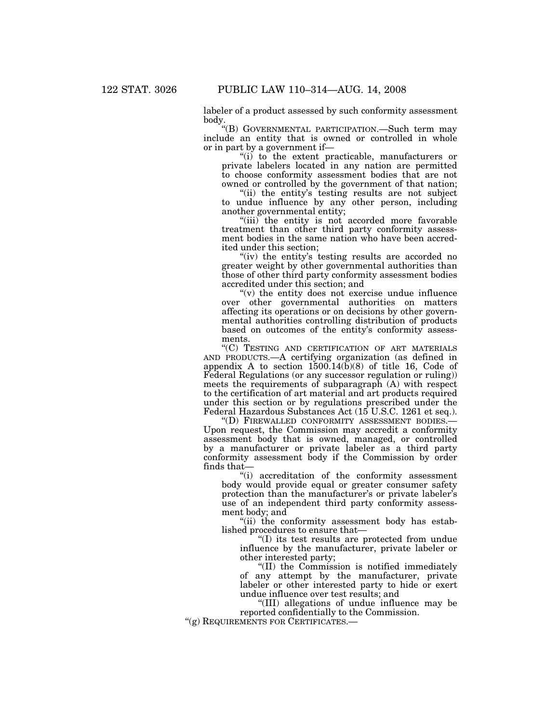labeler of a product assessed by such conformity assessment body.

''(B) GOVERNMENTAL PARTICIPATION.—Such term may include an entity that is owned or controlled in whole or in part by a government if—

"(i) to the extent practicable, manufacturers or private labelers located in any nation are permitted to choose conformity assessment bodies that are not owned or controlled by the government of that nation;

"(ii) the entity's testing results are not subject to undue influence by any other person, including another governmental entity;

"(iii) the entity is not accorded more favorable treatment than other third party conformity assessment bodies in the same nation who have been accredited under this section;

"(iv) the entity's testing results are accorded no greater weight by other governmental authorities than those of other third party conformity assessment bodies accredited under this section; and

 $(v)$  the entity does not exercise undue influence over other governmental authorities on matters affecting its operations or on decisions by other governmental authorities controlling distribution of products based on outcomes of the entity's conformity assessments.

''(C) TESTING AND CERTIFICATION OF ART MATERIALS AND PRODUCTS.—A certifying organization (as defined in appendix A to section  $1500.14(b)(8)$  of title 16, Code of Federal Regulations (or any successor regulation or ruling)) meets the requirements of subparagraph (A) with respect to the certification of art material and art products required under this section or by regulations prescribed under the Federal Hazardous Substances Act (15 U.S.C. 1261 et seq.).<br>
"(D) FIREWALLED CONFORMITY ASSESSMENT BODIES.

Upon request, the Commission may accredit a conformity assessment body that is owned, managed, or controlled by a manufacturer or private labeler as a third party conformity assessment body if the Commission by order finds that—

''(i) accreditation of the conformity assessment body would provide equal or greater consumer safety protection than the manufacturer's or private labeler's use of an independent third party conformity assessment body; and

''(ii) the conformity assessment body has established procedures to ensure that—

''(I) its test results are protected from undue influence by the manufacturer, private labeler or other interested party;

''(II) the Commission is notified immediately of any attempt by the manufacturer, private labeler or other interested party to hide or exert undue influence over test results; and

''(III) allegations of undue influence may be reported confidentially to the Commission. "(g) REQUIREMENTS FOR CERTIFICATES.—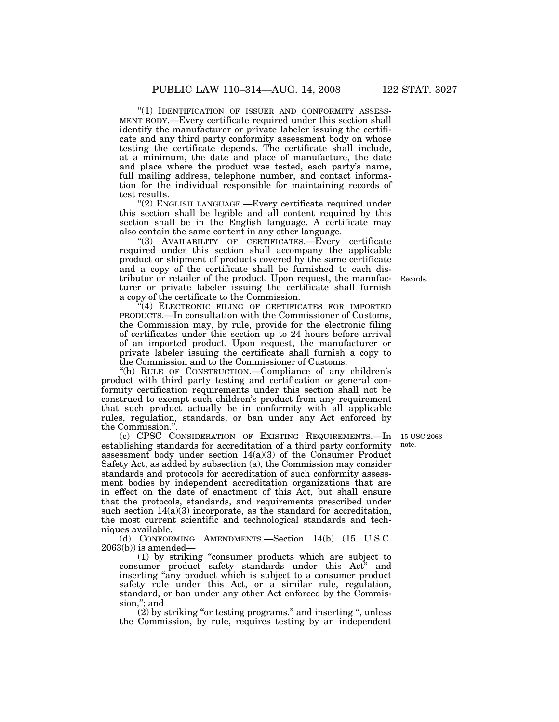"(1) IDENTIFICATION OF ISSUER AND CONFORMITY ASSESS-MENT BODY.—Every certificate required under this section shall identify the manufacturer or private labeler issuing the certificate and any third party conformity assessment body on whose testing the certificate depends. The certificate shall include, at a minimum, the date and place of manufacture, the date and place where the product was tested, each party's name, full mailing address, telephone number, and contact information for the individual responsible for maintaining records of test results.

"(2) ENGLISH LANGUAGE.—Every certificate required under this section shall be legible and all content required by this section shall be in the English language. A certificate may also contain the same content in any other language.

''(3) AVAILABILITY OF CERTIFICATES.—Every certificate required under this section shall accompany the applicable product or shipment of products covered by the same certificate and a copy of the certificate shall be furnished to each distributor or retailer of the product. Upon request, the manufacturer or private labeler issuing the certificate shall furnish a copy of the certificate to the Commission.

(4) ELECTRONIC FILING OF CERTIFICATES FOR IMPORTED PRODUCTS.—In consultation with the Commissioner of Customs, the Commission may, by rule, provide for the electronic filing of certificates under this section up to 24 hours before arrival of an imported product. Upon request, the manufacturer or private labeler issuing the certificate shall furnish a copy to the Commission and to the Commissioner of Customs.

"(h) RULE OF CONSTRUCTION.—Compliance of any children's product with third party testing and certification or general conformity certification requirements under this section shall not be construed to exempt such children's product from any requirement that such product actually be in conformity with all applicable rules, regulation, standards, or ban under any Act enforced by the Commission."

(c) CPSC CONSIDERATION OF EXISTING REQUIREMENTS.—In establishing standards for accreditation of a third party conformity assessment body under section 14(a)(3) of the Consumer Product Safety Act, as added by subsection (a), the Commission may consider standards and protocols for accreditation of such conformity assessment bodies by independent accreditation organizations that are in effect on the date of enactment of this Act, but shall ensure that the protocols, standards, and requirements prescribed under such section  $14(a)(3)$  incorporate, as the standard for accreditation, the most current scientific and technological standards and techniques available.

(d) CONFORMING AMENDMENTS.—Section 14(b) (15 U.S.C.  $2063(b)$ ) is amended—

(1) by striking ''consumer products which are subject to consumer product safety standards under this Act'' and inserting ''any product which is subject to a consumer product safety rule under this Act, or a similar rule, regulation, standard, or ban under any other Act enforced by the Commission,"; and

 $(2)$  by striking "or testing programs." and inserting ", unless the Commission, by rule, requires testing by an independent

15 USC 2063 note.

Records.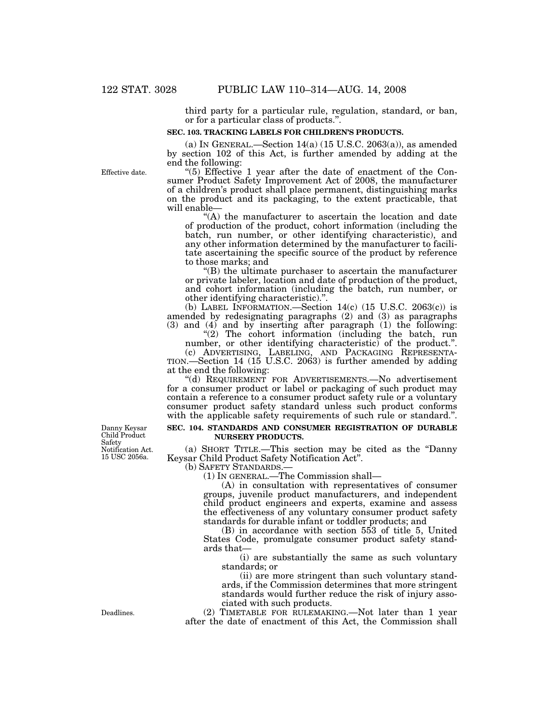third party for a particular rule, regulation, standard, or ban, or for a particular class of products.''.

#### **SEC. 103. TRACKING LABELS FOR CHILDREN'S PRODUCTS.**

(a) IN GENERAL.—Section  $14(a)$  (15 U.S.C. 2063(a)), as amended by section 102 of this Act, is further amended by adding at the end the following:

"(5) Effective 1 year after the date of enactment of the Consumer Product Safety Improvement Act of 2008, the manufacturer of a children's product shall place permanent, distinguishing marks on the product and its packaging, to the extent practicable, that will enable—

 $(A)$  the manufacturer to ascertain the location and date of production of the product, cohort information (including the batch, run number, or other identifying characteristic), and any other information determined by the manufacturer to facilitate ascertaining the specific source of the product by reference to those marks; and

''(B) the ultimate purchaser to ascertain the manufacturer or private labeler, location and date of production of the product, and cohort information (including the batch, run number, or other identifying characteristic).''.

(b) LABEL INFORMATION.—Section  $14(c)$  (15 U.S.C. 2063 $(c)$ ) is amended by redesignating paragraphs (2) and (3) as paragraphs (3) and (4) and by inserting after paragraph (1) the following:

"(2) The cohort information (including the batch, run number, or other identifying characteristic) of the product.".

(c) ADVERTISING, LABELING, AND PACKAGING REPRESENTA- TION.—Section 14 (15 U.S.C. 2063) is further amended by adding at the end the following:

''(d) REQUIREMENT FOR ADVERTISEMENTS.—No advertisement for a consumer product or label or packaging of such product may contain a reference to a consumer product safety rule or a voluntary consumer product safety standard unless such product conforms with the applicable safety requirements of such rule or standard.".

#### **SEC. 104. STANDARDS AND CONSUMER REGISTRATION OF DURABLE NURSERY PRODUCTS.**

(a) SHORT TITLE.—This section may be cited as the ''Danny Keysar Child Product Safety Notification Act''.

 $(1)$  In GENERAL.—The Commission shall—

(A) in consultation with representatives of consumer groups, juvenile product manufacturers, and independent child product engineers and experts, examine and assess the effectiveness of any voluntary consumer product safety standards for durable infant or toddler products; and

(B) in accordance with section 553 of title 5, United States Code, promulgate consumer product safety standards that—

(i) are substantially the same as such voluntary standards; or

(ii) are more stringent than such voluntary standards, if the Commission determines that more stringent standards would further reduce the risk of injury associated with such products.

(2) TIMETABLE FOR RULEMAKING.—Not later than 1 year after the date of enactment of this Act, the Commission shall

Danny Keysar Child Product Safety Notification Act. 15 USC 2056a.

Deadlines.

Effective date.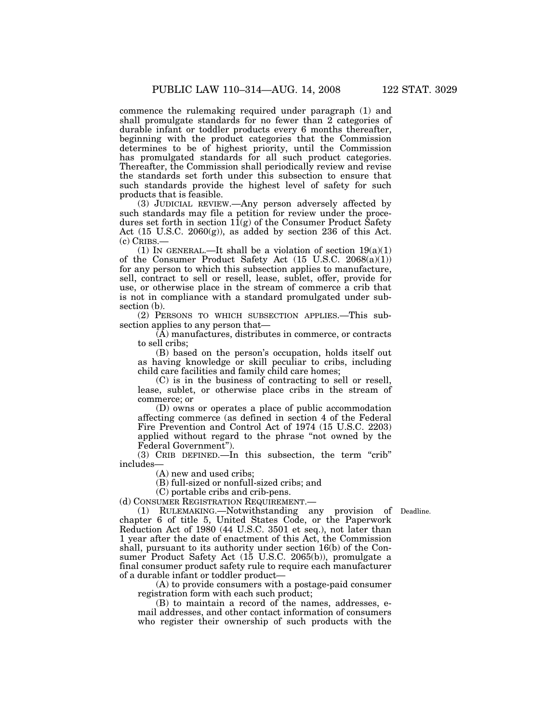commence the rulemaking required under paragraph (1) and shall promulgate standards for no fewer than 2 categories of durable infant or toddler products every 6 months thereafter, beginning with the product categories that the Commission determines to be of highest priority, until the Commission has promulgated standards for all such product categories. Thereafter, the Commission shall periodically review and revise the standards set forth under this subsection to ensure that such standards provide the highest level of safety for such products that is feasible.

(3) JUDICIAL REVIEW.—Any person adversely affected by such standards may file a petition for review under the procedures set forth in section  $1\bar{1}(g)$  of the Consumer Product Safety Act  $(15 \text{ U.S.C. } 2060(g))$ , as added by section 236 of this Act. (c) CRIBS.—

(1) IN GENERAL.—It shall be a violation of section  $19(a)(1)$ of the Consumer Product Safety Act (15 U.S.C. 2068(a)(1)) for any person to which this subsection applies to manufacture, sell, contract to sell or resell, lease, sublet, offer, provide for use, or otherwise place in the stream of commerce a crib that is not in compliance with a standard promulgated under subsection (b).

(2) PERSONS TO WHICH SUBSECTION APPLIES.—This subsection applies to any person that—

(A) manufactures, distributes in commerce, or contracts to sell cribs;

(B) based on the person's occupation, holds itself out as having knowledge or skill peculiar to cribs, including child care facilities and family child care homes;

(C) is in the business of contracting to sell or resell, lease, sublet, or otherwise place cribs in the stream of commerce; or

(D) owns or operates a place of public accommodation affecting commerce (as defined in section 4 of the Federal Fire Prevention and Control Act of 1974 (15 U.S.C. 2203) applied without regard to the phrase ''not owned by the Federal Government'').

(3) CRIB DEFINED.—In this subsection, the term ''crib'' includes—

(A) new and used cribs;

(B) full-sized or nonfull-sized cribs; and

(C) portable cribs and crib-pens.

(d) CONSUMER REGISTRATION REQUIREMENT.—

(1) RULEMAKING.—Notwithstanding any provision of Deadline. chapter 6 of title 5, United States Code, or the Paperwork Reduction Act of 1980 (44 U.S.C. 3501 et seq.), not later than 1 year after the date of enactment of this Act, the Commission shall, pursuant to its authority under section 16(b) of the Consumer Product Safety Act (15 U.S.C. 2065(b)), promulgate a final consumer product safety rule to require each manufacturer of a durable infant or toddler product—

(A) to provide consumers with a postage-paid consumer registration form with each such product;

(B) to maintain a record of the names, addresses, email addresses, and other contact information of consumers who register their ownership of such products with the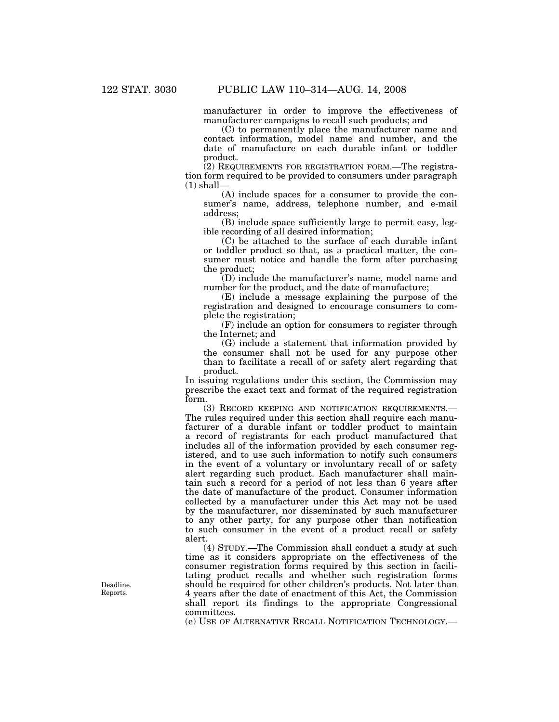manufacturer in order to improve the effectiveness of manufacturer campaigns to recall such products; and

(C) to permanently place the manufacturer name and contact information, model name and number, and the date of manufacture on each durable infant or toddler product.

(2) REQUIREMENTS FOR REGISTRATION FORM.—The registration form required to be provided to consumers under paragraph  $(1)$  shall-

(A) include spaces for a consumer to provide the consumer's name, address, telephone number, and e-mail address;

(B) include space sufficiently large to permit easy, legible recording of all desired information;

(C) be attached to the surface of each durable infant or toddler product so that, as a practical matter, the consumer must notice and handle the form after purchasing the product;

(D) include the manufacturer's name, model name and number for the product, and the date of manufacture;

(E) include a message explaining the purpose of the registration and designed to encourage consumers to complete the registration;

(F) include an option for consumers to register through the Internet; and

(G) include a statement that information provided by the consumer shall not be used for any purpose other than to facilitate a recall of or safety alert regarding that product.

In issuing regulations under this section, the Commission may prescribe the exact text and format of the required registration form.

(3) RECORD KEEPING AND NOTIFICATION REQUIREMENTS.— The rules required under this section shall require each manufacturer of a durable infant or toddler product to maintain a record of registrants for each product manufactured that includes all of the information provided by each consumer registered, and to use such information to notify such consumers in the event of a voluntary or involuntary recall of or safety alert regarding such product. Each manufacturer shall maintain such a record for a period of not less than 6 years after the date of manufacture of the product. Consumer information collected by a manufacturer under this Act may not be used by the manufacturer, nor disseminated by such manufacturer to any other party, for any purpose other than notification to such consumer in the event of a product recall or safety alert.

(4) STUDY.—The Commission shall conduct a study at such time as it considers appropriate on the effectiveness of the consumer registration forms required by this section in facilitating product recalls and whether such registration forms should be required for other children's products. Not later than 4 years after the date of enactment of this Act, the Commission shall report its findings to the appropriate Congressional committees.

(e) USE OF ALTERNATIVE RECALL NOTIFICATION TECHNOLOGY.—

Deadline. Reports.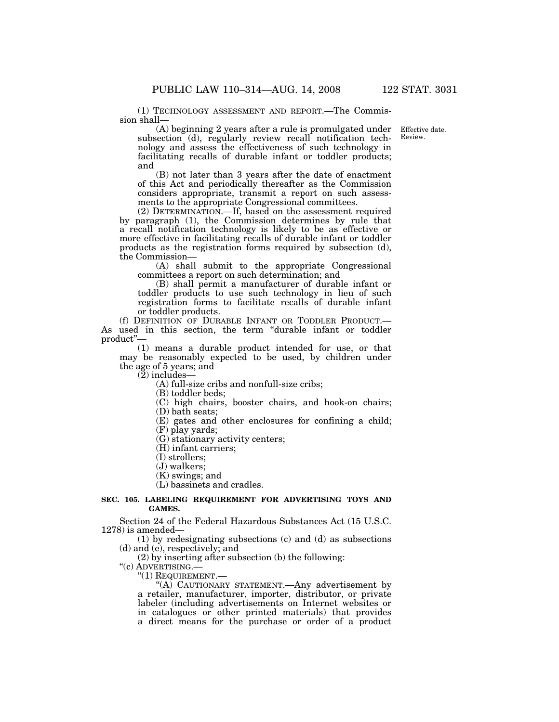(1) TECHNOLOGY ASSESSMENT AND REPORT.—The Commission shall—

> Effective date. Review.

(A) beginning 2 years after a rule is promulgated under subsection (d), regularly review recall notification technology and assess the effectiveness of such technology in facilitating recalls of durable infant or toddler products; and

(B) not later than 3 years after the date of enactment of this Act and periodically thereafter as the Commission considers appropriate, transmit a report on such assessments to the appropriate Congressional committees.

(2) DETERMINATION.—If, based on the assessment required by paragraph (1), the Commission determines by rule that a recall notification technology is likely to be as effective or more effective in facilitating recalls of durable infant or toddler products as the registration forms required by subsection (d), the Commission—

(A) shall submit to the appropriate Congressional committees a report on such determination; and

(B) shall permit a manufacturer of durable infant or toddler products to use such technology in lieu of such registration forms to facilitate recalls of durable infant or toddler products.

(f) DEFINITION OF DURABLE INFANT OR TODDLER PRODUCT.— As used in this section, the term ''durable infant or toddler product''—

(1) means a durable product intended for use, or that may be reasonably expected to be used, by children under the age of 5 years; and

 $(2)$  includes-

(A) full-size cribs and nonfull-size cribs;

(B) toddler beds;

(C) high chairs, booster chairs, and hook-on chairs;

(D) bath seats;

(E) gates and other enclosures for confining a child;

(F) play yards;

(G) stationary activity centers;

(H) infant carriers;

(I) strollers;

(J) walkers;

(K) swings; and

(L) bassinets and cradles.

# **SEC. 105. LABELING REQUIREMENT FOR ADVERTISING TOYS AND GAMES.**

Section 24 of the Federal Hazardous Substances Act (15 U.S.C. 1278) is amended—

(1) by redesignating subsections (c) and (d) as subsections (d) and (e), respectively; and

(2) by inserting after subsection (b) the following: "(c) ADVERTISING.—

 $"(1)$  REQUIREMENT.—

''(A) CAUTIONARY STATEMENT.—Any advertisement by a retailer, manufacturer, importer, distributor, or private labeler (including advertisements on Internet websites or in catalogues or other printed materials) that provides a direct means for the purchase or order of a product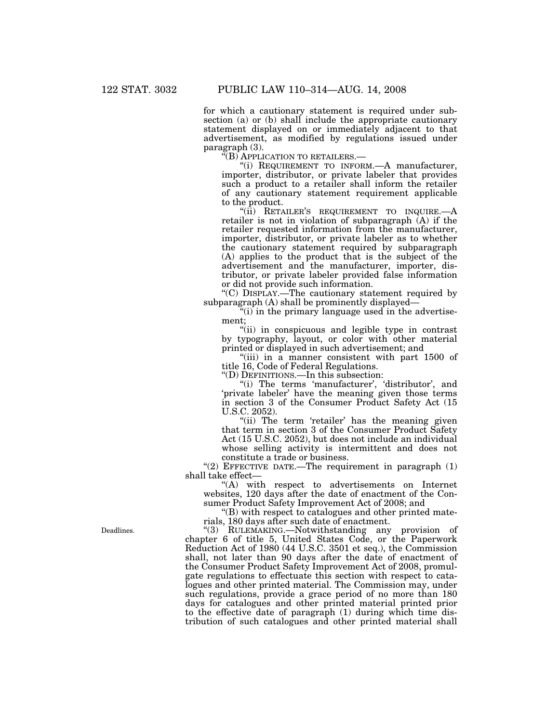for which a cautionary statement is required under subsection (a) or (b) shall include the appropriate cautionary statement displayed on or immediately adjacent to that advertisement, as modified by regulations issued under paragraph (3).<br>"(B) APPLICATION TO RETAILERS.—

"(i) REQUIREMENT TO INFORM.—A manufacturer, importer, distributor, or private labeler that provides such a product to a retailer shall inform the retailer of any cautionary statement requirement applicable to the product.

" $(iii)$  RETAILER'S REQUIREMENT TO INQUIRE.— $A$ retailer is not in violation of subparagraph (A) if the retailer requested information from the manufacturer, importer, distributor, or private labeler as to whether the cautionary statement required by subparagraph (A) applies to the product that is the subject of the advertisement and the manufacturer, importer, distributor, or private labeler provided false information or did not provide such information.

''(C) DISPLAY.—The cautionary statement required by subparagraph (A) shall be prominently displayed—

"(i) in the primary language used in the advertisement;

"(ii) in conspicuous and legible type in contrast by typography, layout, or color with other material printed or displayed in such advertisement; and

''(iii) in a manner consistent with part 1500 of title 16, Code of Federal Regulations.

''(D) DEFINITIONS.—In this subsection:

"(i) The terms 'manufacturer', 'distributor', and 'private labeler' have the meaning given those terms in section 3 of the Consumer Product Safety Act (15 U.S.C. 2052).

"(ii) The term 'retailer' has the meaning given that term in section 3 of the Consumer Product Safety Act (15 U.S.C. 2052), but does not include an individual whose selling activity is intermittent and does not constitute a trade or business.

"(2) EFFECTIVE DATE.—The requirement in paragraph  $(1)$ shall take effect—

''(A) with respect to advertisements on Internet websites, 120 days after the date of enactment of the Consumer Product Safety Improvement Act of 2008; and

 $\mathrm{``(B)}$  with respect to catalogues and other printed materials, 180 days after such date of enactment.

''(3) RULEMAKING.—Notwithstanding any provision of chapter 6 of title 5, United States Code, or the Paperwork Reduction Act of 1980 (44 U.S.C. 3501 et seq.), the Commission shall, not later than 90 days after the date of enactment of the Consumer Product Safety Improvement Act of 2008, promulgate regulations to effectuate this section with respect to catalogues and other printed material. The Commission may, under such regulations, provide a grace period of no more than 180 days for catalogues and other printed material printed prior to the effective date of paragraph (1) during which time distribution of such catalogues and other printed material shall

Deadlines.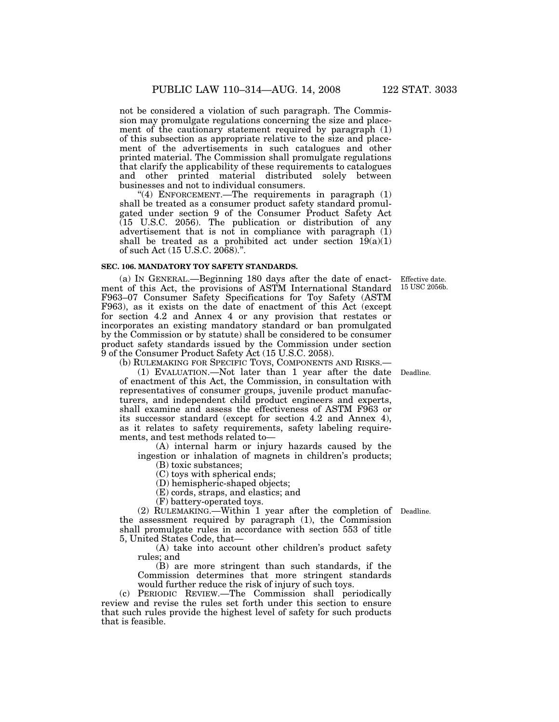not be considered a violation of such paragraph. The Commission may promulgate regulations concerning the size and placement of the cautionary statement required by paragraph (1) of this subsection as appropriate relative to the size and placement of the advertisements in such catalogues and other printed material. The Commission shall promulgate regulations that clarify the applicability of these requirements to catalogues and other printed material distributed solely between businesses and not to individual consumers.

"(4) ENFORCEMENT.—The requirements in paragraph  $(1)$ shall be treated as a consumer product safety standard promulgated under section 9 of the Consumer Product Safety Act  $(15 \text{ U.S.C. } 2056)$ . The publication or distribution of any advertisement that is not in compliance with paragraph  $(i)$ shall be treated as a prohibited act under section  $19(a)(1)$ of such Act (15 U.S.C. 2068).''.

# **SEC. 106. MANDATORY TOY SAFETY STANDARDS.**

(a) IN GENERAL.—Beginning 180 days after the date of enactment of this Act, the provisions of ASTM International Standard F963–07 Consumer Safety Specifications for Toy Safety (ASTM F963), as it exists on the date of enactment of this Act (except for section 4.2 and Annex 4 or any provision that restates or incorporates an existing mandatory standard or ban promulgated by the Commission or by statute) shall be considered to be consumer product safety standards issued by the Commission under section 9 of the Consumer Product Safety Act (15 U.S.C. 2058).

(b) RULEMAKING FOR SPECIFIC TOYS, COMPONENTS AND RISKS.—

(1) EVALUATION.—Not later than 1 year after the date Deadline. of enactment of this Act, the Commission, in consultation with representatives of consumer groups, juvenile product manufacturers, and independent child product engineers and experts, shall examine and assess the effectiveness of ASTM F963 or its successor standard (except for section 4.2 and Annex 4), as it relates to safety requirements, safety labeling requirements, and test methods related to—

(A) internal harm or injury hazards caused by the ingestion or inhalation of magnets in children's products;

(B) toxic substances;

(C) toys with spherical ends;

(D) hemispheric-shaped objects;

(E) cords, straps, and elastics; and

(F) battery-operated toys.

(2) RULEMAKING.—Within 1 year after the completion of Deadline. the assessment required by paragraph (1), the Commission shall promulgate rules in accordance with section 553 of title 5, United States Code, that—

(A) take into account other children's product safety rules; and

(B) are more stringent than such standards, if the Commission determines that more stringent standards would further reduce the risk of injury of such toys.

(c) PERIODIC REVIEW.—The Commission shall periodically review and revise the rules set forth under this section to ensure that such rules provide the highest level of safety for such products that is feasible.

Effective date. 15 USC 2056b.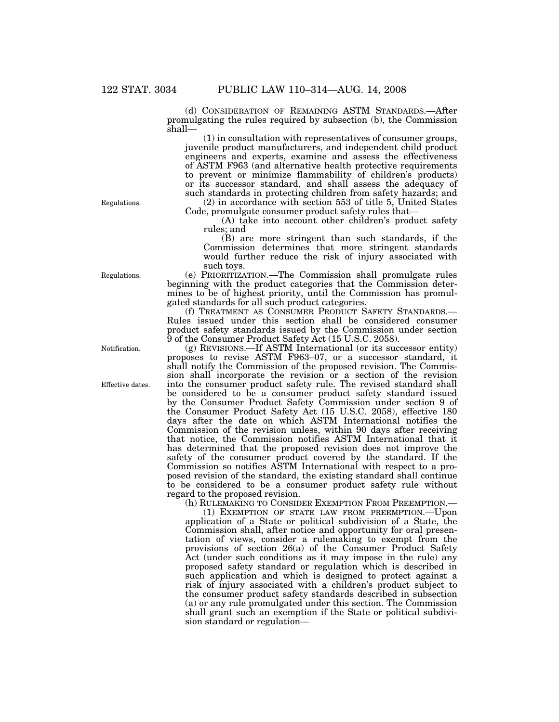(d) CONSIDERATION OF REMAINING ASTM STANDARDS.—After promulgating the rules required by subsection (b), the Commission shall—

(1) in consultation with representatives of consumer groups, juvenile product manufacturers, and independent child product engineers and experts, examine and assess the effectiveness of ASTM F963 (and alternative health protective requirements to prevent or minimize flammability of children's products) or its successor standard, and shall assess the adequacy of such standards in protecting children from safety hazards; and (2) in accordance with section 553 of title 5, United States

Code, promulgate consumer product safety rules that—

(A) take into account other children's product safety rules; and

(B) are more stringent than such standards, if the Commission determines that more stringent standards would further reduce the risk of injury associated with such toys.

(e) PRIORITIZATION.—The Commission shall promulgate rules beginning with the product categories that the Commission determines to be of highest priority, until the Commission has promulgated standards for all such product categories.

(f) TREATMENT AS CONSUMER PRODUCT SAFETY STANDARDS.— Rules issued under this section shall be considered consumer product safety standards issued by the Commission under section 9 of the Consumer Product Safety Act (15 U.S.C. 2058).

(g) REVISIONS.—If ASTM International (or its successor entity) proposes to revise ASTM F963–07, or a successor standard, it shall notify the Commission of the proposed revision. The Commission shall incorporate the revision or a section of the revision into the consumer product safety rule. The revised standard shall be considered to be a consumer product safety standard issued by the Consumer Product Safety Commission under section 9 of the Consumer Product Safety Act (15 U.S.C. 2058), effective 180 days after the date on which ASTM International notifies the Commission of the revision unless, within 90 days after receiving that notice, the Commission notifies ASTM International that it has determined that the proposed revision does not improve the safety of the consumer product covered by the standard. If the Commission so notifies ASTM International with respect to a proposed revision of the standard, the existing standard shall continue to be considered to be a consumer product safety rule without regard to the proposed revision.

(h) RULEMAKING TO CONSIDER EXEMPTION FROM PREEMPTION.—

(1) EXEMPTION OF STATE LAW FROM PREEMPTION.—Upon application of a State or political subdivision of a State, the Commission shall, after notice and opportunity for oral presentation of views, consider a rulemaking to exempt from the provisions of section 26(a) of the Consumer Product Safety Act (under such conditions as it may impose in the rule) any proposed safety standard or regulation which is described in such application and which is designed to protect against a risk of injury associated with a children's product subject to the consumer product safety standards described in subsection (a) or any rule promulgated under this section. The Commission shall grant such an exemption if the State or political subdivision standard or regulation—

Regulations.

Notification.

Regulations.

Effective dates.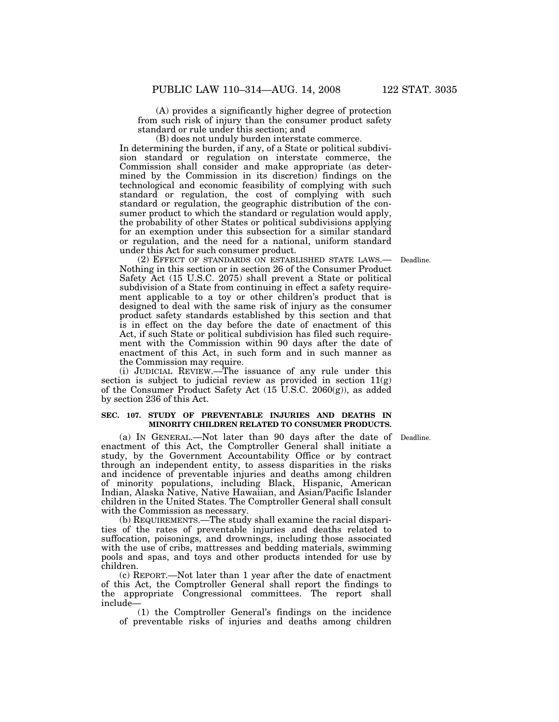(A) provides a significantly higher degree of protection from such risk of injury than the consumer product safety standard or rule under this section; and

(B) does not unduly burden interstate commerce.

In determining the burden, if any, of a State or political subdivision standard or regulation on interstate commerce, the Commission shall consider and make appropriate (as determined by the Commission in its discretion) findings on the technological and economic feasibility of complying with such standard or regulation, the cost of complying with such standard or regulation, the geographic distribution of the consumer product to which the standard or regulation would apply, the probability of other States or political subdivisions applying for an exemption under this subsection for a similar standard or regulation, and the need for a national, uniform standard under this Act for such consumer product.

Deadline.

(2) EFFECT OF STANDARDS ON ESTABLISHED STATE LAWS.— Nothing in this section or in section 26 of the Consumer Product Safety Act (15 U.S.C. 2075) shall prevent a State or political subdivision of a State from continuing in effect a safety requirement applicable to a toy or other children's product that is designed to deal with the same risk of injury as the consumer product safety standards established by this section and that is in effect on the day before the date of enactment of this Act, if such State or political subdivision has filed such requirement with the Commission within 90 days after the date of enactment of this Act, in such form and in such manner as the Commission may require.

(i) JUDICIAL REVIEW.—The issuance of any rule under this section is subject to judicial review as provided in section 11(g) of the Consumer Product Safety Act (15 U.S.C. 2060(g)), as added by section 236 of this Act.

# **SEC. 107. STUDY OF PREVENTABLE INJURIES AND DEATHS IN MINORITY CHILDREN RELATED TO CONSUMER PRODUCTS.**

(a) IN GENERAL.—Not later than 90 days after the date of Deadline. enactment of this Act, the Comptroller General shall initiate a study, by the Government Accountability Office or by contract through an independent entity, to assess disparities in the risks and incidence of preventable injuries and deaths among children of minority populations, including Black, Hispanic, American Indian, Alaska Native, Native Hawaiian, and Asian/Pacific Islander children in the United States. The Comptroller General shall consult with the Commission as necessary.

(b) REQUIREMENTS.—The study shall examine the racial disparities of the rates of preventable injuries and deaths related to suffocation, poisonings, and drownings, including those associated with the use of cribs, mattresses and bedding materials, swimming pools and spas, and toys and other products intended for use by children.

(c) REPORT.—Not later than 1 year after the date of enactment of this Act, the Comptroller General shall report the findings to the appropriate Congressional committees. The report shall include—

(1) the Comptroller General's findings on the incidence of preventable risks of injuries and deaths among children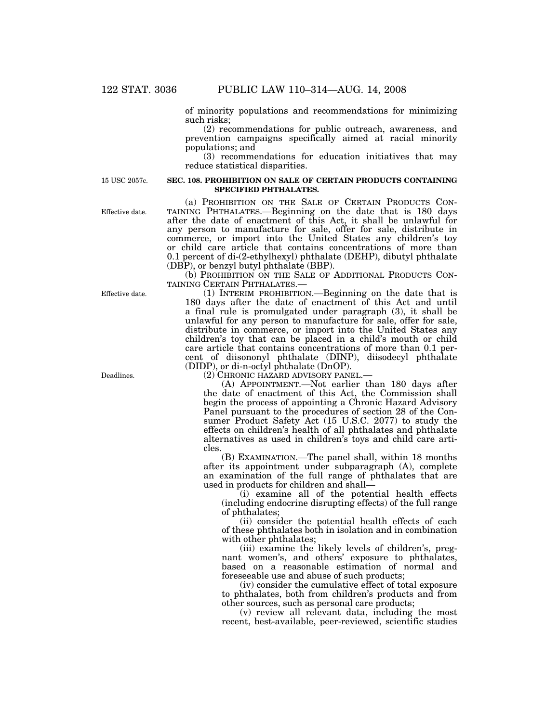of minority populations and recommendations for minimizing such risks;

(2) recommendations for public outreach, awareness, and prevention campaigns specifically aimed at racial minority populations; and

(3) recommendations for education initiatives that may reduce statistical disparities.

15 USC 2057c.

Effective date.

#### **SEC. 108. PROHIBITION ON SALE OF CERTAIN PRODUCTS CONTAINING SPECIFIED PHTHALATES.**

(a) PROHIBITION ON THE SALE OF CERTAIN PRODUCTS CON- TAINING PHTHALATES.—Beginning on the date that is 180 days after the date of enactment of this Act, it shall be unlawful for any person to manufacture for sale, offer for sale, distribute in commerce, or import into the United States any children's toy or child care article that contains concentrations of more than 0.1 percent of di-(2-ethylhexyl) phthalate (DEHP), dibutyl phthalate (DBP), or benzyl butyl phthalate (BBP).

(b) PROHIBITION ON THE SALE OF ADDITIONAL PRODUCTS CON-TAINING CERTAIN PHTHALATES.—

(1) INTERIM PROHIBITION.—Beginning on the date that is 180 days after the date of enactment of this Act and until a final rule is promulgated under paragraph (3), it shall be unlawful for any person to manufacture for sale, offer for sale, distribute in commerce, or import into the United States any children's toy that can be placed in a child's mouth or child care article that contains concentrations of more than 0.1 percent of diisononyl phthalate (DINP), diisodecyl phthalate (DIDP), or di-n-octyl phthalate (DnOP).

(2) CHRONIC HAZARD ADVISORY PANEL.—

(A) APPOINTMENT.—Not earlier than 180 days after the date of enactment of this Act, the Commission shall begin the process of appointing a Chronic Hazard Advisory Panel pursuant to the procedures of section 28 of the Consumer Product Safety Act (15 U.S.C. 2077) to study the effects on children's health of all phthalates and phthalate alternatives as used in children's toys and child care articles.

(B) EXAMINATION.—The panel shall, within 18 months after its appointment under subparagraph (A), complete an examination of the full range of phthalates that are used in products for children and shall—

(i) examine all of the potential health effects (including endocrine disrupting effects) of the full range of phthalates;

(ii) consider the potential health effects of each of these phthalates both in isolation and in combination with other phthalates;

(iii) examine the likely levels of children's, pregnant women's, and others' exposure to phthalates, based on a reasonable estimation of normal and foreseeable use and abuse of such products;

(iv) consider the cumulative effect of total exposure to phthalates, both from children's products and from other sources, such as personal care products;

(v) review all relevant data, including the most recent, best-available, peer-reviewed, scientific studies

Effective date.

Deadlines.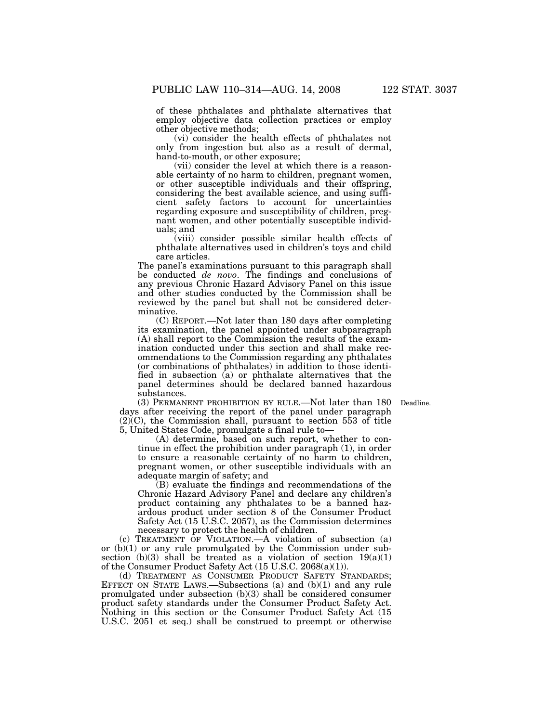of these phthalates and phthalate alternatives that employ objective data collection practices or employ other objective methods;

(vi) consider the health effects of phthalates not only from ingestion but also as a result of dermal, hand-to-mouth, or other exposure;

(vii) consider the level at which there is a reasonable certainty of no harm to children, pregnant women, or other susceptible individuals and their offspring, considering the best available science, and using sufficient safety factors to account for uncertainties regarding exposure and susceptibility of children, pregnant women, and other potentially susceptible individuals; and

(viii) consider possible similar health effects of phthalate alternatives used in children's toys and child care articles.

The panel's examinations pursuant to this paragraph shall be conducted *de novo*. The findings and conclusions of any previous Chronic Hazard Advisory Panel on this issue and other studies conducted by the Commission shall be reviewed by the panel but shall not be considered determinative.

(C) REPORT.—Not later than 180 days after completing its examination, the panel appointed under subparagraph (A) shall report to the Commission the results of the examination conducted under this section and shall make recommendations to the Commission regarding any phthalates (or combinations of phthalates) in addition to those identified in subsection (a) or phthalate alternatives that the panel determines should be declared banned hazardous substances.

Deadline.

(3) PERMANENT PROHIBITION BY RULE.—Not later than 180 days after receiving the report of the panel under paragraph  $(2)$  $(C)$ , the Commission shall, pursuant to section 553 of title 5, United States Code, promulgate a final rule to—

(A) determine, based on such report, whether to continue in effect the prohibition under paragraph (1), in order to ensure a reasonable certainty of no harm to children, pregnant women, or other susceptible individuals with an adequate margin of safety; and

(B) evaluate the findings and recommendations of the Chronic Hazard Advisory Panel and declare any children's product containing any phthalates to be a banned hazardous product under section 8 of the Consumer Product Safety Act (15 U.S.C. 2057), as the Commission determines necessary to protect the health of children.

(c) TREATMENT OF VIOLATION.—A violation of subsection (a) or (b)(1) or any rule promulgated by the Commission under subsection  $(b)(3)$  shall be treated as a violation of section  $19(a)(1)$ of the Consumer Product Safety Act (15 U.S.C. 2068(a)(1)).

(d) TREATMENT AS CONSUMER PRODUCT SAFETY STANDARDS; EFFECT ON STATE LAWS.—Subsections (a) and (b)(1) and any rule promulgated under subsection (b)(3) shall be considered consumer product safety standards under the Consumer Product Safety Act. Nothing in this section or the Consumer Product Safety Act (15 U.S.C. 2051 et seq.) shall be construed to preempt or otherwise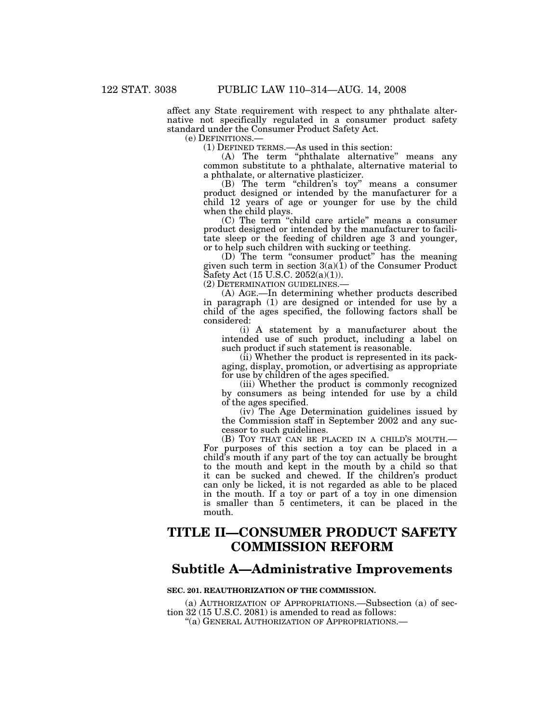affect any State requirement with respect to any phthalate alternative not specifically regulated in a consumer product safety standard under the Consumer Product Safety Act.

(e) DEFINITIONS.— (1) DEFINED TERMS.—As used in this section:

(A) The term ''phthalate alternative'' means any common substitute to a phthalate, alternative material to a phthalate, or alternative plasticizer.

(B) The term "children's toy" means a consumer product designed or intended by the manufacturer for a child 12 years of age or younger for use by the child when the child plays.

(C) The term ''child care article'' means a consumer product designed or intended by the manufacturer to facilitate sleep or the feeding of children age 3 and younger, or to help such children with sucking or teething.

(D) The term ''consumer product'' has the meaning given such term in section  $3(a)(1)$  of the Consumer Product Safety Act (15 U.S.C. 2052(a)(1)).

(2) DETERMINATION GUIDELINES.—

(A) AGE.—In determining whether products described in paragraph (1) are designed or intended for use by a child of the ages specified, the following factors shall be considered:

(i) A statement by a manufacturer about the intended use of such product, including a label on such product if such statement is reasonable.

(ii) Whether the product is represented in its packaging, display, promotion, or advertising as appropriate for use by children of the ages specified.

(iii) Whether the product is commonly recognized by consumers as being intended for use by a child of the ages specified.

(iv) The Age Determination guidelines issued by the Commission staff in September 2002 and any successor to such guidelines.

(B) TOY THAT CAN BE PLACED IN A CHILD'S MOUTH.— For purposes of this section a toy can be placed in a child's mouth if any part of the toy can actually be brought to the mouth and kept in the mouth by a child so that it can be sucked and chewed. If the children's product can only be licked, it is not regarded as able to be placed in the mouth. If a toy or part of a toy in one dimension is smaller than 5 centimeters, it can be placed in the mouth.

# **TITLE II—CONSUMER PRODUCT SAFETY COMMISSION REFORM**

# **Subtitle A—Administrative Improvements**

# **SEC. 201. REAUTHORIZATION OF THE COMMISSION.**

(a) AUTHORIZATION OF APPROPRIATIONS.—Subsection (a) of section 32 (15 U.S.C. 2081) is amended to read as follows:

''(a) GENERAL AUTHORIZATION OF APPROPRIATIONS.—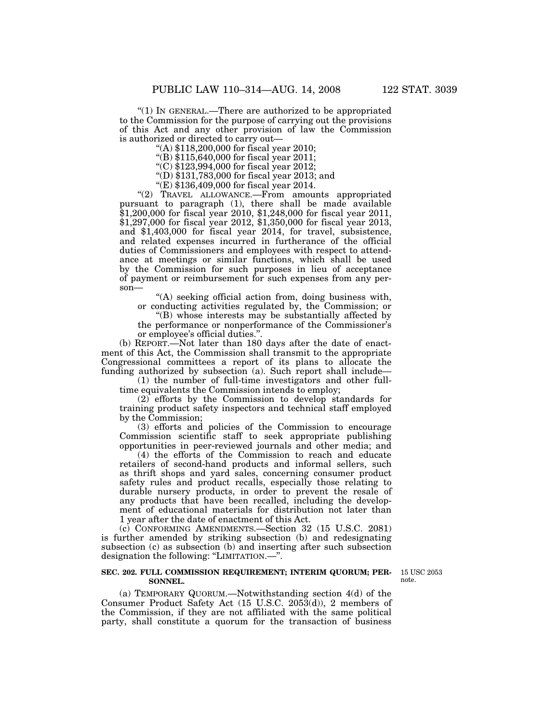''(1) IN GENERAL.—There are authorized to be appropriated to the Commission for the purpose of carrying out the provisions of this Act and any other provision of law the Commission is authorized or directed to carry out—

''(A) \$118,200,000 for fiscal year 2010;

''(B) \$115,640,000 for fiscal year 2011;

''(C) \$123,994,000 for fiscal year 2012;

''(D) \$131,783,000 for fiscal year 2013; and

''(E) \$136,409,000 for fiscal year 2014.

''(2) TRAVEL ALLOWANCE.—From amounts appropriated pursuant to paragraph (1), there shall be made available \$1,200,000 for fiscal year 2010, \$1,248,000 for fiscal year 2011, \$1,297,000 for fiscal year 2012, \$1,350,000 for fiscal year 2013, and \$1,403,000 for fiscal year 2014, for travel, subsistence, and related expenses incurred in furtherance of the official duties of Commissioners and employees with respect to attendance at meetings or similar functions, which shall be used by the Commission for such purposes in lieu of acceptance of payment or reimbursement for such expenses from any person—

''(A) seeking official action from, doing business with, or conducting activities regulated by, the Commission; or

''(B) whose interests may be substantially affected by the performance or nonperformance of the Commissioner's

or employee's official duties.''.

(b) REPORT.—Not later than 180 days after the date of enactment of this Act, the Commission shall transmit to the appropriate Congressional committees a report of its plans to allocate the funding authorized by subsection (a). Such report shall include—

(1) the number of full-time investigators and other fulltime equivalents the Commission intends to employ;

(2) efforts by the Commission to develop standards for training product safety inspectors and technical staff employed by the Commission;

(3) efforts and policies of the Commission to encourage Commission scientific staff to seek appropriate publishing opportunities in peer-reviewed journals and other media; and

(4) the efforts of the Commission to reach and educate retailers of second-hand products and informal sellers, such as thrift shops and yard sales, concerning consumer product safety rules and product recalls, especially those relating to durable nursery products, in order to prevent the resale of any products that have been recalled, including the development of educational materials for distribution not later than 1 year after the date of enactment of this Act.

(c) CONFORMING AMENDMENTS.—Section 32 (15 U.S.C. 2081) is further amended by striking subsection (b) and redesignating subsection (c) as subsection (b) and inserting after such subsection designation the following: ''LIMITATION.—''.

# **SEC. 202. FULL COMMISSION REQUIREMENT; INTERIM QUORUM; PER-SONNEL.**

15 USC 2053 note.

(a) TEMPORARY QUORUM.—Notwithstanding section 4(d) of the Consumer Product Safety Act (15 U.S.C. 2053(d)), 2 members of the Commission, if they are not affiliated with the same political party, shall constitute a quorum for the transaction of business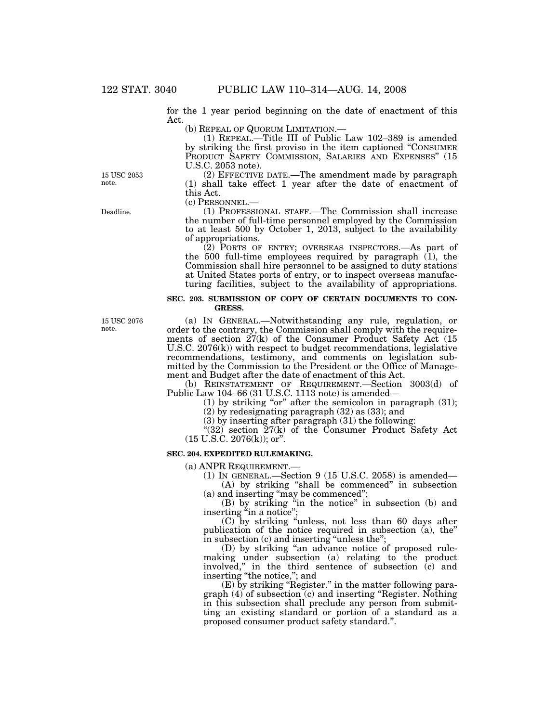for the 1 year period beginning on the date of enactment of this Act.

(b) REPEAL OF QUORUM LIMITATION.—

(1) REPEAL.—Title III of Public Law 102–389 is amended by striking the first proviso in the item captioned ''CONSUMER PRODUCT SAFETY COMMISSION, SALARIES AND EXPENSES" (15 U.S.C. 2053 note).

(2) EFFECTIVE DATE.—The amendment made by paragraph (1) shall take effect 1 year after the date of enactment of this Act.<br>(c) PERSONNEL.-

(1) PROFESSIONAL STAFF.—The Commission shall increase the number of full-time personnel employed by the Commission to at least 500 by October 1, 2013, subject to the availability of appropriations.

(2) PORTS OF ENTRY; OVERSEAS INSPECTORS.—As part of the 500 full-time employees required by paragraph  $(1)$ , the Commission shall hire personnel to be assigned to duty stations at United States ports of entry, or to inspect overseas manufacturing facilities, subject to the availability of appropriations.

# **SEC. 203. SUBMISSION OF COPY OF CERTAIN DOCUMENTS TO CON-GRESS.**

15 USC 2076 note.

Deadline.

15 USC 2053 note.

> (a) IN GENERAL.—Notwithstanding any rule, regulation, or order to the contrary, the Commission shall comply with the requirements of section 27(k) of the Consumer Product Safety Act (15 U.S.C. 2076(k)) with respect to budget recommendations, legislative recommendations, testimony, and comments on legislation submitted by the Commission to the President or the Office of Management and Budget after the date of enactment of this Act.

> (b) REINSTATEMENT OF REQUIREMENT.—Section 3003(d) of Public Law 104–66 (31 U.S.C. 1113 note) is amended—

(1) by striking "or" after the semicolon in paragraph  $(31)$ ;

(2) by redesignating paragraph (32) as (33); and

(3) by inserting after paragraph (31) the following:

" $(32)$  section  $27(k)$  of the Consumer Product Safety Act  $(15 \text{ U.S.C. } 2076 \text{ (k)});$  or".

### **SEC. 204. EXPEDITED RULEMAKING.**

(a) ANPR REQUIREMENT.—

(1) IN GENERAL.—Section 9 (15 U.S.C. 2058) is amended— (A) by striking ''shall be commenced'' in subsection

(a) and inserting ''may be commenced''; (B) by striking ''in the notice'' in subsection (b) and

inserting "in a notice";

(C) by striking ''unless, not less than 60 days after publication of the notice required in subsection (a), the'' in subsection (c) and inserting "unless the";

(D) by striking ''an advance notice of proposed rulemaking under subsection (a) relating to the product involved,'' in the third sentence of subsection (c) and inserting ''the notice,''; and

(E) by striking ''Register.'' in the matter following paragraph  $(4)$  of subsection  $(c)$  and inserting "Register. Nothing" in this subsection shall preclude any person from submitting an existing standard or portion of a standard as a proposed consumer product safety standard.''.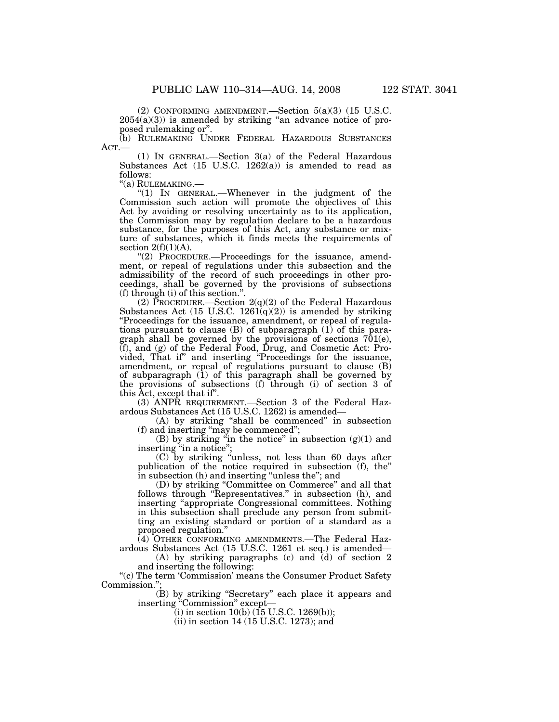(2) CONFORMING AMENDMENT.—Section 5(a)(3) (15 U.S.C.  $2054(a)(3)$  is amended by striking "an advance notice of proposed rulemaking or''.

(b) RULEMAKING UNDER FEDERAL HAZARDOUS SUBSTANCES ACT.— (1) IN GENERAL.—Section 3(a) of the Federal Hazardous

Substances Act  $(15 \text{ U.S.C. } 1262(a))$  is amended to read as follows:

"(a) RULEMAKING.—<br>"(1) IN GENERAL.—Whenever in the judgment of the Commission such action will promote the objectives of this Act by avoiding or resolving uncertainty as to its application, the Commission may by regulation declare to be a hazardous substance, for the purposes of this Act, any substance or mixture of substances, which it finds meets the requirements of section  $2(f)(1)(A)$ .

''(2) PROCEDURE.—Proceedings for the issuance, amendment, or repeal of regulations under this subsection and the admissibility of the record of such proceedings in other proceedings, shall be governed by the provisions of subsections (f) through (i) of this section.''.

(2) PROCEDURE.—Section  $2(q)(2)$  of the Federal Hazardous Substances Act  $(15 \text{ U.S.C. } 1261(q)(2))$  is amended by striking ''Proceedings for the issuance, amendment, or repeal of regulations pursuant to clause (B) of subparagraph (1) of this paragraph shall be governed by the provisions of sections 701(e), (f), and (g) of the Federal Food, Drug, and Cosmetic Act: Provided, That if'' and inserting ''Proceedings for the issuance, amendment, or repeal of regulations pursuant to clause (B) of subparagraph (1) of this paragraph shall be governed by the provisions of subsections (f) through (i) of section 3 of this Act, except that if''.

(3) ANPR REQUIREMENT.—Section 3 of the Federal Hazardous Substances Act (15 U.S.C. 1262) is amended—

(A) by striking ''shall be commenced'' in subsection (f) and inserting ''may be commenced'';

(B) by striking "in the notice" in subsection  $(g)(1)$  and inserting "in a notice";

(C) by striking ''unless, not less than 60 days after publication of the notice required in subsection (f), the'' in subsection (h) and inserting ''unless the''; and

(D) by striking ''Committee on Commerce'' and all that follows through "Representatives." in subsection (h), and inserting ''appropriate Congressional committees. Nothing in this subsection shall preclude any person from submitting an existing standard or portion of a standard as a proposed regulation.''

(4) OTHER CONFORMING AMENDMENTS.—The Federal Hazardous Substances Act (15 U.S.C. 1261 et seq.) is amended—

(A) by striking paragraphs (c) and (d) of section 2 and inserting the following:

"(c) The term 'Commission' means the Consumer Product Safety Commission."

(B) by striking ''Secretary'' each place it appears and inserting ''Commission'' except—

(i) in section  $10(b)$  (15 U.S.C. 1269(b));

(ii) in section 14 (15 U.S.C. 1273); and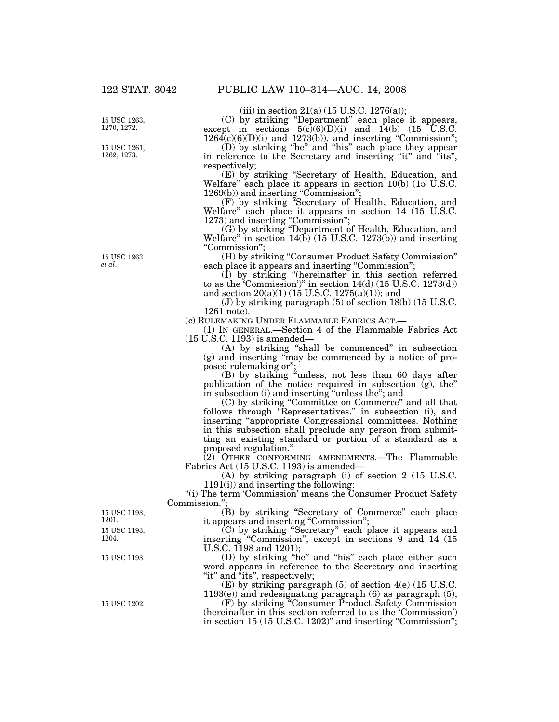15 USC 1263, 1270, 1272.

15 USC 1261, 1262, 1273.

15 USC 1263 *et al*.

(iii) in section  $21(a)$  (15 U.S.C. 1276(a));

(C) by striking ''Department'' each place it appears, except in sections  $5(c)(6)(D)(i)$  and  $14(b)$  (15 U.S.C.  $1264(c)(6)(D)(i)$  and  $1273(b)$ , and inserting "Commission";

(D) by striking ''he'' and ''his'' each place they appear in reference to the Secretary and inserting "it" and "its", respectively;

(E) by striking ''Secretary of Health, Education, and Welfare'' each place it appears in section 10(b) (15 U.S.C. 1269(b)) and inserting "Commission";

(F) by striking ''Secretary of Health, Education, and Welfare'' each place it appears in section 14 (15 U.S.C. 1273) and inserting "Commission";

(G) by striking ''Department of Health, Education, and Welfare" in section  $14(b)$  (15 U.S.C. 1273(b)) and inserting ''Commission'';

(H) by striking ''Consumer Product Safety Commission'' each place it appears and inserting "Commission";

(I) by striking ''(hereinafter in this section referred to as the 'Commission')" in section  $14(d)$  (15 U.S.C. 1273(d)) and section 20(a)(1) (15 U.S.C. 1275(a)(1)); and

(J) by striking paragraph (5) of section 18(b) (15 U.S.C. 1261 note).

(c) RULEMAKING UNDER FLAMMABLE FABRICS ACT.—

(1) IN GENERAL.—Section 4 of the Flammable Fabrics Act (15 U.S.C. 1193) is amended—

(A) by striking ''shall be commenced'' in subsection (g) and inserting ''may be commenced by a notice of proposed rulemaking or'';

(B) by striking ''unless, not less than 60 days after publication of the notice required in subsection (g), the'' in subsection (i) and inserting ''unless the''; and

(C) by striking ''Committee on Commerce'' and all that follows through "Representatives." in subsection (i), and inserting ''appropriate Congressional committees. Nothing in this subsection shall preclude any person from submitting an existing standard or portion of a standard as a proposed regulation.''

(2) OTHER CONFORMING AMENDMENTS.—The Flammable Fabrics Act (15 U.S.C. 1193) is amended—

(A) by striking paragraph (i) of section 2 (15 U.S.C. 1191(i)) and inserting the following:

"(i) The term 'Commission' means the Consumer Product Safety Commission.'';

(B) by striking ''Secretary of Commerce'' each place it appears and inserting "Commission";

(C) by striking ''Secretary'' each place it appears and inserting ''Commission'', except in sections 9 and 14 (15 U.S.C. 1198 and 1201);

(D) by striking ''he'' and ''his'' each place either such word appears in reference to the Secretary and inserting "it" and "its", respectively;

(E) by striking paragraph (5) of section 4(e) (15 U.S.C.  $1193(e)$ ) and redesignating paragraph (6) as paragraph (5);

(F) by striking ''Consumer Product Safety Commission (hereinafter in this section referred to as the 'Commission') in section 15 (15 U.S.C. 1202)" and inserting "Commission";

15 USC 1193, 1204. 15 USC 1193, 1201.

15 USC 1193.

15 USC 1202.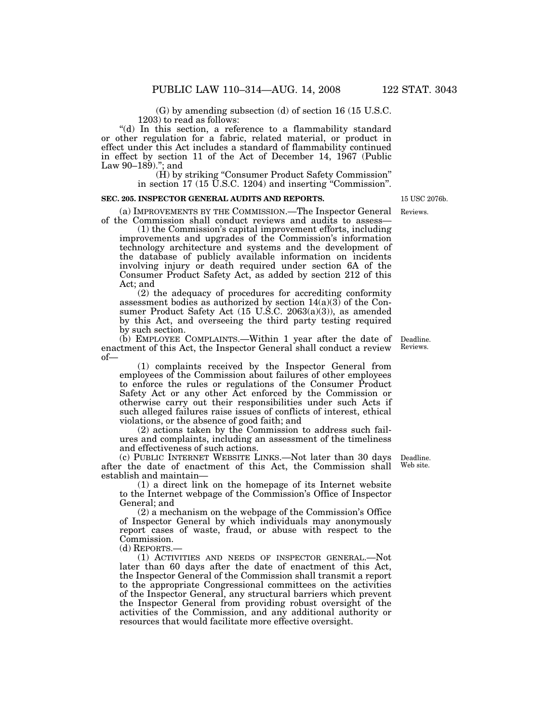(G) by amending subsection (d) of section 16 (15 U.S.C. 1203) to read as follows:

"(d) In this section, a reference to a flammability standard or other regulation for a fabric, related material, or product in effect under this Act includes a standard of flammability continued in effect by section 11 of the Act of December 14, 1967 (Public Law 90–189).''; and

(H) by striking ''Consumer Product Safety Commission'' in section 17 (15 U.S.C. 1204) and inserting ''Commission''.

#### **SEC. 205. INSPECTOR GENERAL AUDITS AND REPORTS.**

(a) IMPROVEMENTS BY THE COMMISSION.—The Inspector General of the Commission shall conduct reviews and audits to assess—

(1) the Commission's capital improvement efforts, including improvements and upgrades of the Commission's information technology architecture and systems and the development of the database of publicly available information on incidents involving injury or death required under section 6A of the Consumer Product Safety Act, as added by section 212 of this Act; and

(2) the adequacy of procedures for accrediting conformity assessment bodies as authorized by section 14(a)(3) of the Consumer Product Safety Act (15 U.S.C. 2063(a)(3)), as amended by this Act, and overseeing the third party testing required by such section.

(b) EMPLOYEE COMPLAINTS.—Within 1 year after the date of Deadline. enactment of this Act, the Inspector General shall conduct a review of—

(1) complaints received by the Inspector General from employees of the Commission about failures of other employees to enforce the rules or regulations of the Consumer Product Safety Act or any other Act enforced by the Commission or otherwise carry out their responsibilities under such Acts if such alleged failures raise issues of conflicts of interest, ethical violations, or the absence of good faith; and

(2) actions taken by the Commission to address such failures and complaints, including an assessment of the timeliness and effectiveness of such actions.

(c) PUBLIC INTERNET WEBSITE LINKS.—Not later than 30 days after the date of enactment of this Act, the Commission shall establish and maintain—

(1) a direct link on the homepage of its Internet website to the Internet webpage of the Commission's Office of Inspector General; and

(2) a mechanism on the webpage of the Commission's Office of Inspector General by which individuals may anonymously report cases of waste, fraud, or abuse with respect to the Commission.

(d) REPORTS.—

(1) ACTIVITIES AND NEEDS OF INSPECTOR GENERAL.—Not later than 60 days after the date of enactment of this Act, the Inspector General of the Commission shall transmit a report to the appropriate Congressional committees on the activities of the Inspector General, any structural barriers which prevent the Inspector General from providing robust oversight of the activities of the Commission, and any additional authority or resources that would facilitate more effective oversight.

Deadline. Web site.

Reviews.

Reviews.

15 USC 2076b.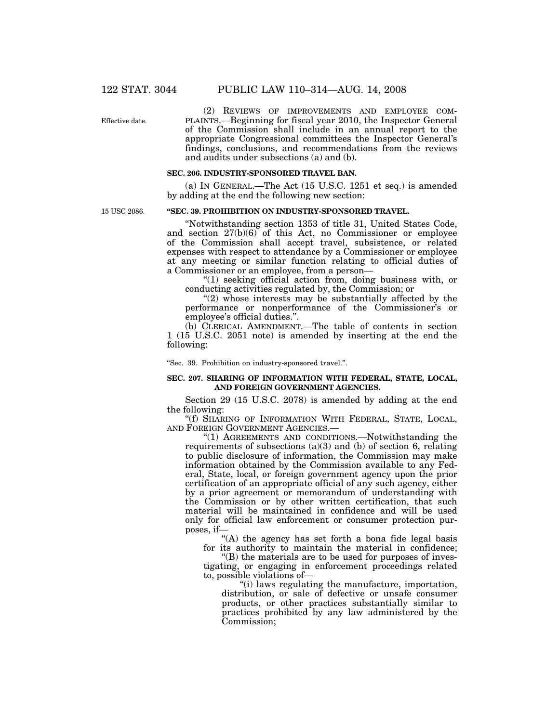Effective date.

(2) REVIEWS OF IMPROVEMENTS AND EMPLOYEE COM-PLAINTS.—Beginning for fiscal year 2010, the Inspector General of the Commission shall include in an annual report to the appropriate Congressional committees the Inspector General's findings, conclusions, and recommendations from the reviews and audits under subsections (a) and (b).

#### **SEC. 206. INDUSTRY-SPONSORED TRAVEL BAN.**

(a) IN GENERAL.—The Act (15 U.S.C. 1251 et seq.) is amended by adding at the end the following new section:

15 USC 2086.

### **''SEC. 39. PROHIBITION ON INDUSTRY-SPONSORED TRAVEL.**

''Notwithstanding section 1353 of title 31, United States Code, and section 27(b)(6) of this Act, no Commissioner or employee of the Commission shall accept travel, subsistence, or related expenses with respect to attendance by a Commissioner or employee at any meeting or similar function relating to official duties of a Commissioner or an employee, from a person—

''(1) seeking official action from, doing business with, or conducting activities regulated by, the Commission; or

" $(2)$  whose interests may be substantially affected by the performance or nonperformance of the Commissioner's or employee's official duties.''.

(b) CLERICAL AMENDMENT.—The table of contents in section 1 (15 U.S.C. 2051 note) is amended by inserting at the end the following:

''Sec. 39. Prohibition on industry-sponsored travel.''.

#### **SEC. 207. SHARING OF INFORMATION WITH FEDERAL, STATE, LOCAL, AND FOREIGN GOVERNMENT AGENCIES.**

Section 29 (15 U.S.C. 2078) is amended by adding at the end the following:

''(f) SHARING OF INFORMATION WITH FEDERAL, STATE, LOCAL, AND FOREIGN GOVERNMENT AGENCIES.—

''(1) AGREEMENTS AND CONDITIONS.—Notwithstanding the requirements of subsections (a)(3) and (b) of section 6, relating to public disclosure of information, the Commission may make information obtained by the Commission available to any Federal, State, local, or foreign government agency upon the prior certification of an appropriate official of any such agency, either by a prior agreement or memorandum of understanding with the Commission or by other written certification, that such material will be maintained in confidence and will be used only for official law enforcement or consumer protection purposes, if—

"(A) the agency has set forth a bona fide legal basis for its authority to maintain the material in confidence;

''(B) the materials are to be used for purposes of investigating, or engaging in enforcement proceedings related to, possible violations of—

''(i) laws regulating the manufacture, importation, distribution, or sale of defective or unsafe consumer products, or other practices substantially similar to practices prohibited by any law administered by the Commission;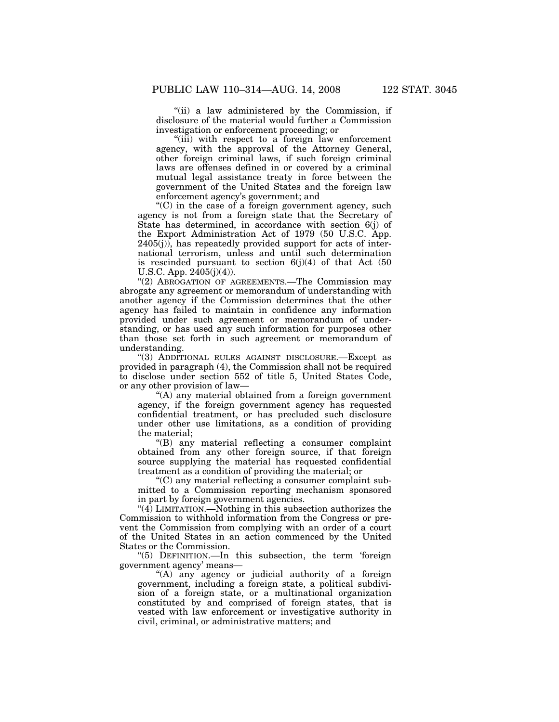''(ii) a law administered by the Commission, if

disclosure of the material would further a Commission investigation or enforcement proceeding; or

"(iii) with respect to a foreign law enforcement agency, with the approval of the Attorney General, other foreign criminal laws, if such foreign criminal laws are offenses defined in or covered by a criminal mutual legal assistance treaty in force between the government of the United States and the foreign law enforcement agency's government; and

 $(C)$  in the case of a foreign government agency, such agency is not from a foreign state that the Secretary of State has determined, in accordance with section 6(j) of the Export Administration Act of 1979 (50 U.S.C. App. 2405(j)), has repeatedly provided support for acts of international terrorism, unless and until such determination is rescinded pursuant to section  $6(j)(4)$  of that Act (50) U.S.C. App.  $2405(i)(4)$ .

''(2) ABROGATION OF AGREEMENTS.—The Commission may abrogate any agreement or memorandum of understanding with another agency if the Commission determines that the other agency has failed to maintain in confidence any information provided under such agreement or memorandum of understanding, or has used any such information for purposes other than those set forth in such agreement or memorandum of understanding.

''(3) ADDITIONAL RULES AGAINST DISCLOSURE.—Except as provided in paragraph (4), the Commission shall not be required to disclose under section 552 of title 5, United States Code, or any other provision of law—

"(A) any material obtained from a foreign government agency, if the foreign government agency has requested confidential treatment, or has precluded such disclosure under other use limitations, as a condition of providing the material;

''(B) any material reflecting a consumer complaint obtained from any other foreign source, if that foreign source supplying the material has requested confidential treatment as a condition of providing the material; or

''(C) any material reflecting a consumer complaint submitted to a Commission reporting mechanism sponsored in part by foreign government agencies.

 $\mathcal{L}(4)$  LIMITATION.—Nothing in this subsection authorizes the Commission to withhold information from the Congress or prevent the Commission from complying with an order of a court of the United States in an action commenced by the United States or the Commission.

''(5) DEFINITION.—In this subsection, the term 'foreign government agency' means—

''(A) any agency or judicial authority of a foreign government, including a foreign state, a political subdivision of a foreign state, or a multinational organization constituted by and comprised of foreign states, that is vested with law enforcement or investigative authority in civil, criminal, or administrative matters; and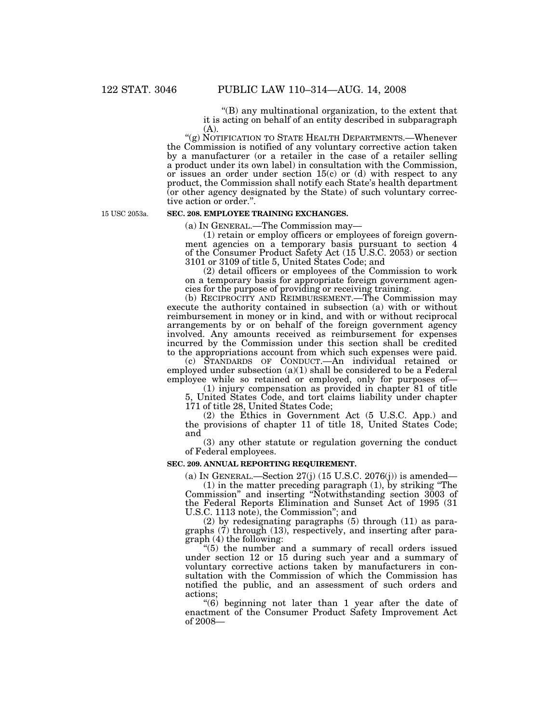''(B) any multinational organization, to the extent that it is acting on behalf of an entity described in subparagraph (A).

''(g) NOTIFICATION TO STATE HEALTH DEPARTMENTS.—Whenever the Commission is notified of any voluntary corrective action taken by a manufacturer (or a retailer in the case of a retailer selling a product under its own label) in consultation with the Commission, or issues an order under section  $15(c)$  or (d) with respect to any product, the Commission shall notify each State's health department (or other agency designated by the State) of such voluntary corrective action or order.''.

15 USC 2053a.

#### **SEC. 208. EMPLOYEE TRAINING EXCHANGES.**

(a) IN GENERAL.—The Commission may—

(1) retain or employ officers or employees of foreign government agencies on a temporary basis pursuant to section 4 of the Consumer Product Safety Act (15 U.S.C. 2053) or section 3101 or 3109 of title 5, United States Code; and

(2) detail officers or employees of the Commission to work on a temporary basis for appropriate foreign government agencies for the purpose of providing or receiving training.

(b) RECIPROCITY AND REIMBURSEMENT.—The Commission may execute the authority contained in subsection (a) with or without reimbursement in money or in kind, and with or without reciprocal arrangements by or on behalf of the foreign government agency involved. Any amounts received as reimbursement for expenses incurred by the Commission under this section shall be credited to the appropriations account from which such expenses were paid.

(c) STANDARDS OF CONDUCT.—An individual retained or employed under subsection (a)(1) shall be considered to be a Federal employee while so retained or employed, only for purposes of—

(1) injury compensation as provided in chapter 81 of title 5, United States Code, and tort claims liability under chapter 171 of title 28, United States Code;

(2) the Ethics in Government Act (5 U.S.C. App.) and the provisions of chapter 11 of title 18, United States Code; and

(3) any other statute or regulation governing the conduct of Federal employees.

# **SEC. 209. ANNUAL REPORTING REQUIREMENT.**

(a) IN GENERAL.—Section  $27(j)$  (15 U.S.C.  $2076(j)$ ) is amended— (1) in the matter preceding paragraph (1), by striking ''The

Commission'' and inserting ''Notwithstanding section 3003 of the Federal Reports Elimination and Sunset Act of 1995 (31 U.S.C. 1113 note), the Commission''; and

(2) by redesignating paragraphs (5) through (11) as paragraphs (7) through (13), respectively, and inserting after paragraph (4) the following:

''(5) the number and a summary of recall orders issued under section 12 or 15 during such year and a summary of voluntary corrective actions taken by manufacturers in consultation with the Commission of which the Commission has notified the public, and an assessment of such orders and actions;

''(6) beginning not later than 1 year after the date of enactment of the Consumer Product Safety Improvement Act of 2008—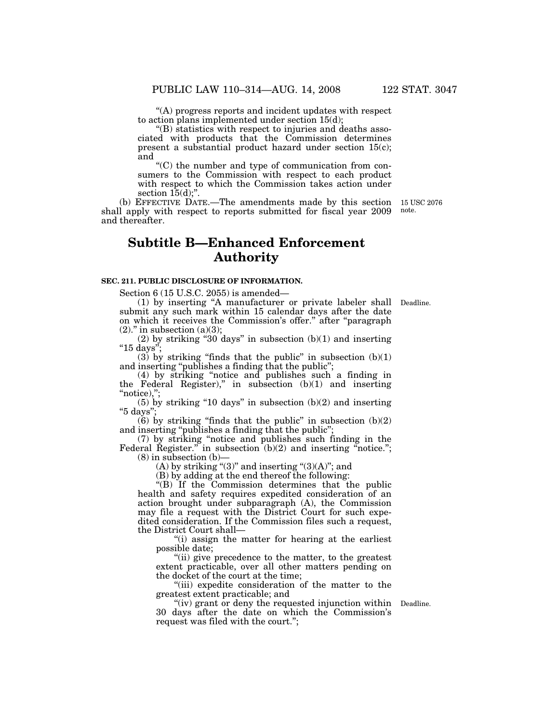''(A) progress reports and incident updates with respect to action plans implemented under section 15(d);

''(B) statistics with respect to injuries and deaths associated with products that the Commission determines present a substantial product hazard under section 15(c); and

 $C$ ) the number and type of communication from consumers to the Commission with respect to each product with respect to which the Commission takes action under section  $15(d)$ ;".

(b) EFFECTIVE DATE.—The amendments made by this section 15 USC 2076 shall apply with respect to reports submitted for fiscal year 2009 and thereafter.

# **Subtitle B—Enhanced Enforcement Authority**

#### **SEC. 211. PUBLIC DISCLOSURE OF INFORMATION.**

Section 6 (15 U.S.C. 2055) is amended—

(1) by inserting ''A manufacturer or private labeler shall submit any such mark within 15 calendar days after the date on which it receives the Commission's offer.'' after ''paragraph  $(2)$ ." in subsection  $(a)(3)$ ;

 $(2)$  by striking "30 days" in subsection  $(b)(1)$  and inserting ''15 days'';

(3) by striking "finds that the public" in subsection  $(b)(1)$ and inserting ''publishes a finding that the public'';

(4) by striking ''notice and publishes such a finding in the Federal Register)," in subsection  $(b)(1)$  and inserting  $"notice$ ),";

 $(5)$  by striking "10 days" in subsection  $(b)(2)$  and inserting ''5 days'';

 $(6)$  by striking "finds that the public" in subsection  $(b)(2)$ and inserting ''publishes a finding that the public'';

(7) by striking ''notice and publishes such finding in the Federal Register." in subsection (b)(2) and inserting "notice.";  $(8)$  in subsection  $(b)$ –

(A) by striking " $(3)$ " and inserting " $(3)(A)$ "; and

(B) by adding at the end thereof the following:

 $*(B)$  If the Commission determines that the public health and safety requires expedited consideration of an action brought under subparagraph (A), the Commission may file a request with the District Court for such expedited consideration. If the Commission files such a request, the District Court shall—

''(i) assign the matter for hearing at the earliest possible date;

"(ii) give precedence to the matter, to the greatest extent practicable, over all other matters pending on the docket of the court at the time;

''(iii) expedite consideration of the matter to the greatest extent practicable; and

"(iv) grant or deny the requested injunction within Deadline. 30 days after the date on which the Commission's request was filed with the court.'';

Deadline.

note.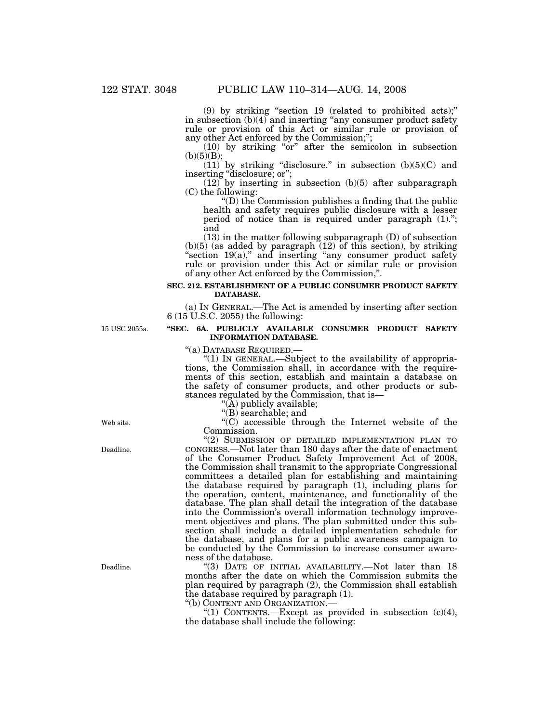(9) by striking ''section 19 (related to prohibited acts);'' in subsection (b)(4) and inserting "any consumer product safety rule or provision of this Act or similar rule or provision of any other Act enforced by the Commission;'';

(10) by striking ''or'' after the semicolon in subsection  $(b)(5)(B);$ 

 $(11)$  by striking "disclosure." in subsection  $(b)(5)(C)$  and inserting "disclosure; or";

(12) by inserting in subsection (b)(5) after subparagraph (C) the following:

''(D) the Commission publishes a finding that the public health and safety requires public disclosure with a lesser period of notice than is required under paragraph (1).''; and

(13) in the matter following subparagraph (D) of subsection  $(b)(5)$  (as added by paragraph  $(12)$  of this section), by striking "section 19(a)," and inserting "any consumer product safety rule or provision under this Act or similar rule or provision of any other Act enforced by the Commission,''.

## **SEC. 212. ESTABLISHMENT OF A PUBLIC CONSUMER PRODUCT SAFETY DATABASE.**

(a) IN GENERAL.—The Act is amended by inserting after section 6 (15 U.S.C. 2055) the following:

# **''SEC. 6A. PUBLICLY AVAILABLE CONSUMER PRODUCT SAFETY INFORMATION DATABASE.**

''(a) DATABASE REQUIRED.— ''(1) IN GENERAL.—Subject to the availability of appropriations, the Commission shall, in accordance with the requirements of this section, establish and maintain a database on the safety of consumer products, and other products or substances regulated by the Commission, that is—

"(A) publicly available;

''(B) searchable; and

''(C) accessible through the Internet website of the Commission.

''(2) SUBMISSION OF DETAILED IMPLEMENTATION PLAN TO CONGRESS.—Not later than 180 days after the date of enactment of the Consumer Product Safety Improvement Act of 2008, the Commission shall transmit to the appropriate Congressional committees a detailed plan for establishing and maintaining the database required by paragraph (1), including plans for the operation, content, maintenance, and functionality of the database. The plan shall detail the integration of the database into the Commission's overall information technology improvement objectives and plans. The plan submitted under this subsection shall include a detailed implementation schedule for the database, and plans for a public awareness campaign to be conducted by the Commission to increase consumer awareness of the database.

''(3) DATE OF INITIAL AVAILABILITY.—Not later than 18 months after the date on which the Commission submits the plan required by paragraph (2), the Commission shall establish the database required by paragraph (1).

''(b) CONTENT AND ORGANIZATION.—

"(1) CONTENTS.—Except as provided in subsection  $(c)(4)$ , the database shall include the following:

Web site.

15 USC 2055a.

Deadline.

Deadline.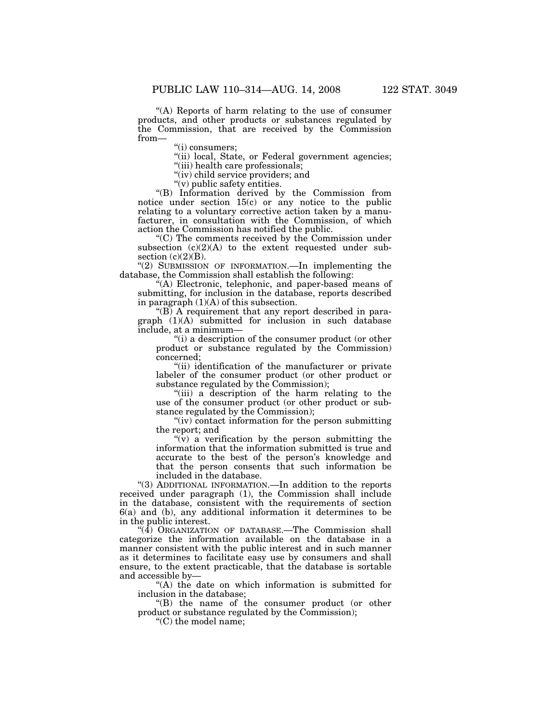''(A) Reports of harm relating to the use of consumer products, and other products or substances regulated by the Commission, that are received by the Commission from—

''(i) consumers;

"(ii) local, State, or Federal government agencies;

"(iii) health care professionals;

"(iv) child service providers; and

''(v) public safety entities.

''(B) Information derived by the Commission from notice under section 15(c) or any notice to the public relating to a voluntary corrective action taken by a manufacturer, in consultation with the Commission, of which action the Commission has notified the public.

''(C) The comments received by the Commission under subsection  $(c)(2)(A)$  to the extent requested under subsection  $(c)(2)(B)$ .

"(2) SUBMISSION OF INFORMATION.—In implementing the database, the Commission shall establish the following:

''(A) Electronic, telephonic, and paper-based means of submitting, for inclusion in the database, reports described in paragraph  $(1)(A)$  of this subsection.

" $(B)$  A requirement that any report described in para $graph$   $(1)(A)$  submitted for inclusion in such database include, at a minimum—

''(i) a description of the consumer product (or other product or substance regulated by the Commission) concerned;

''(ii) identification of the manufacturer or private labeler of the consumer product (or other product or substance regulated by the Commission);

"(iii) a description of the harm relating to the use of the consumer product (or other product or substance regulated by the Commission);

''(iv) contact information for the person submitting the report; and

 $f(v)$  a verification by the person submitting the information that the information submitted is true and accurate to the best of the person's knowledge and that the person consents that such information be included in the database.

''(3) ADDITIONAL INFORMATION.—In addition to the reports received under paragraph (1), the Commission shall include in the database, consistent with the requirements of section 6(a) and (b), any additional information it determines to be in the public interest.

" $(4)$  Organization of Database.—The Commission shall categorize the information available on the database in a manner consistent with the public interest and in such manner as it determines to facilitate easy use by consumers and shall ensure, to the extent practicable, that the database is sortable and accessible by—

"(A) the date on which information is submitted for inclusion in the database;

''(B) the name of the consumer product (or other product or substance regulated by the Commission);

''(C) the model name;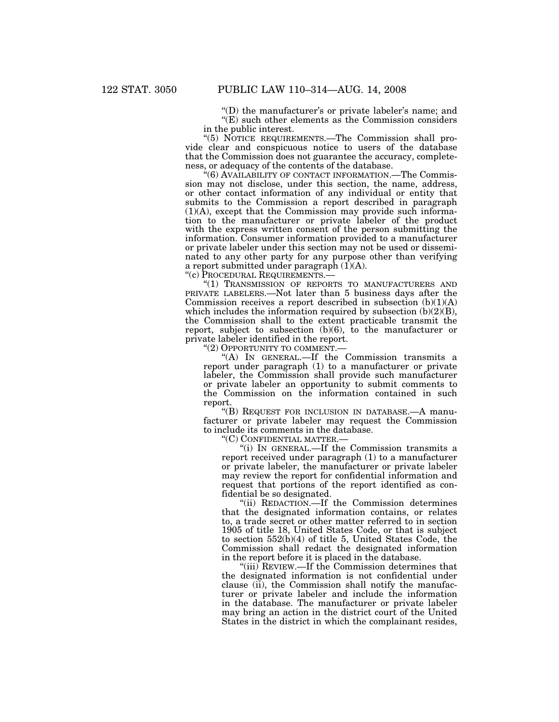"(D) the manufacturer's or private labeler's name; and  $\mathcal{F}(E)$  such other elements as the Commission considers in the public interest.

''(5) NOTICE REQUIREMENTS.—The Commission shall provide clear and conspicuous notice to users of the database that the Commission does not guarantee the accuracy, completeness, or adequacy of the contents of the database.

"(6) AVAILABILITY OF CONTACT INFORMATION.—The Commission may not disclose, under this section, the name, address, or other contact information of any individual or entity that submits to the Commission a report described in paragraph (1)(A), except that the Commission may provide such information to the manufacturer or private labeler of the product with the express written consent of the person submitting the information. Consumer information provided to a manufacturer or private labeler under this section may not be used or disseminated to any other party for any purpose other than verifying a report submitted under paragraph  $(1)(A)$ .

''(c) PROCEDURAL REQUIREMENTS.—

''(1) TRANSMISSION OF REPORTS TO MANUFACTURERS AND PRIVATE LABELERS.—Not later than 5 business days after the Commission receives a report described in subsection  $(b)(1)(A)$ which includes the information required by subsection  $(b)(2)(B)$ , the Commission shall to the extent practicable transmit the report, subject to subsection (b)(6), to the manufacturer or private labeler identified in the report.

"(2) OPPORTUNITY TO COMMENT.-

''(A) IN GENERAL.—If the Commission transmits a report under paragraph (1) to a manufacturer or private labeler, the Commission shall provide such manufacturer or private labeler an opportunity to submit comments to the Commission on the information contained in such report.

''(B) REQUEST FOR INCLUSION IN DATABASE.—A manufacturer or private labeler may request the Commission to include its comments in the database.

''(C) CONFIDENTIAL MATTER.—

''(i) IN GENERAL.—If the Commission transmits a report received under paragraph (1) to a manufacturer or private labeler, the manufacturer or private labeler may review the report for confidential information and request that portions of the report identified as confidential be so designated.

''(ii) REDACTION.—If the Commission determines that the designated information contains, or relates to, a trade secret or other matter referred to in section 1905 of title 18, United States Code, or that is subject to section 552(b)(4) of title 5, United States Code, the Commission shall redact the designated information in the report before it is placed in the database.

''(iii) REVIEW.—If the Commission determines that the designated information is not confidential under clause (ii), the Commission shall notify the manufacturer or private labeler and include the information in the database. The manufacturer or private labeler may bring an action in the district court of the United States in the district in which the complainant resides,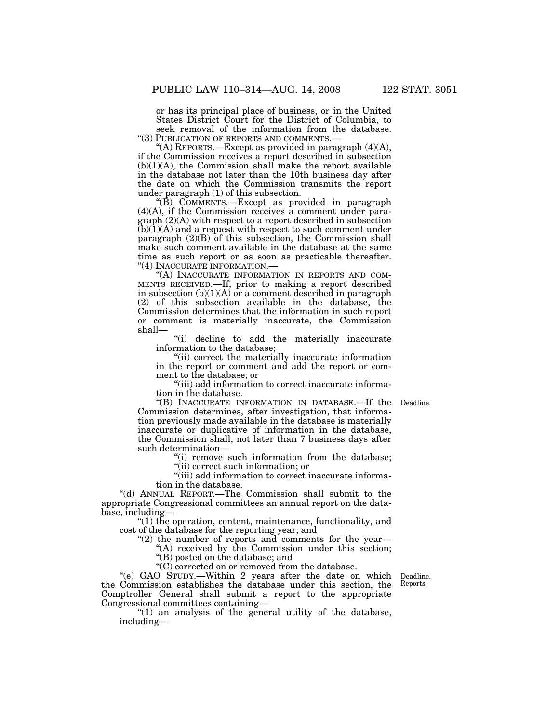or has its principal place of business, or in the United States District Court for the District of Columbia, to seek removal of the information from the database.<br>"(3) PUBLICATION OF REPORTS AND COMMENTS.—

"(A) REPORTS.—Except as provided in paragraph  $(4)(A)$ , if the Commission receives a report described in subsection  $(b)(1)(A)$ , the Commission shall make the report available in the database not later than the 10th business day after the date on which the Commission transmits the report under paragraph (1) of this subsection.

''(B) COMMENTS.—Except as provided in paragraph (4)(A), if the Commission receives a comment under paragraph (2)(A) with respect to a report described in subsection  $(b)(1)(A)$  and a request with respect to such comment under paragraph  $(2)(B)$  of this subsection, the Commission shall make such comment available in the database at the same time as such report or as soon as practicable thereafter. ''(4) INACCURATE INFORMATION.—

''(A) INACCURATE INFORMATION IN REPORTS AND COM-MENTS RECEIVED.—If, prior to making a report described in subsection (b)(1)(A) or a comment described in paragraph (2) of this subsection available in the database, the Commission determines that the information in such report or comment is materially inaccurate, the Commission shall—

''(i) decline to add the materially inaccurate information to the database;

"(ii) correct the materially inaccurate information in the report or comment and add the report or comment to the database; or

"(iii) add information to correct inaccurate information in the database.

"(B) INACCURATE INFORMATION IN DATABASE.—If the Deadline. Commission determines, after investigation, that information previously made available in the database is materially inaccurate or duplicative of information in the database, the Commission shall, not later than 7 business days after such determination—

> $(i)$  remove such information from the database; ''(ii) correct such information; or

''(iii) add information to correct inaccurate informa-

tion in the database.

''(d) ANNUAL REPORT.—The Commission shall submit to the appropriate Congressional committees an annual report on the database, including—

''(1) the operation, content, maintenance, functionality, and cost of the database for the reporting year; and

" $(2)$  the number of reports and comments for the year-

"(A) received by the Commission under this section; ''(B) posted on the database; and

 $\operatorname{C}$  corrected on or removed from the database.

''(e) GAO STUDY.—Within 2 years after the date on which the Commission establishes the database under this section, the Comptroller General shall submit a report to the appropriate Congressional committees containing—

" $(1)$  an analysis of the general utility of the database, including—

Deadline. Reports.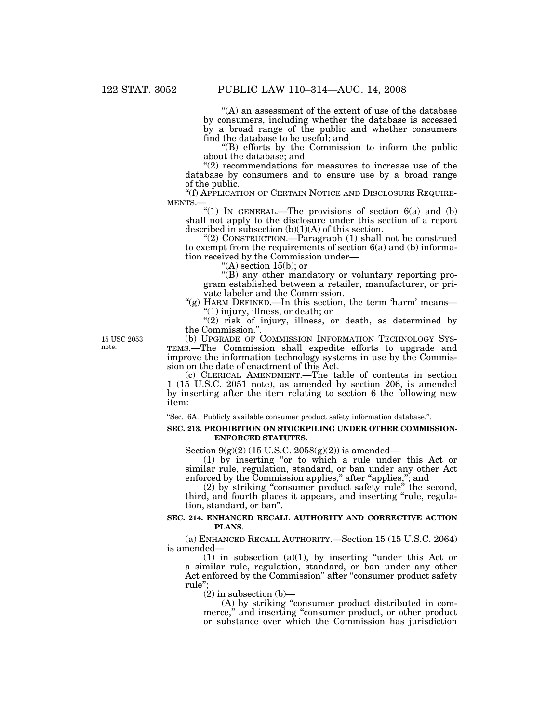"(A) an assessment of the extent of use of the database" by consumers, including whether the database is accessed by a broad range of the public and whether consumers find the database to be useful; and

''(B) efforts by the Commission to inform the public about the database; and

 $(2)$  recommendations for measures to increase use of the database by consumers and to ensure use by a broad range of the public.

''(f) APPLICATION OF CERTAIN NOTICE AND DISCLOSURE REQUIRE- MENTS.—

"(1) IN GENERAL.—The provisions of section  $6(a)$  and  $(b)$ shall not apply to the disclosure under this section of a report described in subsection  $(b)(1)(A)$  of this section.

''(2) CONSTRUCTION.—Paragraph (1) shall not be construed to exempt from the requirements of section  $6(a)$  and (b) information received by the Commission under—

"(A) section  $15(b)$ ; or

''(B) any other mandatory or voluntary reporting program established between a retailer, manufacturer, or private labeler and the Commission.

"(g) HARM DEFINED.—In this section, the term 'harm' means— ''(1) injury, illness, or death; or

 $''(2)$  risk of injury, illness, or death, as determined by the Commission.''.

15 USC 2053 note.

(b) UPGRADE OF COMMISSION INFORMATION TECHNOLOGY SYS-TEMS.—The Commission shall expedite efforts to upgrade and improve the information technology systems in use by the Commission on the date of enactment of this Act.

(c) CLERICAL AMENDMENT.—The table of contents in section 1 (15 U.S.C. 2051 note), as amended by section 206, is amended by inserting after the item relating to section 6 the following new item:

''Sec. 6A. Publicly available consumer product safety information database.''.

# **SEC. 213. PROHIBITION ON STOCKPILING UNDER OTHER COMMISSION-ENFORCED STATUTES.**

Section  $9(g)(2)$  (15 U.S.C. 2058 $(g)(2)$ ) is amended—

(1) by inserting ''or to which a rule under this Act or similar rule, regulation, standard, or ban under any other Act enforced by the Commission applies," after "applies,"; and

(2) by striking ''consumer product safety rule'' the second, third, and fourth places it appears, and inserting "rule, regulation, standard, or ban''.

# **SEC. 214. ENHANCED RECALL AUTHORITY AND CORRECTIVE ACTION PLANS.**

(a) ENHANCED RECALL AUTHORITY.—Section 15 (15 U.S.C. 2064) is amended—

(1) in subsection (a)(1), by inserting ''under this Act or a similar rule, regulation, standard, or ban under any other Act enforced by the Commission'' after ''consumer product safety rule'';

 $(2)$  in subsection  $(b)$ —

(A) by striking ''consumer product distributed in commerce," and inserting "consumer product, or other product or substance over which the Commission has jurisdiction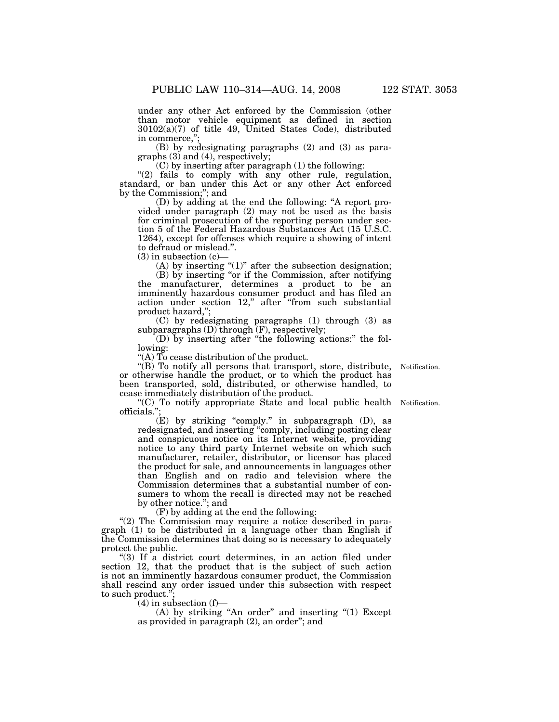under any other Act enforced by the Commission (other than motor vehicle equipment as defined in section 30102(a)(7) of title 49, United States Code), distributed in commerce,'';

(B) by redesignating paragraphs (2) and (3) as paragraphs (3) and (4), respectively;

(C) by inserting after paragraph (1) the following:

"(2) fails to comply with any other rule, regulation, standard, or ban under this Act or any other Act enforced by the Commission;''; and

(D) by adding at the end the following: ''A report provided under paragraph (2) may not be used as the basis for criminal prosecution of the reporting person under section 5 of the Federal Hazardous Substances Act (15 U.S.C. 1264), except for offenses which require a showing of intent to defraud or mislead.''.

 $(3)$  in subsection  $(c)$ –

 $(A)$  by inserting " $(1)$ " after the subsection designation;

(B) by inserting ''or if the Commission, after notifying the manufacturer, determines a product to be an imminently hazardous consumer product and has filed an action under section 12," after "from such substantial product hazard,'';

(C) by redesignating paragraphs (1) through (3) as subparagraphs (D) through (F), respectively;

(D) by inserting after ''the following actions:'' the following:

''(A) To cease distribution of the product.

"(B) To notify all persons that transport, store, distribute, or otherwise handle the product, or to which the product has been transported, sold, distributed, or otherwise handled, to cease immediately distribution of the product.

''(C) To notify appropriate State and local public health Notification. officials.'';

 $(E)$  by striking "comply." in subparagraph  $(D)$ , as redesignated, and inserting ''comply, including posting clear and conspicuous notice on its Internet website, providing notice to any third party Internet website on which such manufacturer, retailer, distributor, or licensor has placed the product for sale, and announcements in languages other than English and on radio and television where the Commission determines that a substantial number of consumers to whom the recall is directed may not be reached by other notice.''; and

(F) by adding at the end the following:

"(2) The Commission may require a notice described in paragraph (1) to be distributed in a language other than English if the Commission determines that doing so is necessary to adequately protect the public.

"(3) If a district court determines, in an action filed under section 12, that the product that is the subject of such action is not an imminently hazardous consumer product, the Commission shall rescind any order issued under this subsection with respect to such product.'';

 $(4)$  in subsection  $(f)$ —

(A) by striking "An order" and inserting "(1) Except as provided in paragraph (2), an order''; and

Notification.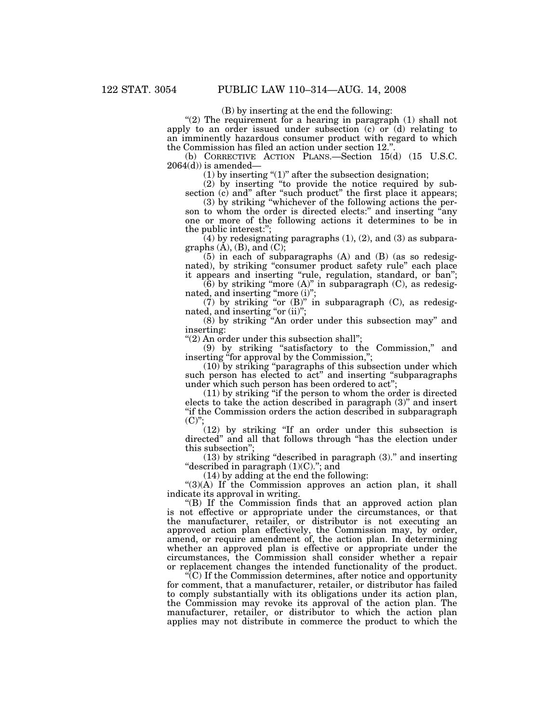(B) by inserting at the end the following:

" $(2)$  The requirement for a hearing in paragraph  $(1)$  shall not apply to an order issued under subsection (c) or (d) relating to an imminently hazardous consumer product with regard to which the Commission has filed an action under section 12."

(b) CORRECTIVE ACTION PLANS.—Section 15(d) (15 U.S.C.  $2064(d)$  is amended—

(1) by inserting " $(1)$ " after the subsection designation;

(2) by inserting ''to provide the notice required by subsection (c) and" after "such product" the first place it appears;

(3) by striking ''whichever of the following actions the person to whom the order is directed elects." and inserting "any one or more of the following actions it determines to be in the public interest:'';

 $(4)$  by redesignating paragraphs  $(1)$ ,  $(2)$ , and  $(3)$  as subparagraphs  $(\dot{A})$ ,  $(B)$ , and  $(C)$ ;

(5) in each of subparagraphs (A) and (B) (as so redesignated), by striking "consumer product safety rule" each place it appears and inserting ''rule, regulation, standard, or ban'';

(6) by striking "more  $(A)$ " in subparagraph  $(C)$ , as redesignated, and inserting "more (i)";

(7) by striking "or  $(B)$ " in subparagraph  $(C)$ , as redesignated, and inserting "or (ii)";

(8) by striking ''An order under this subsection may'' and inserting:

''(2) An order under this subsection shall'';

(9) by striking ''satisfactory to the Commission,'' and inserting "for approval by the Commission,";

(10) by striking ''paragraphs of this subsection under which such person has elected to act" and inserting "subparagraphs" under which such person has been ordered to act"

(11) by striking ''if the person to whom the order is directed elects to take the action described in paragraph (3)'' and insert ''if the Commission orders the action described in subparagraph  $(C)$ ";

(12) by striking ''If an order under this subsection is directed'' and all that follows through ''has the election under this subsection'';

 $(13)$  by striking "described in paragraph  $(3)$ ." and inserting ''described in paragraph (1)(C).''; and

(14) by adding at the end the following:

 $\cdot$ (3)(A) If the Commission approves an action plan, it shall indicate its approval in writing.

''(B) If the Commission finds that an approved action plan is not effective or appropriate under the circumstances, or that the manufacturer, retailer, or distributor is not executing an approved action plan effectively, the Commission may, by order, amend, or require amendment of, the action plan. In determining whether an approved plan is effective or appropriate under the circumstances, the Commission shall consider whether a repair or replacement changes the intended functionality of the product.

''(C) If the Commission determines, after notice and opportunity for comment, that a manufacturer, retailer, or distributor has failed to comply substantially with its obligations under its action plan, the Commission may revoke its approval of the action plan. The manufacturer, retailer, or distributor to which the action plan applies may not distribute in commerce the product to which the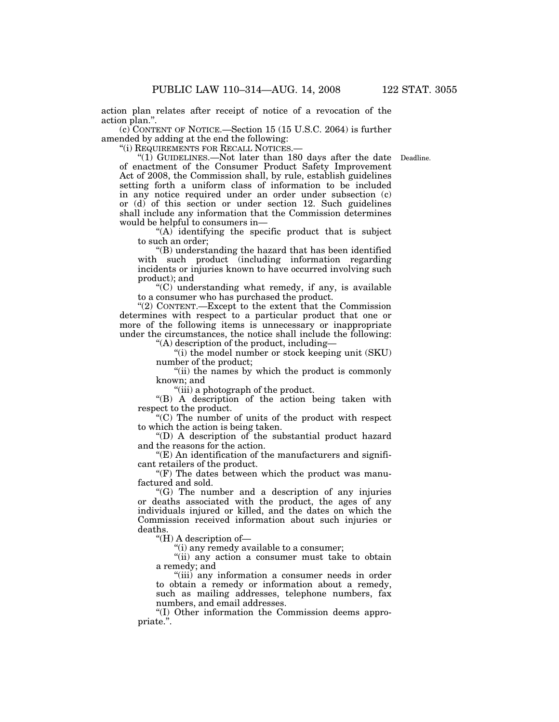action plan relates after receipt of notice of a revocation of the action plan.''.

(c) CONTENT OF NOTICE.—Section 15 (15 U.S.C. 2064) is further amended by adding at the end the following:

''(i) REQUIREMENTS FOR RECALL NOTICES.—

"(1) GUIDELINES.—Not later than 180 days after the date Deadline. of enactment of the Consumer Product Safety Improvement Act of 2008, the Commission shall, by rule, establish guidelines setting forth a uniform class of information to be included in any notice required under an order under subsection (c) or (d) of this section or under section 12. Such guidelines shall include any information that the Commission determines would be helpful to consumers in—

 $(A)$  identifying the specific product that is subject to such an order;

''(B) understanding the hazard that has been identified with such product (including information regarding incidents or injuries known to have occurred involving such product); and

''(C) understanding what remedy, if any, is available to a consumer who has purchased the product.

''(2) CONTENT.—Except to the extent that the Commission determines with respect to a particular product that one or more of the following items is unnecessary or inappropriate under the circumstances, the notice shall include the following:

''(A) description of the product, including—

''(i) the model number or stock keeping unit (SKU) number of the product;

''(ii) the names by which the product is commonly known; and

"(iii) a photograph of the product.

''(B) A description of the action being taken with respect to the product.

 $(C)$  The number of units of the product with respect to which the action is being taken.

''(D) A description of the substantial product hazard and the reasons for the action.

 $"$ (E) An identification of the manufacturers and significant retailers of the product.

" $(F)$  The dates between which the product was manufactured and sold.

''(G) The number and a description of any injuries or deaths associated with the product, the ages of any individuals injured or killed, and the dates on which the Commission received information about such injuries or deaths.

''(H) A description of—

''(i) any remedy available to a consumer;

''(ii) any action a consumer must take to obtain a remedy; and

''(iii) any information a consumer needs in order to obtain a remedy or information about a remedy, such as mailing addresses, telephone numbers, fax numbers, and email addresses.

''(I) Other information the Commission deems appropriate.''.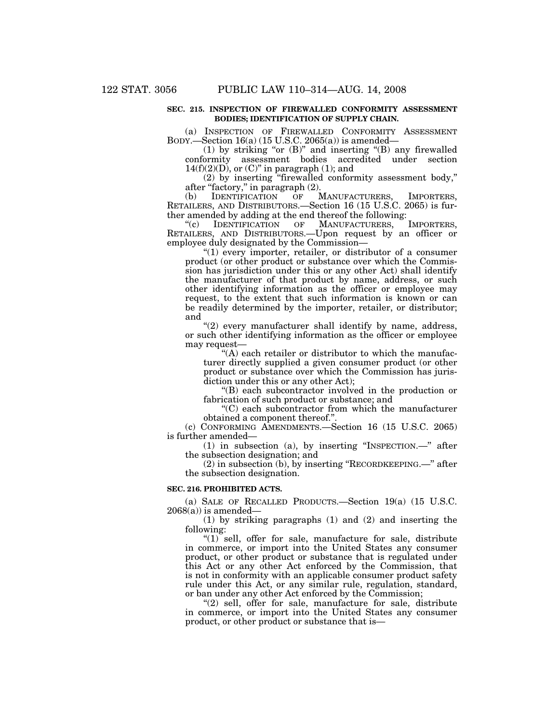# **SEC. 215. INSPECTION OF FIREWALLED CONFORMITY ASSESSMENT BODIES; IDENTIFICATION OF SUPPLY CHAIN.**

(a) INSPECTION OF FIREWALLED CONFORMITY ASSESSMENT BODY.—Section 16(a) (15 U.S.C. 2065(a)) is amended—

(1) by striking "or  $(B)$ " and inserting " $(B)$  any firewalled conformity assessment bodies accredited under section  $14(f)(2)(D)$ , or  $(C)$ " in paragraph  $(1)$ ; and

(2) by inserting ''firewalled conformity assessment body,'' after ''factory,'' in paragraph (2).

(b) IDENTIFICATION OF MANUFACTURERS, IMPORTERS, RETAILERS, AND DISTRIBUTORS.—Section 16 (15 U.S.C. 2065) is further amended by adding at the end thereof the following:<br>"(c) IDENTIFICATION OF MANUFACTURERS, IMPORTERS,

"(c) IDENTIFICATION OF MANUFACTURERS, RETAILERS, AND DISTRIBUTORS.—Upon request by an officer or employee duly designated by the Commission—

 $(1)$  every importer, retailer, or distributor of a consumer product (or other product or substance over which the Commission has jurisdiction under this or any other Act) shall identify the manufacturer of that product by name, address, or such other identifying information as the officer or employee may request, to the extent that such information is known or can be readily determined by the importer, retailer, or distributor; and

 $''(2)$  every manufacturer shall identify by name, address, or such other identifying information as the officer or employee may request—

"(A) each retailer or distributor to which the manufacturer directly supplied a given consumer product (or other product or substance over which the Commission has jurisdiction under this or any other Act);

''(B) each subcontractor involved in the production or fabrication of such product or substance; and

''(C) each subcontractor from which the manufacturer obtained a component thereof.''.

(c) CONFORMING AMENDMENTS.—Section 16 (15 U.S.C. 2065) is further amended—

(1) in subsection (a), by inserting ''INSPECTION.—'' after the subsection designation; and

(2) in subsection (b), by inserting ''RECORDKEEPING.—'' after the subsection designation.

#### **SEC. 216. PROHIBITED ACTS.**

(a) SALE OF RECALLED PRODUCTS.—Section 19(a) (15 U.S.C.  $2068(a)$ ) is amended-

(1) by striking paragraphs (1) and (2) and inserting the following:

" $(1)$  sell, offer for sale, manufacture for sale, distribute in commerce, or import into the United States any consumer product, or other product or substance that is regulated under this Act or any other Act enforced by the Commission, that is not in conformity with an applicable consumer product safety rule under this Act, or any similar rule, regulation, standard, or ban under any other Act enforced by the Commission;

 $(2)$  sell, offer for sale, manufacture for sale, distribute in commerce, or import into the United States any consumer product, or other product or substance that is—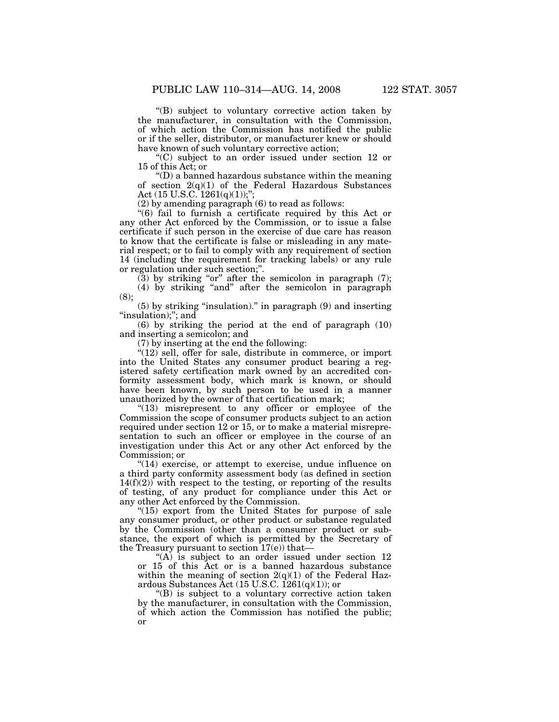''(B) subject to voluntary corrective action taken by the manufacturer, in consultation with the Commission, of which action the Commission has notified the public or if the seller, distributor, or manufacturer knew or should have known of such voluntary corrective action;

''(C) subject to an order issued under section 12 or 15 of this Act; or

''(D) a banned hazardous substance within the meaning of section  $2(q)(1)$  of the Federal Hazardous Substances Act  $(15 \text{ U.S.C. } 1261(q)(1));$ ";

(2) by amending paragraph (6) to read as follows:

''(6) fail to furnish a certificate required by this Act or any other Act enforced by the Commission, or to issue a false certificate if such person in the exercise of due care has reason to know that the certificate is false or misleading in any material respect; or to fail to comply with any requirement of section 14 (including the requirement for tracking labels) or any rule or regulation under such section;''.

 $(3)$  by striking "or" after the semicolon in paragraph  $(7)$ ;

(4) by striking ''and'' after the semicolon in paragraph (8);

(5) by striking ''insulation).'' in paragraph (9) and inserting "insulation);"; and

(6) by striking the period at the end of paragraph (10) and inserting a semicolon; and

(7) by inserting at the end the following:

 $''(12)$  sell, offer for sale, distribute in commerce, or import into the United States any consumer product bearing a registered safety certification mark owned by an accredited conformity assessment body, which mark is known, or should have been known, by such person to be used in a manner unauthorized by the owner of that certification mark;

"(13) misrepresent to any officer or employee of the Commission the scope of consumer products subject to an action required under section 12 or 15, or to make a material misrepresentation to such an officer or employee in the course of an investigation under this Act or any other Act enforced by the Commission; or

"(14) exercise, or attempt to exercise, undue influence on a third party conformity assessment body (as defined in section  $14(f)(2)$ ) with respect to the testing, or reporting of the results of testing, of any product for compliance under this Act or any other Act enforced by the Commission.

"(15) export from the United States for purpose of sale any consumer product, or other product or substance regulated by the Commission (other than a consumer product or substance, the export of which is permitted by the Secretary of the Treasury pursuant to section  $17(e)$  that-

"(A) is subject to an order issued under section 12 or 15 of this Act or is a banned hazardous substance within the meaning of section  $2(q)(1)$  of the Federal Hazardous Substances Act (15 U.S.C.  $1261(q)(1)$ ); or

''(B) is subject to a voluntary corrective action taken by the manufacturer, in consultation with the Commission, of which action the Commission has notified the public; or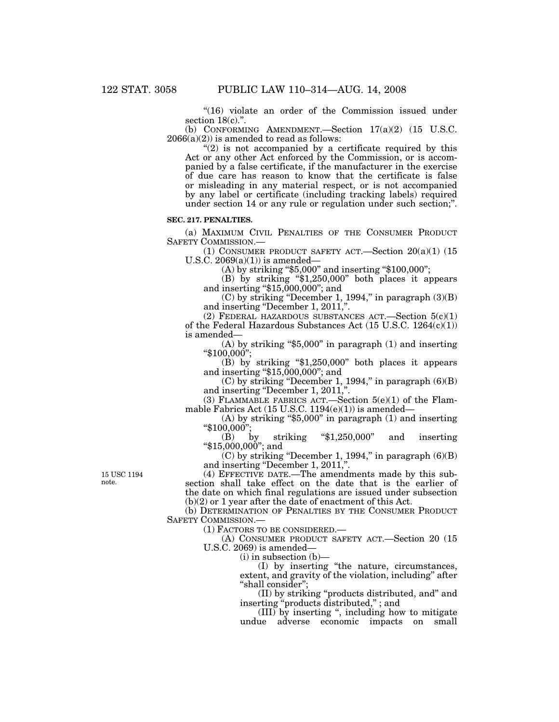"(16) violate an order of the Commission issued under section 18(c).".

(b) CONFORMING AMENDMENT.—Section 17(a)(2) (15 U.S.C.  $2066(a)(2)$ ) is amended to read as follows:

 $(2)$  is not accompanied by a certificate required by this Act or any other Act enforced by the Commission, or is accompanied by a false certificate, if the manufacturer in the exercise of due care has reason to know that the certificate is false or misleading in any material respect, or is not accompanied by any label or certificate (including tracking labels) required under section 14 or any rule or regulation under such section;''.

# **SEC. 217. PENALTIES.**

(a) MAXIMUM CIVIL PENALTIES OF THE CONSUMER PRODUCT SAFETY COMMISSION.—

(1) CONSUMER PRODUCT SAFETY ACT.—Section  $20(a)(1)$  (15) U.S.C.  $2069(a)(1)$  is amended—

 $(A)$  by striking "\$5,000" and inserting "\$100,000";

(B) by striking ''\$1,250,000'' both places it appears and inserting ''\$15,000,000''; and

 $(C)$  by striking "December 1, 1994," in paragraph  $(3)(B)$ and inserting "December 1, 2011,".

(2) FEDERAL HAZARDOUS SUBSTANCES ACT.—Section  $5(c)(1)$ of the Federal Hazardous Substances Act (15 U.S.C. 1264(c)(1)) is amended—

 $(A)$  by striking "\$5,000" in paragraph  $(1)$  and inserting ''\$100,000'';

 $(B)$  by striking "\$1,250,000" both places it appears and inserting " $$15,000,000$ "; and

 $(C)$  by striking "December 1, 1994," in paragraph  $(6)(B)$ and inserting "December 1, 2011,".

(3) FLAMMABLE FABRICS ACT.—Section 5(e)(1) of the Flammable Fabrics Act (15 U.S.C. 1194(e)(1)) is amended—

 $(A)$  by striking "\$5,000" in paragraph  $(1)$  and inserting  $"$100,000"$ 

 $(B)$  by striking "\$1,250,000" and inserting ''\$15,000,000''; and

 $(C)$  by striking "December 1, 1994," in paragraph  $(6)(B)$ and inserting ''December 1, 2011,''.

(4) EFFECTIVE DATE.—The amendments made by this subsection shall take effect on the date that is the earlier of the date on which final regulations are issued under subsection

(b)(2) or 1 year after the date of enactment of this Act.

(b) DETERMINATION OF PENALTIES BY THE CONSUMER PRODUCT SAFETY COMMISSION.—

(1) FACTORS TO BE CONSIDERED.—

(A) CONSUMER PRODUCT SAFETY ACT.—Section 20 (15 U.S.C. 2069) is amended—

(i) in subsection (b)—

(I) by inserting ''the nature, circumstances, extent, and gravity of the violation, including'' after ''shall consider'';

(II) by striking ''products distributed, and'' and inserting ''products distributed,'' ; and

(III) by inserting '', including how to mitigate undue adverse economic impacts on small

15 USC 1194 note.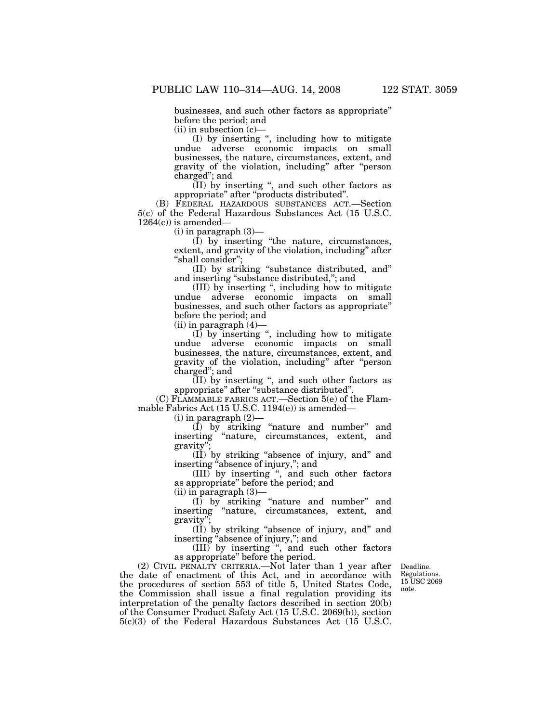$(ii)$  in subsection  $(c)$ —

(I) by inserting '', including how to mitigate undue adverse economic impacts on small businesses, the nature, circumstances, extent, and gravity of the violation, including'' after ''person charged''; and

 $(II)$  by inserting ", and such other factors as appropriate'' after ''products distributed''.

(B) FEDERAL HAZARDOUS SUBSTANCES ACT.—Section 5(c) of the Federal Hazardous Substances Act (15 U.S.C.  $1264(c)$  is amended—

(i) in paragraph (3)—

(I) by inserting ''the nature, circumstances, extent, and gravity of the violation, including'' after ''shall consider'';

(II) by striking ''substance distributed, and'' and inserting ''substance distributed,''; and

(III) by inserting '', including how to mitigate undue adverse economic impacts on small businesses, and such other factors as appropriate'' before the period; and

 $(ii)$  in paragraph  $(4)$ 

 $(I)$  by inserting ", including how to mitigate undue adverse economic impacts on small businesses, the nature, circumstances, extent, and gravity of the violation, including'' after ''person charged''; and

(II) by inserting '', and such other factors as appropriate'' after ''substance distributed''.

(C) FLAMMABLE FABRICS ACT.—Section 5(e) of the Flammable Fabrics Act (15 U.S.C. 1194(e)) is amended—

 $(i)$  in paragraph  $(2)$ —

(I) by striking ''nature and number'' and inserting ''nature, circumstances, extent, and gravity'

(II) by striking ''absence of injury, and'' and inserting ''absence of injury,''; and

(III) by inserting '', and such other factors as appropriate'' before the period; and

(ii) in paragraph (3)—

(I) by striking ''nature and number'' and inserting ''nature, circumstances, extent, and gravity'';

(II) by striking ''absence of injury, and'' and inserting ''absence of injury,''; and

(III) by inserting '', and such other factors as appropriate'' before the period.

(2) CIVIL PENALTY CRITERIA.—Not later than 1 year after the date of enactment of this Act, and in accordance with the procedures of section 553 of title 5, United States Code, the Commission shall issue a final regulation providing its interpretation of the penalty factors described in section  $\tilde{20}$ (b) of the Consumer Product Safety Act (15 U.S.C. 2069(b)), section 5(c)(3) of the Federal Hazardous Substances Act (15 U.S.C.

Deadline. Regulations. 15 USC 2069 note.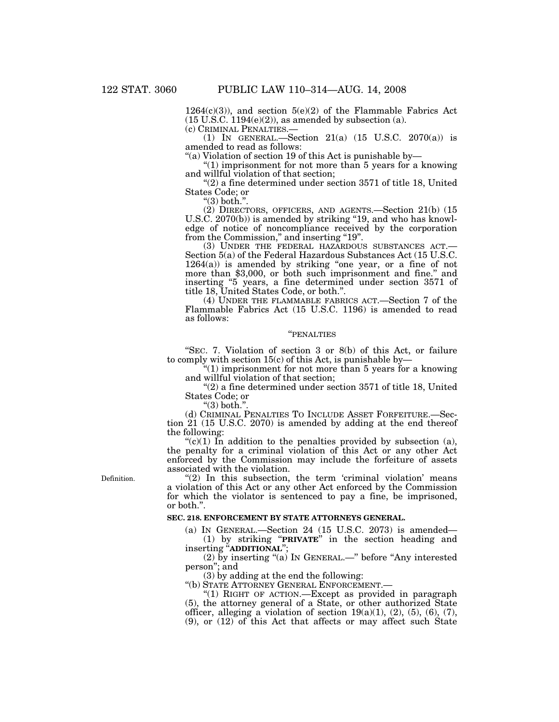$1264(c)(3)$ , and section  $5(e)(2)$  of the Flammable Fabrics Act  $(15 \text{ U.S.C. } 1194(e)(2))$ , as amended by subsection (a).<br>(c) CRIMINAL PENALTIES.—

(1) IN GENERAL.—Section  $21(a)$  (15 U.S.C. 2070(a)) is amended to read as follows:

''(a) Violation of section 19 of this Act is punishable by—

" $(1)$  imprisonment for not more than 5 years for a knowing and willful violation of that section;

 $(2)$  a fine determined under section 3571 of title 18, United States Code; or

" $(3)$  both.".

(2) DIRECTORS, OFFICERS, AND AGENTS.—Section 21(b) (15 U.S.C. 2070(b)) is amended by striking "19, and who has knowledge of notice of noncompliance received by the corporation from the Commission," and inserting "19".<br>
(3) UNDER THE FEDERAL HAZARDOUS SUBSTANCES ACT.-

Section 5(a) of the Federal Hazardous Substances Act (15 U.S.C.  $1264(a)$  is amended by striking "one year, or a fine of not more than \$3,000, or both such imprisonment and fine.'' and inserting ''5 years, a fine determined under section 3571 of title 18, United States Code, or both.''.

(4) UNDER THE FLAMMABLE FABRICS ACT.—Section 7 of the Flammable Fabrics Act (15 U.S.C. 1196) is amended to read as follows:

#### ''PENALTIES

''SEC. 7. Violation of section 3 or 8(b) of this Act, or failure to comply with section  $15(c)$  of this Act, is punishable by-

''(1) imprisonment for not more than 5 years for a knowing and willful violation of that section;

 $"(2)$  a fine determined under section 3571 of title 18, United States Code; or

" $(3)$  both."

(d) CRIMINAL PENALTIES TO INCLUDE ASSET FORFEITURE.—Section 21 (15 U.S.C. 2070) is amended by adding at the end thereof the following:

" $(c)(1)$  In addition to the penalties provided by subsection (a), the penalty for a criminal violation of this Act or any other Act enforced by the Commission may include the forfeiture of assets associated with the violation.

Definition.

" $(2)$  In this subsection, the term 'criminal violation' means a violation of this Act or any other Act enforced by the Commission for which the violator is sentenced to pay a fine, be imprisoned, or both.''.

# **SEC. 218. ENFORCEMENT BY STATE ATTORNEYS GENERAL.**

(a) IN GENERAL.—Section 24 (15 U.S.C. 2073) is amended— (1) by striking ''**PRIVATE**'' in the section heading and inserting ''**ADDITIONAL**'';

(2) by inserting "(a) In GENERAL.—" before "Any interested person''; and

(3) by adding at the end the following:

''(b) STATE ATTORNEY GENERAL ENFORCEMENT.—

"(1) RIGHT OF ACTION.—Except as provided in paragraph (5), the attorney general of a State, or other authorized State officer, alleging a violation of section  $19(a)(1)$ ,  $(2)$ ,  $(5)$ ,  $(6)$ ,  $(7)$ , (9), or (12) of this Act that affects or may affect such State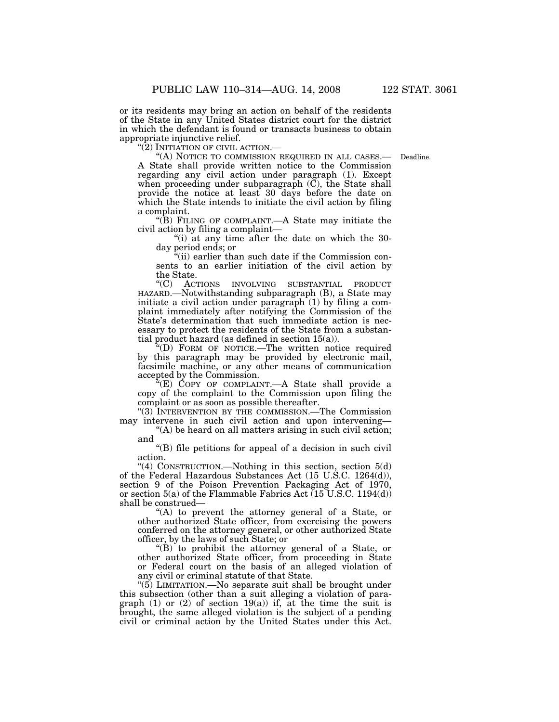or its residents may bring an action on behalf of the residents of the State in any United States district court for the district in which the defendant is found or transacts business to obtain appropriate injunctive relief.<br>"(2) INITIATION OF CIVIL ACTION.—

A State shall provide written notice to the Commission regarding any civil action under paragraph (1). Except when proceeding under subparagraph  $(\tilde{C})$ , the State shall provide the notice at least 30 days before the date on which the State intends to initiate the civil action by filing a complaint. "(A) NOTICE TO COMMISSION REQUIRED IN ALL CASES.— Deadline.

''(B) FILING OF COMPLAINT.—A State may initiate the civil action by filing a complaint—

''(i) at any time after the date on which the 30 day period ends; or

 $\hat{f}$ (ii) earlier than such date if the Commission consents to an earlier initiation of the civil action by the State.

''(C) ACTIONS INVOLVING SUBSTANTIAL PRODUCT HAZARD.—Notwithstanding subparagraph (B), a State may initiate a civil action under paragraph (1) by filing a complaint immediately after notifying the Commission of the State's determination that such immediate action is necessary to protect the residents of the State from a substantial product hazard (as defined in section 15(a)).

''(D) FORM OF NOTICE.—The written notice required by this paragraph may be provided by electronic mail, facsimile machine, or any other means of communication accepted by the Commission.

''(E) COPY OF COMPLAINT.—A State shall provide a copy of the complaint to the Commission upon filing the complaint or as soon as possible thereafter.

''(3) INTERVENTION BY THE COMMISSION.—The Commission may intervene in such civil action and upon intervening—

 $(A)$  be heard on all matters arising in such civil action; and

''(B) file petitions for appeal of a decision in such civil action.

"(4) CONSTRUCTION.—Nothing in this section, section 5(d) of the Federal Hazardous Substances Act (15 U.S.C. 1264(d)), section 9 of the Poison Prevention Packaging Act of 1970, or section 5(a) of the Flammable Fabrics Act (15 U.S.C. 1194(d)) shall be construed—

''(A) to prevent the attorney general of a State, or other authorized State officer, from exercising the powers conferred on the attorney general, or other authorized State officer, by the laws of such State; or

''(B) to prohibit the attorney general of a State, or other authorized State officer, from proceeding in State or Federal court on the basis of an alleged violation of any civil or criminal statute of that State.

''(5) LIMITATION.—No separate suit shall be brought under this subsection (other than a suit alleging a violation of paragraph (1) or (2) of section 19(a)) if, at the time the suit is brought, the same alleged violation is the subject of a pending civil or criminal action by the United States under this Act.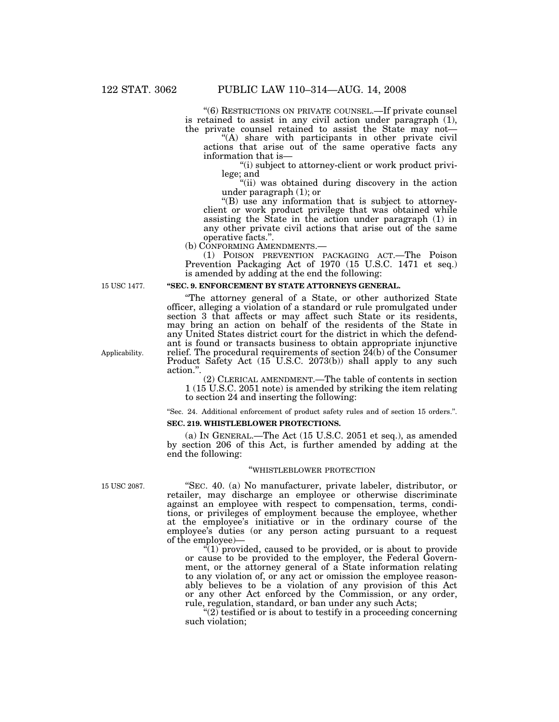''(6) RESTRICTIONS ON PRIVATE COUNSEL.—If private counsel is retained to assist in any civil action under paragraph (1), the private counsel retained to assist the State may not—

"(A) share with participants in other private civil actions that arise out of the same operative facts any information that is—

"(i) subject to attorney-client or work product privilege; and

"(ii) was obtained during discovery in the action under paragraph (1); or

''(B) use any information that is subject to attorneyclient or work product privilege that was obtained while assisting the State in the action under paragraph (1) in any other private civil actions that arise out of the same operative facts.".<br>(b) CONFORMING AMENDMENTS.—

(b) CONFORMING AMENDMENTS.— (1) POISON PREVENTION PACKAGING ACT.—The Poison Prevention Packaging Act of 1970 (15 U.S.C. 1471 et seq.) is amended by adding at the end the following:

15 USC 1477.

## **''SEC. 9. ENFORCEMENT BY STATE ATTORNEYS GENERAL.**

''The attorney general of a State, or other authorized State officer, alleging a violation of a standard or rule promulgated under section 3 that affects or may affect such State or its residents, may bring an action on behalf of the residents of the State in any United States district court for the district in which the defendant is found or transacts business to obtain appropriate injunctive relief. The procedural requirements of section 24(b) of the Consumer Product Safety Act (15 U.S.C. 2073(b)) shall apply to any such action.''.

(2) CLERICAL AMENDMENT.—The table of contents in section 1 (15 U.S.C. 2051 note) is amended by striking the item relating to section 24 and inserting the following:

''Sec. 24. Additional enforcement of product safety rules and of section 15 orders.''. **SEC. 219. WHISTLEBLOWER PROTECTIONS.** 

(a) IN GENERAL.—The Act (15 U.S.C. 2051 et seq.), as amended by section 206 of this Act, is further amended by adding at the end the following:

#### ''WHISTLEBLOWER PROTECTION

''SEC. 40. (a) No manufacturer, private labeler, distributor, or retailer, may discharge an employee or otherwise discriminate against an employee with respect to compensation, terms, conditions, or privileges of employment because the employee, whether at the employee's initiative or in the ordinary course of the employee's duties (or any person acting pursuant to a request of the employee)—

 $(1)$  provided, caused to be provided, or is about to provide or cause to be provided to the employer, the Federal Government, or the attorney general of a State information relating to any violation of, or any act or omission the employee reasonably believes to be a violation of any provision of this Act or any other Act enforced by the Commission, or any order, rule, regulation, standard, or ban under any such Acts;

" $(2)$  testified or is about to testify in a proceeding concerning such violation;

Applicability.

15 USC 2087.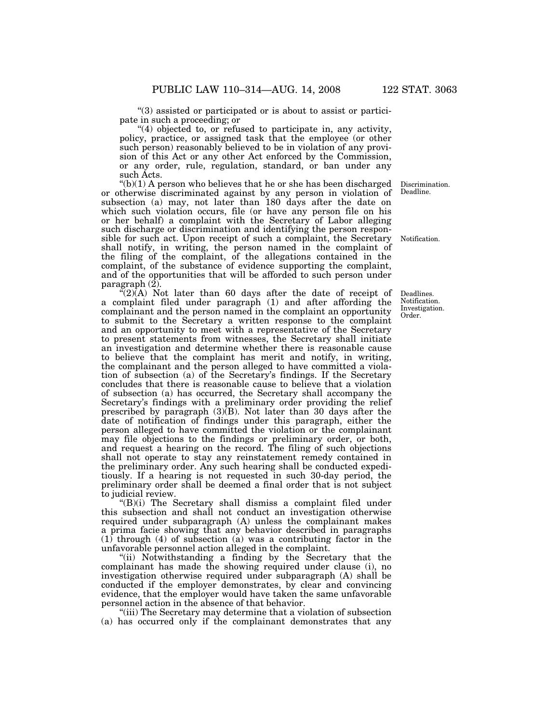''(3) assisted or participated or is about to assist or participate in such a proceeding; or

"(4) objected to, or refused to participate in, any activity, policy, practice, or assigned task that the employee (or other such person) reasonably believed to be in violation of any provision of this Act or any other Act enforced by the Commission, or any order, rule, regulation, standard, or ban under any such Acts.

 $(v(h)(1)$  A person who believes that he or she has been discharged or otherwise discriminated against by any person in violation of subsection (a) may, not later than 180 days after the date on which such violation occurs, file (or have any person file on his or her behalf) a complaint with the Secretary of Labor alleging such discharge or discrimination and identifying the person responsible for such act. Upon receipt of such a complaint, the Secretary shall notify, in writing, the person named in the complaint of the filing of the complaint, of the allegations contained in the complaint, of the substance of evidence supporting the complaint, and of the opportunities that will be afforded to such person under paragraph (2).

 $C(2)$ (A) Not later than 60 days after the date of receipt of a complaint filed under paragraph (1) and after affording the complainant and the person named in the complaint an opportunity to submit to the Secretary a written response to the complaint and an opportunity to meet with a representative of the Secretary to present statements from witnesses, the Secretary shall initiate an investigation and determine whether there is reasonable cause to believe that the complaint has merit and notify, in writing, the complainant and the person alleged to have committed a violation of subsection (a) of the Secretary's findings. If the Secretary concludes that there is reasonable cause to believe that a violation of subsection (a) has occurred, the Secretary shall accompany the Secretary's findings with a preliminary order providing the relief prescribed by paragraph (3)(B). Not later than 30 days after the date of notification of findings under this paragraph, either the person alleged to have committed the violation or the complainant may file objections to the findings or preliminary order, or both, and request a hearing on the record. The filing of such objections shall not operate to stay any reinstatement remedy contained in the preliminary order. Any such hearing shall be conducted expeditiously. If a hearing is not requested in such 30-day period, the preliminary order shall be deemed a final order that is not subject to judicial review.

 $E(B)(i)$  The Secretary shall dismiss a complaint filed under this subsection and shall not conduct an investigation otherwise required under subparagraph (A) unless the complainant makes a prima facie showing that any behavior described in paragraphs (1) through (4) of subsection (a) was a contributing factor in the unfavorable personnel action alleged in the complaint.

"(ii) Notwithstanding a finding by the Secretary that the complainant has made the showing required under clause (i), no investigation otherwise required under subparagraph (A) shall be conducted if the employer demonstrates, by clear and convincing evidence, that the employer would have taken the same unfavorable personnel action in the absence of that behavior.

"(iii) The Secretary may determine that a violation of subsection (a) has occurred only if the complainant demonstrates that any

Discrimination. Deadline.

Notification.

Deadlines. Notification. Investigation. Order.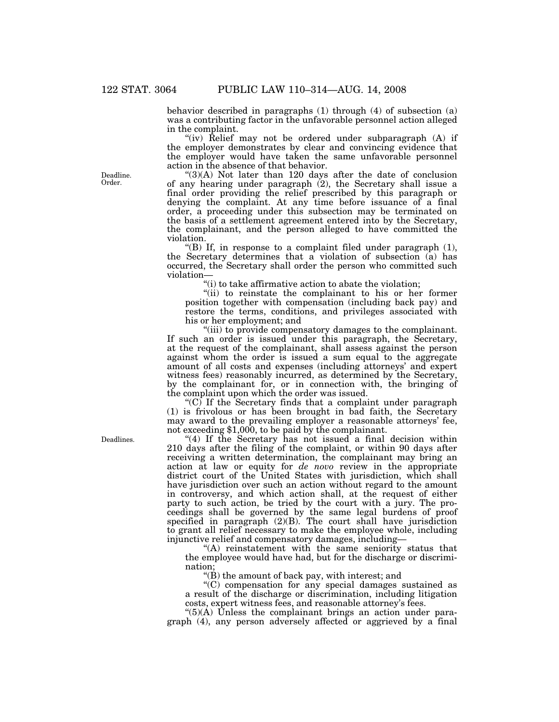behavior described in paragraphs (1) through (4) of subsection (a) was a contributing factor in the unfavorable personnel action alleged in the complaint.

"(iv) Relief may not be ordered under subparagraph (A) if the employer demonstrates by clear and convincing evidence that the employer would have taken the same unfavorable personnel action in the absence of that behavior.

" $(3)(A)$  Not later than 120 days after the date of conclusion of any hearing under paragraph (2), the Secretary shall issue a final order providing the relief prescribed by this paragraph or denying the complaint. At any time before issuance of a final order, a proceeding under this subsection may be terminated on the basis of a settlement agreement entered into by the Secretary, the complainant, and the person alleged to have committed the violation.

''(B) If, in response to a complaint filed under paragraph (1), the Secretary determines that a violation of subsection (a) has occurred, the Secretary shall order the person who committed such violation—

 $f(i)$  to take affirmative action to abate the violation;

''(ii) to reinstate the complainant to his or her former position together with compensation (including back pay) and restore the terms, conditions, and privileges associated with his or her employment; and

''(iii) to provide compensatory damages to the complainant. If such an order is issued under this paragraph, the Secretary, at the request of the complainant, shall assess against the person against whom the order is issued a sum equal to the aggregate amount of all costs and expenses (including attorneys' and expert witness fees) reasonably incurred, as determined by the Secretary, by the complainant for, or in connection with, the bringing of the complaint upon which the order was issued.

" $(C)$  If the Secretary finds that a complaint under paragraph (1) is frivolous or has been brought in bad faith, the Secretary may award to the prevailing employer a reasonable attorneys' fee, not exceeding \$1,000, to be paid by the complainant.

"(4) If the Secretary has not issued a final decision within 210 days after the filing of the complaint, or within 90 days after receiving a written determination, the complainant may bring an action at law or equity for *de novo* review in the appropriate district court of the United States with jurisdiction, which shall have jurisdiction over such an action without regard to the amount in controversy, and which action shall, at the request of either party to such action, be tried by the court with a jury. The proceedings shall be governed by the same legal burdens of proof specified in paragraph  $(2)(B)$ . The court shall have jurisdiction to grant all relief necessary to make the employee whole, including injunctive relief and compensatory damages, including—

''(A) reinstatement with the same seniority status that the employee would have had, but for the discharge or discrimination;

''(B) the amount of back pay, with interest; and

''(C) compensation for any special damages sustained as a result of the discharge or discrimination, including litigation costs, expert witness fees, and reasonable attorney's fees.

" $(5)(\overline{A})$  Unless the complainant brings an action under paragraph (4), any person adversely affected or aggrieved by a final

Deadline. Order.

Deadlines.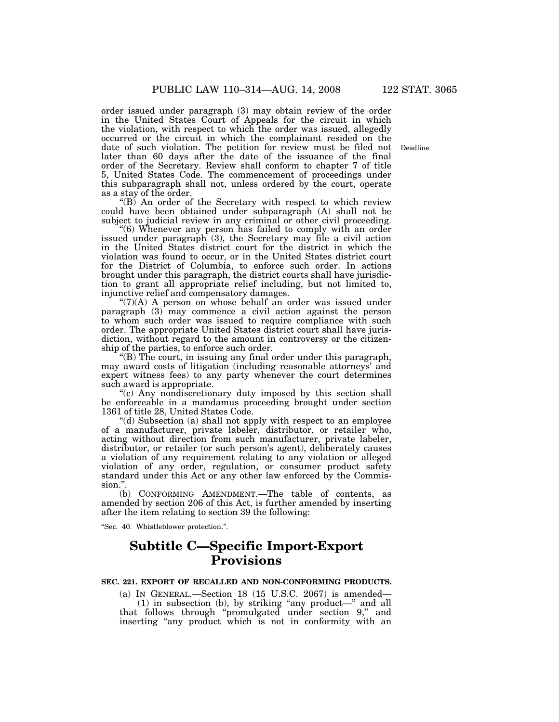order issued under paragraph (3) may obtain review of the order in the United States Court of Appeals for the circuit in which the violation, with respect to which the order was issued, allegedly occurred or the circuit in which the complainant resided on the date of such violation. The petition for review must be filed not later than 60 days after the date of the issuance of the final order of the Secretary. Review shall conform to chapter 7 of title 5, United States Code. The commencement of proceedings under this subparagraph shall not, unless ordered by the court, operate as a stay of the order.

''(B) An order of the Secretary with respect to which review could have been obtained under subparagraph (A) shall not be subject to judicial review in any criminal or other civil proceeding.

"(6) Whenever any person has failed to comply with an order issued under paragraph (3), the Secretary may file a civil action in the United States district court for the district in which the violation was found to occur, or in the United States district court for the District of Columbia, to enforce such order. In actions brought under this paragraph, the district courts shall have jurisdiction to grant all appropriate relief including, but not limited to, injunctive relief and compensatory damages.

" $(7)(A)$  A person on whose behalf an order was issued under paragraph (3) may commence a civil action against the person to whom such order was issued to require compliance with such order. The appropriate United States district court shall have jurisdiction, without regard to the amount in controversy or the citizenship of the parties, to enforce such order.

''(B) The court, in issuing any final order under this paragraph, may award costs of litigation (including reasonable attorneys' and expert witness fees) to any party whenever the court determines such award is appropriate.

"(c) Any nondiscretionary duty imposed by this section shall be enforceable in a mandamus proceeding brought under section 1361 of title 28, United States Code.

''(d) Subsection (a) shall not apply with respect to an employee of a manufacturer, private labeler, distributor, or retailer who, acting without direction from such manufacturer, private labeler, distributor, or retailer (or such person's agent), deliberately causes a violation of any requirement relating to any violation or alleged violation of any order, regulation, or consumer product safety standard under this Act or any other law enforced by the Commission.''.

(b) CONFORMING AMENDMENT.—The table of contents, as amended by section 206 of this Act, is further amended by inserting after the item relating to section 39 the following:

''Sec. 40. Whistleblower protection.''.

# **Subtitle C—Specific Import-Export Provisions**

# **SEC. 221. EXPORT OF RECALLED AND NON-CONFORMING PRODUCTS.**

(a) IN GENERAL.—Section 18 (15 U.S.C. 2067) is amended— (1) in subsection (b), by striking "any product—" and all that follows through ''promulgated under section 9,'' and inserting "any product which is not in conformity with an

Deadline.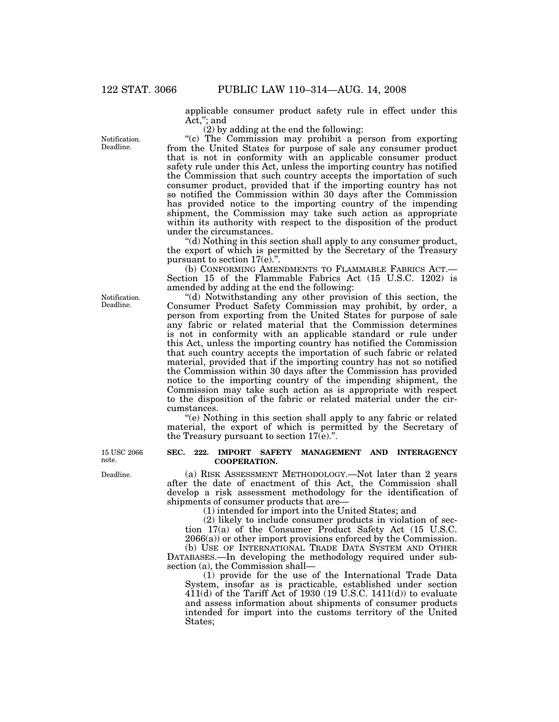applicable consumer product safety rule in effect under this Act,''; and

(2) by adding at the end the following:

''(c) The Commission may prohibit a person from exporting from the United States for purpose of sale any consumer product that is not in conformity with an applicable consumer product safety rule under this Act, unless the importing country has notified the Commission that such country accepts the importation of such consumer product, provided that if the importing country has not so notified the Commission within 30 days after the Commission has provided notice to the importing country of the impending shipment, the Commission may take such action as appropriate within its authority with respect to the disposition of the product under the circumstances.

''(d) Nothing in this section shall apply to any consumer product, the export of which is permitted by the Secretary of the Treasury pursuant to section 17(e).".

(b) CONFORMING AMENDMENTS TO FLAMMABLE FABRICS ACT.— Section 15 of the Flammable Fabrics Act (15 U.S.C. 1202) is amended by adding at the end the following:

''(d) Notwithstanding any other provision of this section, the Consumer Product Safety Commission may prohibit, by order, a person from exporting from the United States for purpose of sale any fabric or related material that the Commission determines is not in conformity with an applicable standard or rule under this Act, unless the importing country has notified the Commission that such country accepts the importation of such fabric or related material, provided that if the importing country has not so notified the Commission within 30 days after the Commission has provided notice to the importing country of the impending shipment, the Commission may take such action as is appropriate with respect to the disposition of the fabric or related material under the circumstances.

''(e) Nothing in this section shall apply to any fabric or related material, the export of which is permitted by the Secretary of the Treasury pursuant to section 17(e).''.

#### **SEC. 222. IMPORT SAFETY MANAGEMENT AND INTERAGENCY COOPERATION.**

(a) RISK ASSESSMENT METHODOLOGY.—Not later than 2 years after the date of enactment of this Act, the Commission shall develop a risk assessment methodology for the identification of shipments of consumer products that are—

(1) intended for import into the United States; and

(2) likely to include consumer products in violation of section 17(a) of the Consumer Product Safety Act (15 U.S.C. 2066(a)) or other import provisions enforced by the Commission.

(b) USE OF INTERNATIONAL TRADE DATA SYSTEM AND OTHER DATABASES.—In developing the methodology required under subsection (a), the Commission shall—

(1) provide for the use of the International Trade Data System, insofar as is practicable, established under section  $411(d)$  of the Tariff Act of 1930 (19 U.S.C. 1411(d)) to evaluate and assess information about shipments of consumer products intended for import into the customs territory of the United States;

Notification. Deadline.

Notification. Deadline.

15 USC 2066 note.

Deadline.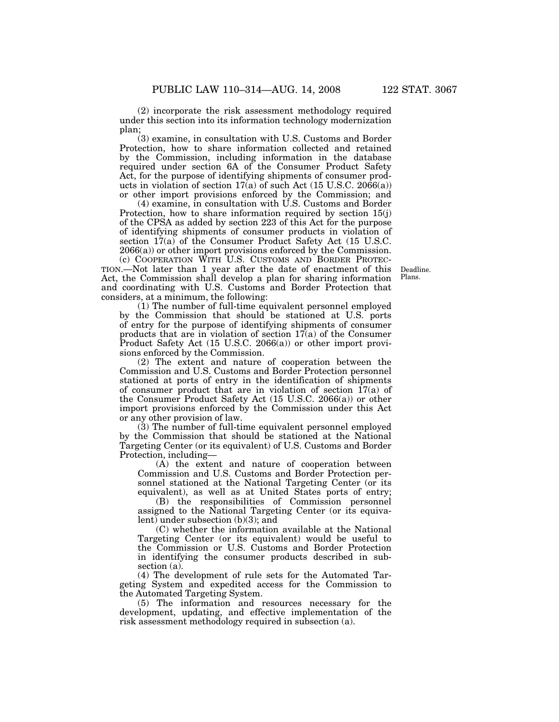(2) incorporate the risk assessment methodology required under this section into its information technology modernization plan;

(3) examine, in consultation with U.S. Customs and Border Protection, how to share information collected and retained by the Commission, including information in the database required under section 6A of the Consumer Product Safety Act, for the purpose of identifying shipments of consumer products in violation of section  $17(a)$  of such Act (15 U.S.C. 2066(a)) or other import provisions enforced by the Commission; and

(4) examine, in consultation with U.S. Customs and Border Protection, how to share information required by section 15(j) of the CPSA as added by section 223 of this Act for the purpose of identifying shipments of consumer products in violation of section 17(a) of the Consumer Product Safety Act (15 U.S.C. 2066(a)) or other import provisions enforced by the Commission.

(c) COOPERATION WITH U.S. CUSTOMS AND BORDER PROTEC-TION.—Not later than 1 year after the date of enactment of this Act, the Commission shall develop a plan for sharing information and coordinating with U.S. Customs and Border Protection that considers, at a minimum, the following:

(1) The number of full-time equivalent personnel employed by the Commission that should be stationed at U.S. ports of entry for the purpose of identifying shipments of consumer products that are in violation of section 17(a) of the Consumer Product Safety Act (15 U.S.C. 2066(a)) or other import provisions enforced by the Commission.

(2) The extent and nature of cooperation between the Commission and U.S. Customs and Border Protection personnel stationed at ports of entry in the identification of shipments of consumer product that are in violation of section  $\overline{17}$ (a) of the Consumer Product Safety Act (15 U.S.C. 2066(a)) or other import provisions enforced by the Commission under this Act or any other provision of law.

(3) The number of full-time equivalent personnel employed by the Commission that should be stationed at the National Targeting Center (or its equivalent) of U.S. Customs and Border Protection, including—

(A) the extent and nature of cooperation between Commission and U.S. Customs and Border Protection personnel stationed at the National Targeting Center (or its equivalent), as well as at United States ports of entry;

(B) the responsibilities of Commission personnel assigned to the National Targeting Center (or its equivalent) under subsection (b)(3); and

(C) whether the information available at the National Targeting Center (or its equivalent) would be useful to the Commission or U.S. Customs and Border Protection in identifying the consumer products described in subsection (a).

(4) The development of rule sets for the Automated Targeting System and expedited access for the Commission to the Automated Targeting System.

(5) The information and resources necessary for the development, updating, and effective implementation of the risk assessment methodology required in subsection (a).

Deadline. Plans.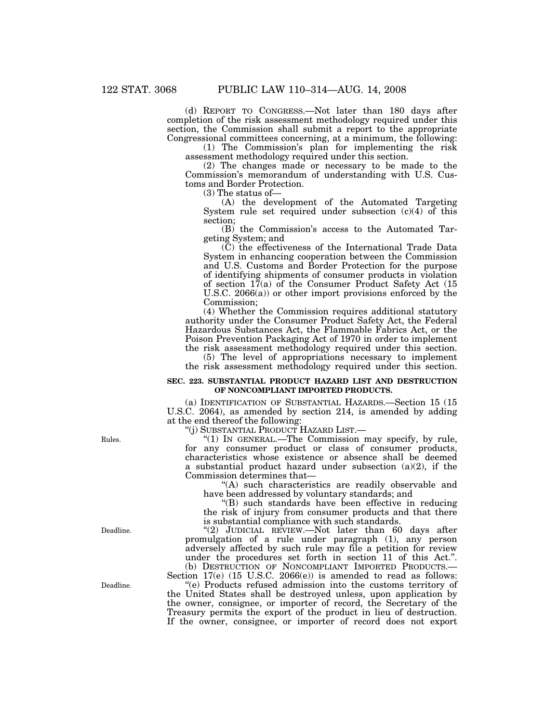(d) REPORT TO CONGRESS.—Not later than 180 days after completion of the risk assessment methodology required under this section, the Commission shall submit a report to the appropriate Congressional committees concerning, at a minimum, the following:

(1) The Commission's plan for implementing the risk assessment methodology required under this section.

(2) The changes made or necessary to be made to the Commission's memorandum of understanding with U.S. Customs and Border Protection.

(3) The status of—

(A) the development of the Automated Targeting System rule set required under subsection (c)(4) of this section;

(B) the Commission's access to the Automated Targeting System; and

(C) the effectiveness of the International Trade Data System in enhancing cooperation between the Commission and U.S. Customs and Border Protection for the purpose of identifying shipments of consumer products in violation of section 17(a) of the Consumer Product Safety Act (15 U.S.C. 2066(a)) or other import provisions enforced by the Commission;

(4) Whether the Commission requires additional statutory authority under the Consumer Product Safety Act, the Federal Hazardous Substances Act, the Flammable Fabrics Act, or the Poison Prevention Packaging Act of 1970 in order to implement the risk assessment methodology required under this section.

(5) The level of appropriations necessary to implement the risk assessment methodology required under this section.

# **SEC. 223. SUBSTANTIAL PRODUCT HAZARD LIST AND DESTRUCTION OF NONCOMPLIANT IMPORTED PRODUCTS.**

(a) IDENTIFICATION OF SUBSTANTIAL HAZARDS.—Section 15 (15 U.S.C. 2064), as amended by section 214, is amended by adding at the end thereof the following:

''(j) SUBSTANTIAL PRODUCT HAZARD LIST.—

''(1) IN GENERAL.—The Commission may specify, by rule, for any consumer product or class of consumer products, characteristics whose existence or absence shall be deemed a substantial product hazard under subsection (a)(2), if the Commission determines that—

"(A) such characteristics are readily observable and have been addressed by voluntary standards; and

''(B) such standards have been effective in reducing the risk of injury from consumer products and that there is substantial compliance with such standards.

''(2) JUDICIAL REVIEW.—Not later than 60 days after promulgation of a rule under paragraph (1), any person adversely affected by such rule may file a petition for review under the procedures set forth in section 11 of this Act.".<br>(b) DESTRUCTION OF NONCOMPLIANT IMPORTED PRODUCTS.—

Section  $17(e)$  (15 U.S.C. 2066(e)) is amended to read as follows: ''(e) Products refused admission into the customs territory of the United States shall be destroyed unless, upon application by the owner, consignee, or importer of record, the Secretary of the Treasury permits the export of the product in lieu of destruction. If the owner, consignee, or importer of record does not export

Rules.

Deadline.

Deadline.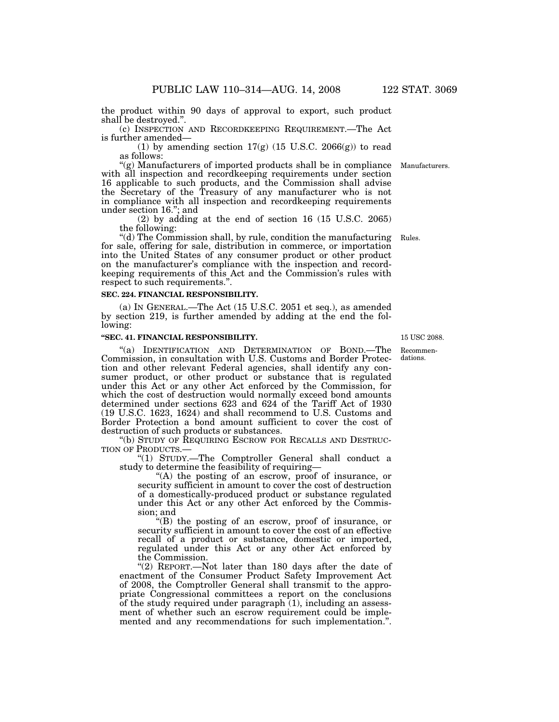the product within 90 days of approval to export, such product shall be destroyed.''.

(c) INSPECTION AND RECORDKEEPING REQUIREMENT.—The Act is further amended—

(1) by amending section  $17(g)$  (15 U.S.C. 2066(g)) to read as follows:

"(g) Manufacturers of imported products shall be in compliance Manufacturers. with all inspection and recordkeeping requirements under section 16 applicable to such products, and the Commission shall advise the Secretary of the Treasury of any manufacturer who is not in compliance with all inspection and recordkeeping requirements under section 16.''; and

(2) by adding at the end of section 16 (15 U.S.C. 2065) the following:

''(d) The Commission shall, by rule, condition the manufacturing Rules. for sale, offering for sale, distribution in commerce, or importation into the United States of any consumer product or other product on the manufacturer's compliance with the inspection and recordkeeping requirements of this Act and the Commission's rules with respect to such requirements.''.

#### **SEC. 224. FINANCIAL RESPONSIBILITY.**

(a) IN GENERAL.—The Act (15 U.S.C. 2051 et seq.), as amended by section 219, is further amended by adding at the end the following:

# **''SEC. 41. FINANCIAL RESPONSIBILITY.**

"(a) IDENTIFICATION AND DETERMINATION OF BOND.—The Commission, in consultation with U.S. Customs and Border Protection and other relevant Federal agencies, shall identify any consumer product, or other product or substance that is regulated under this Act or any other Act enforced by the Commission, for which the cost of destruction would normally exceed bond amounts determined under sections 623 and 624 of the Tariff Act of 1930 (19 U.S.C. 1623, 1624) and shall recommend to U.S. Customs and Border Protection a bond amount sufficient to cover the cost of destruction of such products or substances.

''(b) STUDY OF REQUIRING ESCROW FOR RECALLS AND DESTRUC-

"(1) STUDY.—The Comptroller General shall conduct a study to determine the feasibility of requiring—

''(A) the posting of an escrow, proof of insurance, or security sufficient in amount to cover the cost of destruction of a domestically-produced product or substance regulated under this Act or any other Act enforced by the Commission; and

''(B) the posting of an escrow, proof of insurance, or security sufficient in amount to cover the cost of an effective recall of a product or substance, domestic or imported, regulated under this Act or any other Act enforced by the Commission.

"(2) REPORT.-Not later than 180 days after the date of enactment of the Consumer Product Safety Improvement Act of 2008, the Comptroller General shall transmit to the appropriate Congressional committees a report on the conclusions of the study required under paragraph  $(1)$ , including an assessment of whether such an escrow requirement could be implemented and any recommendations for such implementation.''.

15 USC 2088.

Recommendations.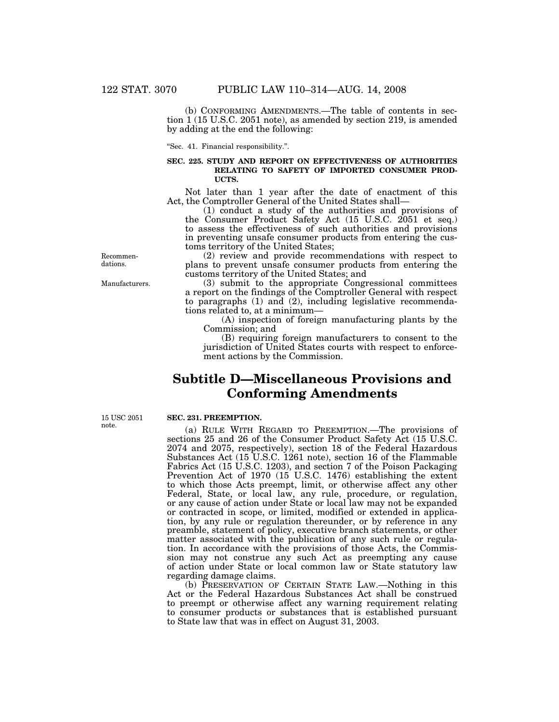(b) CONFORMING AMENDMENTS.—The table of contents in section 1 (15 U.S.C. 2051 note), as amended by section 219, is amended by adding at the end the following:

''Sec. 41. Financial responsibility.''.

# **SEC. 225. STUDY AND REPORT ON EFFECTIVENESS OF AUTHORITIES RELATING TO SAFETY OF IMPORTED CONSUMER PROD-UCTS.**

Not later than 1 year after the date of enactment of this Act, the Comptroller General of the United States shall—

(1) conduct a study of the authorities and provisions of the Consumer Product Safety Act (15 U.S.C. 2051 et seq.) to assess the effectiveness of such authorities and provisions in preventing unsafe consumer products from entering the customs territory of the United States;

(2) review and provide recommendations with respect to plans to prevent unsafe consumer products from entering the customs territory of the United States; and

(3) submit to the appropriate Congressional committees a report on the findings of the Comptroller General with respect to paragraphs (1) and (2), including legislative recommendations related to, at a minimum—

(A) inspection of foreign manufacturing plants by the Commission; and

(B) requiring foreign manufacturers to consent to the jurisdiction of United States courts with respect to enforcement actions by the Commission.

# **Subtitle D—Miscellaneous Provisions and Conforming Amendments**

15 USC 2051 note.

#### **SEC. 231. PREEMPTION.**

(a) RULE WITH REGARD TO PREEMPTION.—The provisions of sections 25 and 26 of the Consumer Product Safety Act (15 U.S.C. 2074 and 2075, respectively), section 18 of the Federal Hazardous Substances Act (15 U.S.C. 1261 note), section 16 of the Flammable Fabrics Act (15 U.S.C. 1203), and section 7 of the Poison Packaging Prevention Act of 1970 (15 U.S.C. 1476) establishing the extent to which those Acts preempt, limit, or otherwise affect any other Federal, State, or local law, any rule, procedure, or regulation, or any cause of action under State or local law may not be expanded or contracted in scope, or limited, modified or extended in application, by any rule or regulation thereunder, or by reference in any preamble, statement of policy, executive branch statements, or other matter associated with the publication of any such rule or regulation. In accordance with the provisions of those Acts, the Commission may not construe any such Act as preempting any cause of action under State or local common law or State statutory law regarding damage claims.

(b) PRESERVATION OF CERTAIN STATE LAW.—Nothing in this Act or the Federal Hazardous Substances Act shall be construed to preempt or otherwise affect any warning requirement relating to consumer products or substances that is established pursuant to State law that was in effect on August 31, 2003.

Manufacturers.

Recommendations.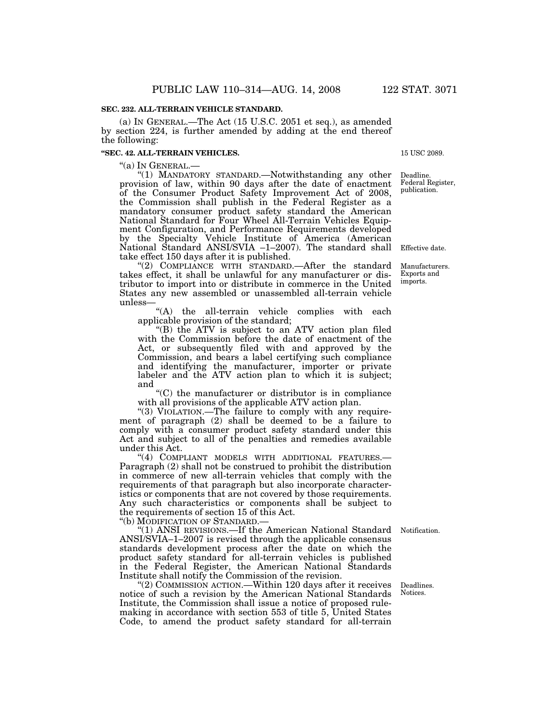# **SEC. 232. ALL-TERRAIN VEHICLE STANDARD.**

(a) IN GENERAL.—The Act (15 U.S.C. 2051 et seq.), as amended by section 224, is further amended by adding at the end thereof the following:

#### **''SEC. 42. ALL-TERRAIN VEHICLES.**

''(a) IN GENERAL.— ''(1) MANDATORY STANDARD.—Notwithstanding any other provision of law, within 90 days after the date of enactment of the Consumer Product Safety Improvement Act of 2008, the Commission shall publish in the Federal Register as a mandatory consumer product safety standard the American National Standard for Four Wheel All-Terrain Vehicles Equipment Configuration, and Performance Requirements developed by the Specialty Vehicle Institute of America (American National Standard ANSI/SVIA –1–2007). The standard shall take effect 150 days after it is published. Effective date.

"(2) COMPLIANCE WITH STANDARD.—After the standard takes effect, it shall be unlawful for any manufacturer or distributor to import into or distribute in commerce in the United States any new assembled or unassembled all-terrain vehicle unless—

"(A) the all-terrain vehicle complies with each applicable provision of the standard;

''(B) the ATV is subject to an ATV action plan filed with the Commission before the date of enactment of the Act, or subsequently filed with and approved by the Commission, and bears a label certifying such compliance and identifying the manufacturer, importer or private labeler and the ATV action plan to which it is subject; and

''(C) the manufacturer or distributor is in compliance with all provisions of the applicable ATV action plan.

"(3) VIOLATION.—The failure to comply with any requirement of paragraph (2) shall be deemed to be a failure to comply with a consumer product safety standard under this Act and subject to all of the penalties and remedies available under this Act.

"(4) COMPLIANT MODELS WITH ADDITIONAL FEATURES.-Paragraph (2) shall not be construed to prohibit the distribution in commerce of new all-terrain vehicles that comply with the requirements of that paragraph but also incorporate characteristics or components that are not covered by those requirements. Any such characteristics or components shall be subject to the requirements of section 15 of this Act.

''(b) MODIFICATION OF STANDARD.—

''(1) ANSI REVISIONS.—If the American National Standard Notification. ANSI/SVIA–1–2007 is revised through the applicable consensus standards development process after the date on which the product safety standard for all-terrain vehicles is published in the Federal Register, the American National Standards Institute shall notify the Commission of the revision.

''(2) COMMISSION ACTION.—Within 120 days after it receives notice of such a revision by the American National Standards Institute, the Commission shall issue a notice of proposed rulemaking in accordance with section 553 of title 5, United States Code, to amend the product safety standard for all-terrain

Deadlines. Notices.

Manufacturers. Exports and imports.

15 USC 2089.

Deadline. Federal Register, publication.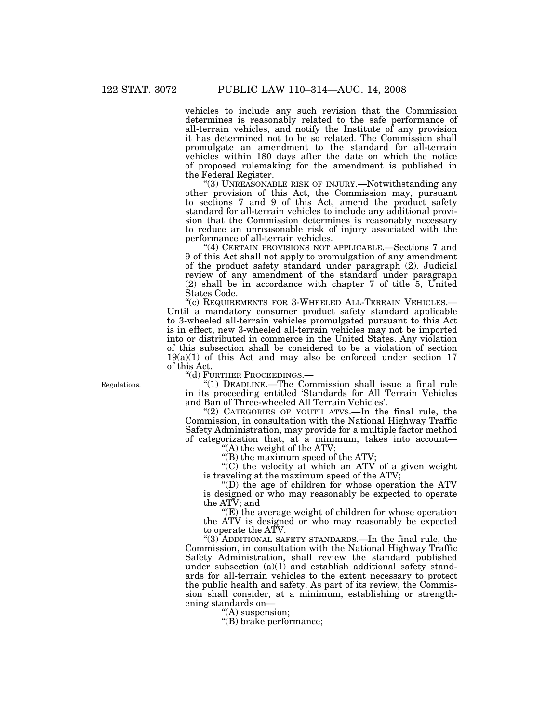vehicles to include any such revision that the Commission determines is reasonably related to the safe performance of all-terrain vehicles, and notify the Institute of any provision it has determined not to be so related. The Commission shall promulgate an amendment to the standard for all-terrain vehicles within 180 days after the date on which the notice of proposed rulemaking for the amendment is published in the Federal Register.

''(3) UNREASONABLE RISK OF INJURY.—Notwithstanding any other provision of this Act, the Commission may, pursuant to sections 7 and 9 of this Act, amend the product safety standard for all-terrain vehicles to include any additional provision that the Commission determines is reasonably necessary to reduce an unreasonable risk of injury associated with the performance of all-terrain vehicles.

''(4) CERTAIN PROVISIONS NOT APPLICABLE.—Sections 7 and 9 of this Act shall not apply to promulgation of any amendment of the product safety standard under paragraph (2). Judicial review of any amendment of the standard under paragraph (2) shall be in accordance with chapter 7 of title 5, United States Code.

"(c) REQUIREMENTS FOR 3-WHEELED ALL-TERRAIN VEHICLES.-Until a mandatory consumer product safety standard applicable to 3-wheeled all-terrain vehicles promulgated pursuant to this Act is in effect, new 3-wheeled all-terrain vehicles may not be imported into or distributed in commerce in the United States. Any violation of this subsection shall be considered to be a violation of section  $19(a)(1)$  of this Act and may also be enforced under section 17 of this Act.

''(d) FURTHER PROCEEDINGS.—

''(1) DEADLINE.—The Commission shall issue a final rule in its proceeding entitled 'Standards for All Terrain Vehicles and Ban of Three-wheeled All Terrain Vehicles'.

"(2) CATEGORIES OF YOUTH ATVS.—In the final rule, the Commission, in consultation with the National Highway Traffic Safety Administration, may provide for a multiple factor method of categorization that, at a minimum, takes into account—

''(A) the weight of the ATV;

''(B) the maximum speed of the ATV;

''(C) the velocity at which an ATV of a given weight is traveling at the maximum speed of the ATV;

"(D) the age of children for whose operation the ATV is designed or who may reasonably be expected to operate the ATV; and

 $E(E)$  the average weight of children for whose operation the ATV is designed or who may reasonably be expected to operate the ATV.

''(3) ADDITIONAL SAFETY STANDARDS.—In the final rule, the Commission, in consultation with the National Highway Traffic Safety Administration, shall review the standard published under subsection (a)(1) and establish additional safety standards for all-terrain vehicles to the extent necessary to protect the public health and safety. As part of its review, the Commission shall consider, at a minimum, establishing or strengthening standards on—

''(A) suspension;

''(B) brake performance;

Regulations.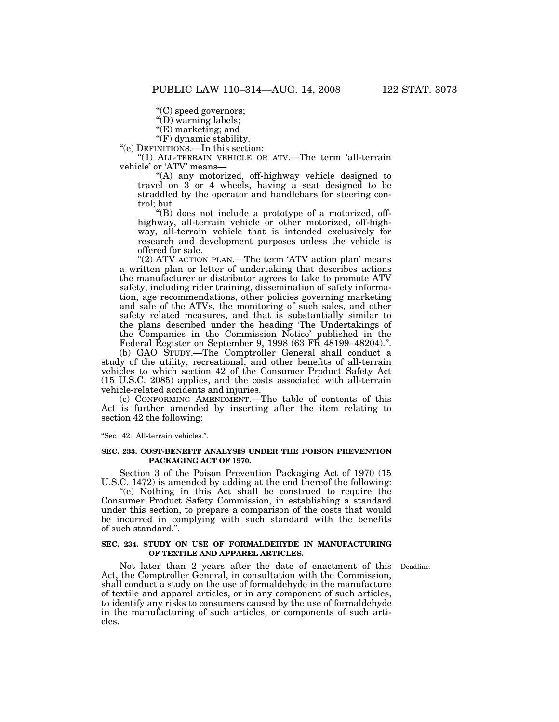''(C) speed governors;

''(D) warning labels;

"(E) marketing; and

"(F) dynamic stability.

''(e) DEFINITIONS.—In this section:

''(1) ALL-TERRAIN VEHICLE OR ATV.—The term 'all-terrain vehicle' or 'ATV' means—

''(A) any motorized, off-highway vehicle designed to travel on 3 or 4 wheels, having a seat designed to be straddled by the operator and handlebars for steering control; but

''(B) does not include a prototype of a motorized, offhighway, all-terrain vehicle or other motorized, off-highway, all-terrain vehicle that is intended exclusively for research and development purposes unless the vehicle is offered for sale.

"(2) ATV ACTION PLAN.—The term 'ATV action plan' means a written plan or letter of undertaking that describes actions the manufacturer or distributor agrees to take to promote ATV safety, including rider training, dissemination of safety information, age recommendations, other policies governing marketing and sale of the ATVs, the monitoring of such sales, and other safety related measures, and that is substantially similar to the plans described under the heading 'The Undertakings of the Companies in the Commission Notice' published in the Federal Register on September 9, 1998 (63 FR 48199–48204).''.

(b) GAO STUDY.—The Comptroller General shall conduct a study of the utility, recreational, and other benefits of all-terrain vehicles to which section 42 of the Consumer Product Safety Act (15 U.S.C. 2085) applies, and the costs associated with all-terrain vehicle-related accidents and injuries.

(c) CONFORMING AMENDMENT.—The table of contents of this Act is further amended by inserting after the item relating to section 42 the following:

''Sec. 42. All-terrain vehicles.''.

# **SEC. 233. COST-BENEFIT ANALYSIS UNDER THE POISON PREVENTION PACKAGING ACT OF 1970.**

Section 3 of the Poison Prevention Packaging Act of 1970 (15 U.S.C. 1472) is amended by adding at the end thereof the following:

''(e) Nothing in this Act shall be construed to require the Consumer Product Safety Commission, in establishing a standard under this section, to prepare a comparison of the costs that would be incurred in complying with such standard with the benefits of such standard.''.

#### **SEC. 234. STUDY ON USE OF FORMALDEHYDE IN MANUFACTURING OF TEXTILE AND APPAREL ARTICLES.**

Not later than 2 years after the date of enactment of this Deadline. Act, the Comptroller General, in consultation with the Commission, shall conduct a study on the use of formaldehyde in the manufacture of textile and apparel articles, or in any component of such articles, to identify any risks to consumers caused by the use of formaldehyde in the manufacturing of such articles, or components of such articles.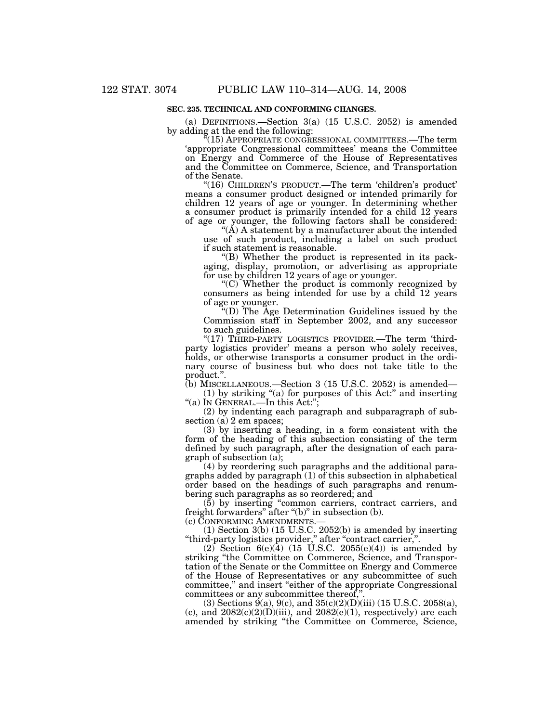# **SEC. 235. TECHNICAL AND CONFORMING CHANGES.**

(a) DEFINITIONS.—Section 3(a) (15 U.S.C. 2052) is amended by adding at the end the following:

 $(15)$  APPROPRIATE CONGRESSIONAL COMMITTEES.—The term 'appropriate Congressional committees' means the Committee on Energy and Commerce of the House of Representatives and the Committee on Commerce, Science, and Transportation of the Senate.

"(16) CHILDREN'S PRODUCT.—The term 'children's product' means a consumer product designed or intended primarily for children 12 years of age or younger. In determining whether a consumer product is primarily intended for a child 12 years of age or younger, the following factors shall be considered:

" $(\tilde{A})$  A statement by a manufacturer about the intended use of such product, including a label on such product if such statement is reasonable.

''(B) Whether the product is represented in its packaging, display, promotion, or advertising as appropriate for use by children 12 years of age or younger.

''(C) Whether the product is commonly recognized by consumers as being intended for use by a child 12 years of age or younger.

''(D) The Age Determination Guidelines issued by the Commission staff in September 2002, and any successor to such guidelines.

"(17) THIRD-PARTY LOGISTICS PROVIDER.—The term 'thirdparty logistics provider' means a person who solely receives, holds, or otherwise transports a consumer product in the ordinary course of business but who does not take title to the product.''.

(b) MISCELLANEOUS.—Section 3 (15 U.S.C. 2052) is amended—

(1) by striking ''(a) for purposes of this Act:'' and inserting ''(a) IN GENERAL.—In this Act:'';

(2) by indenting each paragraph and subparagraph of subsection (a) 2 em spaces;

(3) by inserting a heading, in a form consistent with the form of the heading of this subsection consisting of the term defined by such paragraph, after the designation of each paragraph of subsection (a);

(4) by reordering such paragraphs and the additional paragraphs added by paragraph (1) of this subsection in alphabetical order based on the headings of such paragraphs and renumbering such paragraphs as so reordered; and

(5) by inserting ''common carriers, contract carriers, and freight forwarders" after "(b)" in subsection (b).

(c) CONFORMING AMENDMENTS.—

(1) Section 3(b) (15 U.S.C. 2052(b) is amended by inserting ''third-party logistics provider,'' after ''contract carrier,''.

(2) Section  $6(e)(4)$  (15 U.S.C. 2055(e)(4)) is amended by striking ''the Committee on Commerce, Science, and Transportation of the Senate or the Committee on Energy and Commerce of the House of Representatives or any subcommittee of such committee,'' and insert ''either of the appropriate Congressional committees or any subcommittee thereof,''.

 $(3)$  Sections  $9(a)$ ,  $9(c)$ , and  $35(c)(2)(D)(iii)$  (15 U.S.C. 2058(a), (c), and  $2082(c)(2)(D)(iii)$ , and  $2082(e)(1)$ , respectively) are each amended by striking ''the Committee on Commerce, Science,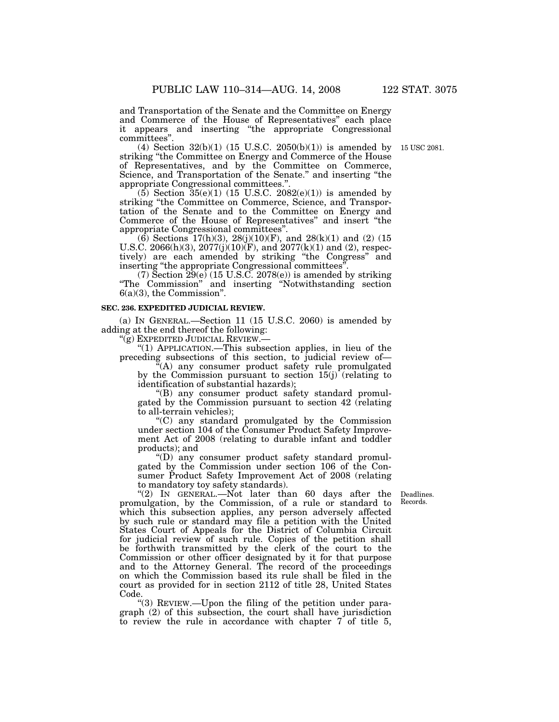and Transportation of the Senate and the Committee on Energy and Commerce of the House of Representatives'' each place it appears and inserting ''the appropriate Congressional committees''.

(4) Section 32(b)(1) (15 U.S.C. 2050(b)(1)) is amended by 15 USC 2081. striking ''the Committee on Energy and Commerce of the House of Representatives, and by the Committee on Commerce, Science, and Transportation of the Senate.'' and inserting ''the appropriate Congressional committees.''.

(5) Section  $35(e)(1)$  (15 U.S.C. 2082(e)(1)) is amended by striking ''the Committee on Commerce, Science, and Transportation of the Senate and to the Committee on Energy and Commerce of the House of Representatives'' and insert ''the appropriate Congressional committees''.

(6) Sections  $17(h)(3)$ ,  $28(j)(10)(F)$ , and  $28(k)(1)$  and (2) (15) U.S.C. 2066(h)(3), 2077(j)(10)(F), and 2077(k)(1) and (2), respectively) are each amended by striking ''the Congress'' and inserting "the appropriate Congressional committees".

(7) Section  $\tilde{29}(e)$  (15 U.S.C. 2078(e)) is amended by striking ''The Commission'' and inserting ''Notwithstanding section 6(a)(3), the Commission''.

#### **SEC. 236. EXPEDITED JUDICIAL REVIEW.**

(a) IN GENERAL.—Section 11 (15 U.S.C. 2060) is amended by adding at the end thereof the following:

''(g) EXPEDITED JUDICIAL REVIEW.—

''(1) APPLICATION.—This subsection applies, in lieu of the preceding subsections of this section, to judicial review of—

 $(A)$  any consumer product safety rule promulgated by the Commission pursuant to section  $15(j)$  (relating to identification of substantial hazards);

''(B) any consumer product safety standard promulgated by the Commission pursuant to section 42 (relating to all-terrain vehicles);

''(C) any standard promulgated by the Commission under section 104 of the Consumer Product Safety Improvement Act of 2008 (relating to durable infant and toddler products); and

''(D) any consumer product safety standard promulgated by the Commission under section 106 of the Consumer Product Safety Improvement Act of 2008 (relating to mandatory toy safety standards).

> Deadlines. Records.

"(2) In GENERAL.—Not later than 60 days after the promulgation, by the Commission, of a rule or standard to which this subsection applies, any person adversely affected by such rule or standard may file a petition with the United States Court of Appeals for the District of Columbia Circuit for judicial review of such rule. Copies of the petition shall be forthwith transmitted by the clerk of the court to the Commission or other officer designated by it for that purpose and to the Attorney General. The record of the proceedings on which the Commission based its rule shall be filed in the court as provided for in section 2112 of title 28, United States Code.

''(3) REVIEW.—Upon the filing of the petition under paragraph (2) of this subsection, the court shall have jurisdiction to review the rule in accordance with chapter 7 of title 5,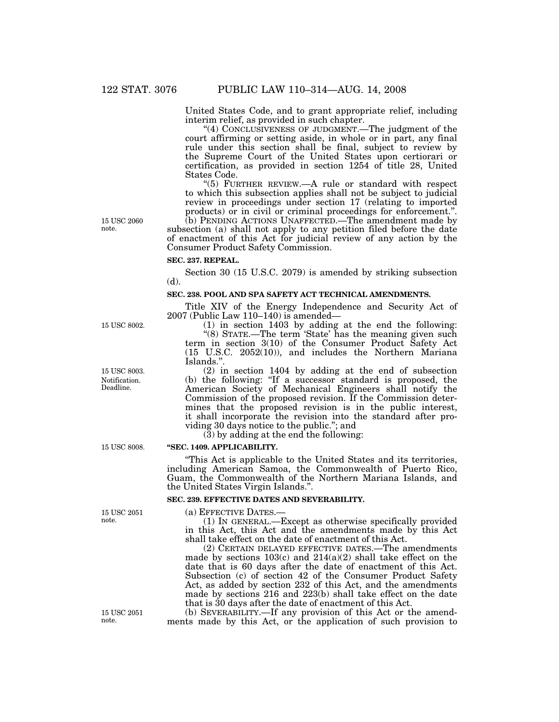United States Code, and to grant appropriate relief, including interim relief, as provided in such chapter.

"(4) CONCLUSIVENESS OF JUDGMENT.—The judgment of the court affirming or setting aside, in whole or in part, any final rule under this section shall be final, subject to review by the Supreme Court of the United States upon certiorari or certification, as provided in section 1254 of title 28, United States Code.

''(5) FURTHER REVIEW.—A rule or standard with respect to which this subsection applies shall not be subject to judicial review in proceedings under section 17 (relating to imported products) or in civil or criminal proceedings for enforcement.''.

(b) PENDING ACTIONS UNAFFECTED.—The amendment made by subsection (a) shall not apply to any petition filed before the date of enactment of this Act for judicial review of any action by the Consumer Product Safety Commission.

# **SEC. 237. REPEAL.**

Section 30 (15 U.S.C. 2079) is amended by striking subsection (d).

# **SEC. 238. POOL AND SPA SAFETY ACT TECHNICAL AMENDMENTS.**

Title XIV of the Energy Independence and Security Act of 2007 (Public Law 110–140) is amended—

(1) in section 1403 by adding at the end the following: "(8) STATE.—The term 'State' has the meaning given such term in section 3(10) of the Consumer Product Safety Act (15 U.S.C. 2052(10)), and includes the Northern Mariana Islands.''.

(2) in section 1404 by adding at the end of subsection (b) the following: ''If a successor standard is proposed, the American Society of Mechanical Engineers shall notify the Commission of the proposed revision. If the Commission determines that the proposed revision is in the public interest, it shall incorporate the revision into the standard after providing 30 days notice to the public.''; and

(3) by adding at the end the following:

#### **''SEC. 1409. APPLICABILITY.**

''This Act is applicable to the United States and its territories, including American Samoa, the Commonwealth of Puerto Rico, Guam, the Commonwealth of the Northern Mariana Islands, and the United States Virgin Islands.''.

#### **SEC. 239. EFFECTIVE DATES AND SEVERABILITY.**

(a) EFFECTIVE DATES.—

(1) IN GENERAL.—Except as otherwise specifically provided in this Act, this Act and the amendments made by this Act shall take effect on the date of enactment of this Act.

(2) CERTAIN DELAYED EFFECTIVE DATES.—The amendments made by sections 103(c) and 214(a)(2) shall take effect on the date that is 60 days after the date of enactment of this Act. Subsection (c) of section 42 of the Consumer Product Safety Act, as added by section 232 of this Act, and the amendments made by sections 216 and 223(b) shall take effect on the date that is 30 days after the date of enactment of this Act.

(b) SEVERABILITY.—If any provision of this Act or the amendments made by this Act, or the application of such provision to

15 USC 2060 note.

Notification. Deadline. 15 USC 8003.

15 USC 8002.

15 USC 8008.

15 USC 2051 note.

15 USC 2051 note.